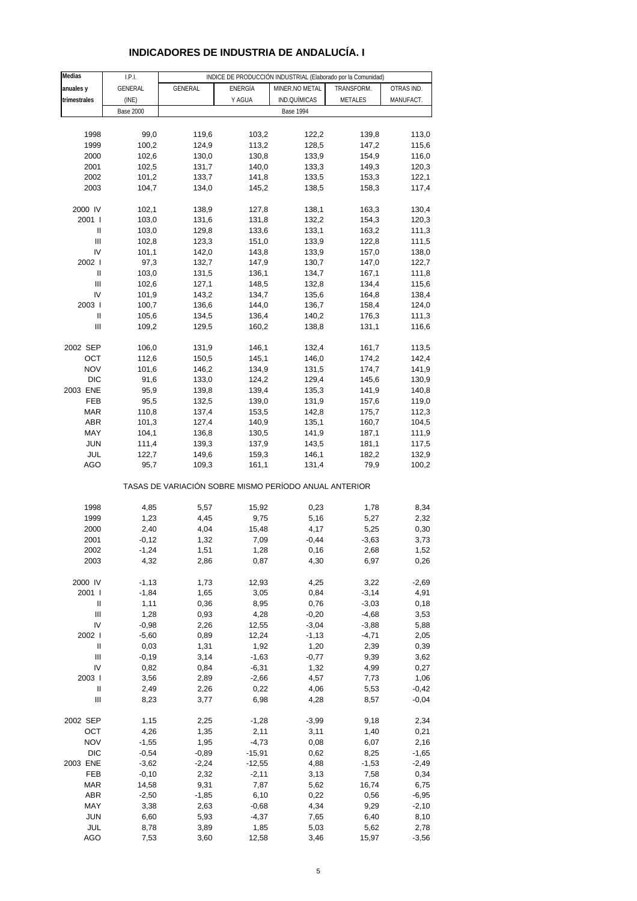| Medias                             | I.P.I.           |                                                       |                |                  | INDICE DE PRODUCCIÓN INDUSTRIAL (Elaborado por la Comunidad) |            |
|------------------------------------|------------------|-------------------------------------------------------|----------------|------------------|--------------------------------------------------------------|------------|
| anuales y                          | GENERAL          | GENERAL                                               | <b>ENERGÍA</b> | MINER.NO METAL   | TRANSFORM.                                                   | OTRAS IND. |
|                                    |                  |                                                       |                |                  |                                                              |            |
| trimestrales                       | (INE)            |                                                       | Y AGUA         | IND.QUÍMICAS     | METALES                                                      | MANUFACT.  |
|                                    | <b>Base 2000</b> |                                                       |                | <b>Base 1994</b> |                                                              |            |
|                                    |                  |                                                       |                |                  |                                                              |            |
| 1998                               | 99,0             | 119,6                                                 | 103,2          | 122,2            | 139,8                                                        | 113,0      |
| 1999                               | 100,2            | 124,9                                                 | 113,2          | 128,5            | 147,2                                                        | 115,6      |
| 2000                               | 102,6            | 130,0                                                 | 130,8          | 133,9            | 154,9                                                        | 116,0      |
| 2001                               | 102,5            | 131,7                                                 | 140,0          | 133,3            | 149,3                                                        | 120,3      |
| 2002                               | 101,2            | 133,7                                                 | 141,8          | 133,5            | 153,3                                                        | 122,1      |
| 2003                               | 104,7            | 134,0                                                 | 145,2          | 138,5            | 158,3                                                        | 117,4      |
|                                    |                  |                                                       |                |                  |                                                              |            |
| 2000 IV                            | 102,1            | 138,9                                                 | 127,8          | 138,1            | 163,3                                                        | 130,4      |
| 2001 l                             | 103,0            | 131,6                                                 | 131,8          | 132,2            | 154,3                                                        | 120,3      |
|                                    |                  |                                                       |                |                  |                                                              |            |
| Ш                                  | 103,0            | 129,8                                                 | 133,6          | 133,1            | 163,2                                                        | 111,3      |
| Ш                                  | 102,8            | 123,3                                                 | 151,0          | 133,9            | 122,8                                                        | 111,5      |
| IV                                 | 101,1            | 142,0                                                 | 143,8          | 133,9            | 157,0                                                        | 138,0      |
| 2002 l                             | 97,3             | 132,7                                                 | 147,9          | 130,7            | 147,0                                                        | 122,7      |
| Ш                                  | 103,0            | 131,5                                                 | 136,1          | 134,7            | 167,1                                                        | 111,8      |
| Ш                                  | 102,6            | 127,1                                                 | 148,5          | 132,8            | 134,4                                                        | 115,6      |
| IV                                 | 101,9            | 143,2                                                 | 134,7          | 135,6            | 164,8                                                        | 138,4      |
| 2003                               | 100,7            | 136,6                                                 | 144,0          | 136,7            | 158,4                                                        | 124,0      |
| Ш                                  | 105,6            | 134,5                                                 | 136,4          | 140,2            | 176,3                                                        | 111,3      |
| Ш                                  | 109,2            | 129,5                                                 | 160,2          | 138,8            | 131,1                                                        | 116,6      |
|                                    |                  |                                                       |                |                  |                                                              |            |
|                                    |                  |                                                       |                |                  |                                                              |            |
| 2002 SEP                           | 106,0            | 131,9                                                 | 146,1          | 132,4            | 161,7                                                        | 113,5      |
| OCT                                | 112,6            | 150,5                                                 | 145,1          | 146,0            | 174,2                                                        | 142,4      |
| <b>NOV</b>                         | 101,6            | 146,2                                                 | 134,9          | 131,5            | 174,7                                                        | 141,9      |
| <b>DIC</b>                         | 91,6             | 133,0                                                 | 124,2          | 129,4            | 145,6                                                        | 130,9      |
| 2003 ENE                           | 95,9             | 139,8                                                 | 139,4          | 135,3            | 141,9                                                        | 140,8      |
| FEB                                | 95,5             | 132,5                                                 | 139,0          | 131,9            | 157,6                                                        | 119,0      |
| <b>MAR</b>                         | 110,8            | 137,4                                                 | 153,5          | 142,8            | 175,7                                                        | 112,3      |
| <b>ABR</b>                         | 101,3            | 127,4                                                 | 140,9          | 135,1            | 160,7                                                        | 104,5      |
| MAY                                | 104,1            | 136,8                                                 | 130,5          | 141,9            | 187,1                                                        | 111,9      |
| <b>JUN</b>                         | 111,4            | 139,3                                                 | 137,9          |                  | 181,1                                                        | 117,5      |
|                                    |                  |                                                       |                | 143,5            |                                                              |            |
| JUL                                | 122,7            | 149,6                                                 | 159,3          | 146,1            | 182,2                                                        | 132,9      |
| AGO                                | 95,7             | 109,3                                                 | 161,1          | 131,4            | 79,9                                                         | 100,2      |
|                                    |                  | TASAS DE VARIACIÓN SOBRE MISMO PERÍODO ANUAL ANTERIOR |                |                  |                                                              |            |
|                                    |                  |                                                       |                |                  |                                                              |            |
| 1998                               | 4,85             | 5,57                                                  | 15,92          | 0,23             | 1,78                                                         | 8,34       |
| 1999                               | 1,23             | 4,45                                                  | 9,75           | 5,16             | 5,27                                                         | 2,32       |
| 2000                               | 2,40             | 4,04                                                  | 15,48          | 4,17             | 5,25                                                         | 0,30       |
| 2001                               |                  |                                                       |                |                  |                                                              |            |
|                                    | $-0,12$          | 1,32                                                  | 7,09           | $-0,44$          | $-3,63$                                                      | 3,73       |
| 2002                               | $-1,24$          | 1,51                                                  | 1,28           | 0,16             | 2,68                                                         | 1,52       |
| 2003                               | 4,32             | 2,86                                                  | 0,87           | 4,30             | 6,97                                                         | 0,26       |
|                                    |                  |                                                       |                |                  |                                                              |            |
| 2000 IV                            | $-1, 13$         | 1,73                                                  | 12,93          | 4,25             | 3,22                                                         | $-2,69$    |
| 2001 l                             | $-1,84$          | 1,65                                                  | 3,05           | 0,84             | $-3,14$                                                      | 4,91       |
| Ш                                  | 1,11             | 0,36                                                  | 8,95           | 0,76             | $-3,03$                                                      | 0,18       |
| $\ensuremath{\mathsf{III}}\xspace$ | 1,28             | 0,93                                                  | 4,28           | $-0,20$          | $-4,68$                                                      | 3,53       |
| IV                                 | $-0,98$          | 2,26                                                  | 12,55          | $-3,04$          | $-3,88$                                                      | 5,88       |
| 2002                               | $-5,60$          | 0,89                                                  | 12,24          | $-1,13$          | $-4,71$                                                      | 2,05       |
| $\sf II$                           | 0,03             | 1,31                                                  | 1,92           | 1,20             | 2,39                                                         | 0,39       |
| $\ensuremath{\mathsf{III}}\xspace$ | $-0,19$          | 3,14                                                  | $-1,63$        | $-0,77$          | 9,39                                                         | 3,62       |
| IV                                 | 0,82             | 0,84                                                  | $-6,31$        | 1,32             | 4,99                                                         | 0,27       |
| 2003                               | 3,56             | 2,89                                                  | $-2,66$        | 4,57             | 7,73                                                         | 1,06       |
| Ш                                  | 2,49             |                                                       | 0,22           | 4,06             | 5,53                                                         |            |
|                                    |                  | 2,26                                                  |                |                  |                                                              | -0,42      |
| Ш                                  | 8,23             | 3,77                                                  | 6,98           | 4,28             | 8,57                                                         | $-0,04$    |
| 2002 SEP                           | 1,15             | 2,25                                                  | $-1,28$        | $-3,99$          | 9,18                                                         | 2,34       |
| OCT                                | 4,26             | 1,35                                                  | 2,11           | 3,11             | 1,40                                                         | 0,21       |
| <b>NOV</b>                         | $-1,55$          | 1,95                                                  | $-4,73$        | 0,08             | 6,07                                                         | 2,16       |
| <b>DIC</b>                         | $-0,54$          | $-0,89$                                               | $-15,91$       | 0,62             | 8,25                                                         | $-1,65$    |
| 2003 ENE                           |                  |                                                       | $-12,55$       |                  |                                                              |            |
|                                    | $-3,62$          | $-2,24$                                               |                | 4,88             | $-1,53$                                                      | $-2,49$    |
| FEB                                | $-0, 10$         | 2,32                                                  | $-2,11$        | 3,13             | 7,58                                                         | 0,34       |
| <b>MAR</b>                         | 14,58            | 9,31                                                  | 7,87           | 5,62             | 16,74                                                        | 6,75       |
| ABR                                | $-2,50$          | $-1,85$                                               | 6,10           | 0,22             | 0,56                                                         | $-6,95$    |
| MAY                                | 3,38             | 2,63                                                  | $-0,68$        | 4,34             | 9,29                                                         | $-2,10$    |
| <b>JUN</b>                         | 6,60             | 5,93                                                  | $-4,37$        | 7,65             | 6,40                                                         | 8,10       |
| JUL                                | 8,78             | 3,89                                                  | 1,85           | 5,03             | 5,62                                                         | 2,78       |

## **INDICADORES DE INDUSTRIA DE ANDALUCÍA. I**

AGO 7,53 3,60 12,58 3,46 15,97 -3,56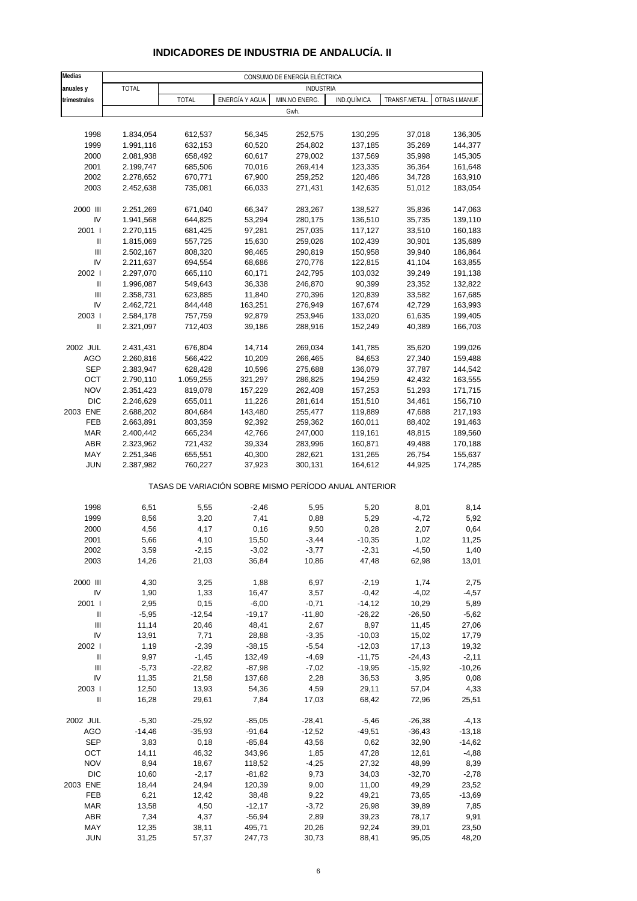| INDICADORES DE INDUSTRIA DE ANDALUCÍA. II |  |
|-------------------------------------------|--|

| <b>Medias</b>                      |                        |                    |                  | CONSUMO DE ENERGÍA ELÉCTRICA                          |                    |                  |                    |
|------------------------------------|------------------------|--------------------|------------------|-------------------------------------------------------|--------------------|------------------|--------------------|
| anuales y                          | <b>TOTAL</b>           |                    |                  | <b>INDUSTRIA</b>                                      |                    |                  |                    |
| trimestrales                       |                        | <b>TOTAL</b>       | ENERGÍA Y AGUA   | MIN.NO ENERG.                                         | IND.QUÍMICA        | TRANSF.METAL.    | OTRAS I.MANUF.     |
|                                    |                        |                    |                  | Gwh.                                                  |                    |                  |                    |
|                                    |                        |                    |                  |                                                       |                    |                  |                    |
|                                    |                        |                    | 56,345           |                                                       |                    |                  |                    |
| 1998<br>1999                       | 1.834,054              | 612,537<br>632,153 | 60,520           | 252,575<br>254,802                                    | 130,295<br>137,185 | 37,018           | 136,305<br>144,377 |
|                                    | 1.991,116              |                    |                  |                                                       |                    | 35,269           |                    |
| 2000<br>2001                       | 2.081,938<br>2.199,747 | 658,492<br>685,506 | 60,617<br>70,016 | 279,002<br>269,414                                    | 137,569<br>123,335 | 35,998<br>36,364 | 145,305<br>161,648 |
|                                    |                        |                    |                  |                                                       |                    |                  |                    |
| 2002<br>2003                       | 2.278,652              | 670,771<br>735,081 | 67,900           | 259,252                                               | 120,486            | 34,728           | 163,910            |
|                                    | 2.452,638              |                    | 66,033           | 271,431                                               | 142,635            | 51,012           | 183,054            |
| 2000 III                           | 2.251,269              | 671,040            | 66,347           | 283,267                                               | 138,527            | 35,836           | 147,063            |
| IV                                 | 1.941,568              | 644,825            | 53,294           | 280,175                                               | 136,510            | 35,735           | 139,110            |
| 2001 l                             | 2.270,115              | 681,425            | 97,281           | 257,035                                               | 117,127            | 33,510           | 160,183            |
| Ш                                  | 1.815,069              | 557,725            | 15,630           | 259,026                                               | 102,439            | 30,901           | 135,689            |
| $\mathbf{III}$                     | 2.502,167              | 808,320            | 98,465           | 290,819                                               | 150,958            | 39,940           | 186,864            |
| IV                                 | 2.211,637              | 694,554            | 68,686           | 270,776                                               | 122,815            | 41,104           | 163,855            |
| 2002 l                             | 2.297,070              | 665,110            | 60,171           | 242,795                                               | 103,032            | 39,249           | 191,138            |
| Ш                                  | 1.996,087              | 549,643            | 36,338           | 246,870                                               | 90,399             | 23,352           | 132,822            |
| Ш                                  | 2.358,731              | 623,885            | 11,840           | 270,396                                               | 120,839            | 33,582           | 167,685            |
| IV                                 | 2.462,721              | 844,448            | 163,251          | 276,949                                               | 167,674            | 42,729           | 163,993            |
| 2003                               | 2.584,178              | 757,759            | 92,879           | 253,946                                               | 133,020            | 61,635           | 199,405            |
| Ш                                  | 2.321,097              | 712,403            | 39,186           | 288,916                                               | 152,249            | 40,389           | 166,703            |
|                                    |                        |                    |                  |                                                       |                    |                  |                    |
| 2002 JUL                           | 2.431,431              | 676,804            | 14,714           | 269,034                                               | 141,785            | 35,620           | 199,026            |
| AGO                                | 2.260,816              | 566,422            | 10,209           | 266,465                                               | 84,653             | 27,340           | 159,488            |
| <b>SEP</b>                         | 2.383,947              | 628,428            | 10,596           | 275,688                                               | 136,079            | 37,787           | 144,542            |
| OCT                                | 2.790,110              | 1.059,255          | 321,297          | 286,825                                               | 194,259            | 42,432           | 163,555            |
| <b>NOV</b>                         | 2.351,423              | 819,078            | 157,229          | 262,408                                               | 157,253            | 51,293           | 171,715            |
| <b>DIC</b>                         | 2.246,629              | 655,011            | 11,226           | 281,614                                               | 151,510            | 34,461           | 156,710            |
| 2003 ENE                           | 2.688,202              | 804,684            | 143,480          | 255,477                                               | 119,889            | 47,688           | 217,193            |
| FEB                                | 2.663,891              | 803,359            | 92,392           | 259,362                                               | 160,011            | 88,402           | 191,463            |
| <b>MAR</b>                         | 2.400,442              | 665,234            | 42,766           | 247,000                                               | 119,161            | 48,815           | 189,560            |
| <b>ABR</b>                         | 2.323,962              | 721,432            | 39,334           | 283,996                                               | 160,871            | 49,488           | 170,188            |
| MAY                                | 2.251,346              | 655,551            | 40,300           | 282,621                                               | 131,265            | 26,754           | 155,637            |
| <b>JUN</b>                         | 2.387,982              | 760,227            | 37,923           | 300,131                                               | 164,612            | 44,925           | 174,285            |
|                                    |                        |                    |                  | TASAS DE VARIACIÓN SOBRE MISMO PERÍODO ANUAL ANTERIOR |                    |                  |                    |
| 1998                               | 6,51                   | 5,55               | $-2,46$          | 5,95                                                  | 5,20               | 8,01             | 8,14               |
| 1999                               | 8,56                   | 3,20               | 7,41             | 0,88                                                  | 5,29               | $-4,72$          | 5,92               |
| 2000                               | 4,56                   | 4,17               | 0,16             | 9,50                                                  | 0,28               | 2,07             | 0,64               |
| 2001                               | 5,66                   | 4,10               | 15,50            | $-3,44$                                               | $-10,35$           | 1,02             | 11,25              |
| 2002                               | 3,59                   | $-2,15$            | $-3,02$          | $-3,77$                                               | $-2,31$            | $-4,50$          | 1,40               |
| 2003                               | 14,26                  | 21,03              | 36,84            | 10,86                                                 | 47,48              | 62,98            | 13,01              |
|                                    |                        |                    |                  |                                                       |                    |                  |                    |
| 2000 III                           | 4,30                   | 3,25               | 1,88             | 6,97                                                  | $-2,19$            | 1,74             | 2,75               |
| IV                                 | 1,90                   | 1,33               | 16,47            | 3,57                                                  | $-0,42$            | $-4,02$          | $-4,57$            |
| 2001 l                             | 2,95                   | 0,15               | $-6,00$          | $-0,71$                                               | $-14,12$           | 10,29            | 5,89               |
| Ш                                  | $-5,95$                | $-12,54$           | $-19,17$         | $-11,80$                                              | $-26,22$           | $-26,50$         | $-5,62$            |
| Ш                                  | 11,14                  | 20,46              | 48,41            | 2,67                                                  | 8,97               | 11,45            | 27,06              |
| IV                                 | 13,91                  | 7,71               | 28,88            | $-3,35$                                               | $-10,03$           | 15,02            | 17,79              |
| 2002                               | 1,19                   | $-2,39$            | $-38,15$         | $-5,54$                                               | $-12,03$           | 17,13            | 19,32              |
| Ш                                  | 9,97                   | $-1,45$            | 132,49           | $-4,69$                                               | $-11,75$           | $-24,43$         | $-2,11$            |
| $\ensuremath{\mathsf{III}}\xspace$ | $-5,73$                | $-22,82$           | $-87,98$         | $-7,02$                                               | $-19.95$           | $-15,92$         | $-10,26$           |
| IV                                 | 11,35                  | 21,58              | 137,68           | 2,28                                                  | 36,53              | 3,95             | 0,08               |
| 2003                               | 12,50                  | 13,93              | 54,36            | 4,59                                                  | 29,11              | 57,04            | 4,33               |
| $\sf II$                           | 16,28                  | 29,61              | 7,84             | 17,03                                                 | 68,42              | 72,96            | 25,51              |
|                                    |                        |                    |                  |                                                       |                    |                  |                    |
| 2002 JUL                           | $-5,30$                | $-25,92$           | $-85,05$         | $-28,41$                                              | $-5,46$            | $-26,38$         | $-4, 13$           |
| AGO                                | $-14,46$               | $-35,93$           | $-91,64$         | $-12,52$                                              | $-49,51$           | $-36,43$         | $-13,18$           |
| <b>SEP</b>                         | 3,83                   | 0,18               | $-85,84$         | 43,56                                                 | 0,62               | 32,90            | $-14,62$           |
| OCT                                | 14,11                  | 46,32              | 343,96           | 1,85                                                  | 47,28              | 12,61            | $-4,88$            |
| <b>NOV</b>                         | 8,94                   | 18,67              | 118,52           | $-4,25$                                               | 27,32              | 48,99            | 8,39               |
| <b>DIC</b>                         | 10,60                  | $-2,17$            | $-81,82$         | 9,73                                                  | 34,03              | $-32,70$         | $-2,78$            |
| 2003 ENE                           | 18,44                  | 24,94              | 120,39           | 9,00                                                  | 11,00              | 49,29            | 23,52              |
| FEB                                | 6,21                   | 12,42              | 38,48            | 9,22                                                  | 49,21              | 73,65            | $-13,69$           |
| MAR                                | 13,58                  | 4,50               | $-12,17$         | $-3,72$                                               | 26,98              | 39,89            | 7,85               |
| <b>ABR</b>                         | 7,34                   | 4,37               | $-56,94$         | 2,89                                                  | 39,23              | 78,17            | 9,91               |
| MAY                                | 12,35                  | 38,11              | 495,71           | 20,26                                                 | 92,24              | 39,01            | 23,50              |
| <b>JUN</b>                         | 31,25                  | 57,37              | 247,73           | 30,73                                                 | 88,41              | 95,05            | 48,20              |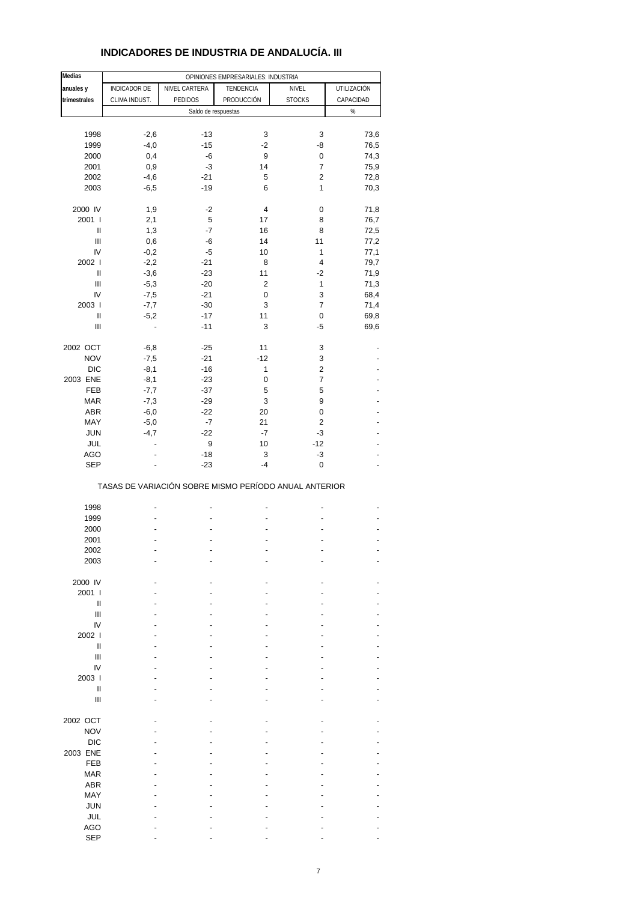### **INDICADORES DE INDUSTRIA DE ANDALUCÍA. III**

| Medias                             |               |                     | OPINIONES EMPRESARIALES: INDUSTRIA                    |                |             |
|------------------------------------|---------------|---------------------|-------------------------------------------------------|----------------|-------------|
| anuales y                          | INDICADOR DE  | NIVEL CARTERA       | TENDENCIA                                             | NIVEL          | UTILIZACIÓN |
| trimestrales                       | CLIMA INDUST. | <b>PEDIDOS</b>      | PRODUCCIÓN                                            | <b>STOCKS</b>  | CAPACIDAD   |
|                                    |               | Saldo de respuestas |                                                       |                | $\%$        |
|                                    |               |                     |                                                       |                |             |
|                                    |               |                     |                                                       |                |             |
| 1998                               | $-2,6$        | $-13$               | 3                                                     | 3              | 73,6        |
| 1999                               | $-4,0$        | $-15$               | $-2$                                                  | -8             | 76,5        |
| 2000                               | 0,4           | -6                  | 9                                                     | 0              | 74,3        |
| 2001                               | 0,9           | $-3$                | 14                                                    | 7              | 75,9        |
| 2002                               | $-4,6$        | $-21$               | 5                                                     | $\overline{c}$ | 72,8        |
| 2003                               | $-6,5$        | $-19$               | 6                                                     | 1              | 70,3        |
|                                    |               |                     |                                                       |                |             |
| 2000 IV                            | 1,9           | -2                  | 4                                                     | 0              | 71,8        |
| 2001 l                             | 2,1           | 5                   | 17                                                    | 8              | 76,7        |
| Ш                                  | 1,3           | -7                  | 16                                                    | 8              | 72,5        |
| $\ensuremath{\mathsf{III}}\xspace$ | 0,6           | -6                  | 14                                                    | 11             | 77,2        |
| IV                                 | $-0,2$        | -5                  | 10                                                    | $\mathbf{1}$   | 77,1        |
| 2002 l                             | $-2,2$        | $-21$               | 8                                                     | 4              | 79,7        |
| Ш                                  | $-3,6$        | $-23$               | 11                                                    | $-2$           | 71,9        |
| $\begin{array}{c} \Pi \end{array}$ | $-5,3$        | $-20$               | 2                                                     | 1              | 71,3        |
| IV                                 | $-7,5$        | $-21$               | 0                                                     | 3              | 68,4        |
| 2003                               | $-7,7$        | $-30$               | 3                                                     | $\overline{7}$ | 71,4        |
| $\sf II$                           | $-5,2$        | $-17$               | 11                                                    | 0              | 69,8        |
| $\begin{array}{c} \Pi \end{array}$ | ÷,            | $-11$               | 3                                                     | $-5$           | 69,6        |
|                                    |               |                     |                                                       |                |             |
| 2002 OCT                           | $-6,8$        | $-25$               | 11                                                    | 3              |             |
| <b>NOV</b>                         | $-7,5$        | $-21$               | $-12$                                                 | 3              |             |
| <b>DIC</b>                         | $-8,1$        | $-16$               | 1                                                     | $\overline{c}$ |             |
| 2003 ENE                           | $-8,1$        | $-23$               | 0                                                     | 7              |             |
| FEB                                | $-7,7$        | $-37$               | 5                                                     | 5              |             |
| <b>MAR</b>                         | $-7,3$        | $-29$               | 3                                                     | 9              |             |
| ABR                                | $-6,0$        | $-22$               | 20                                                    | 0              | -           |
| MAY                                | $-5,0$        | -7                  | 21                                                    | 2              |             |
| <b>JUN</b>                         | $-4,7$        | $-22$               | $-7$                                                  | $-3$           |             |
| JUL                                |               | 9                   | 10                                                    | $-12$          |             |
| <b>AGO</b>                         |               | -18                 | 3                                                     | -3             |             |
| <b>SEP</b>                         |               | $-23$               | $-4$                                                  | $\mathbf 0$    |             |
|                                    |               |                     | TASAS DE VARIACIÓN SOBRE MISMO PERÍODO ANUAL ANTERIOR |                |             |
|                                    |               |                     |                                                       |                |             |
| 1998                               |               |                     |                                                       |                |             |
| 1999                               |               |                     |                                                       |                |             |
| 2000                               |               |                     |                                                       |                |             |
| 2001                               |               |                     |                                                       |                |             |
| 2002                               |               |                     |                                                       |                |             |
| 2003                               |               |                     |                                                       |                |             |
|                                    |               |                     |                                                       |                |             |
| 2000 IV                            |               |                     |                                                       |                |             |
| 2001 l                             |               |                     |                                                       |                |             |
| Ш                                  |               |                     |                                                       |                |             |
| Ш                                  |               |                     |                                                       |                |             |
| IV                                 |               |                     |                                                       |                |             |
| 2002                               |               |                     |                                                       |                |             |
| $\mathbf{I}$                       |               |                     |                                                       |                |             |
| Ш                                  |               |                     |                                                       |                |             |
| IV                                 |               |                     |                                                       |                |             |
| 2003                               |               |                     |                                                       |                |             |
| $\mathbf{I}$                       |               |                     |                                                       |                |             |
| Ш                                  |               |                     |                                                       |                |             |
|                                    |               |                     |                                                       |                |             |
| 2002 OCT                           |               |                     |                                                       |                |             |
| <b>NOV</b>                         |               |                     |                                                       |                |             |
| <b>DIC</b>                         |               |                     |                                                       |                |             |
| 2003 ENE                           |               |                     |                                                       |                |             |
| FEB                                |               |                     |                                                       |                |             |
| <b>MAR</b>                         |               |                     |                                                       |                |             |
| <b>ABR</b>                         |               |                     |                                                       |                |             |
| MAY                                |               |                     |                                                       |                |             |
| <b>JUN</b>                         |               |                     |                                                       |                |             |
| JUL                                |               |                     |                                                       |                |             |
| <b>AGO</b>                         |               |                     |                                                       |                |             |
| <b>SEP</b>                         |               |                     |                                                       |                |             |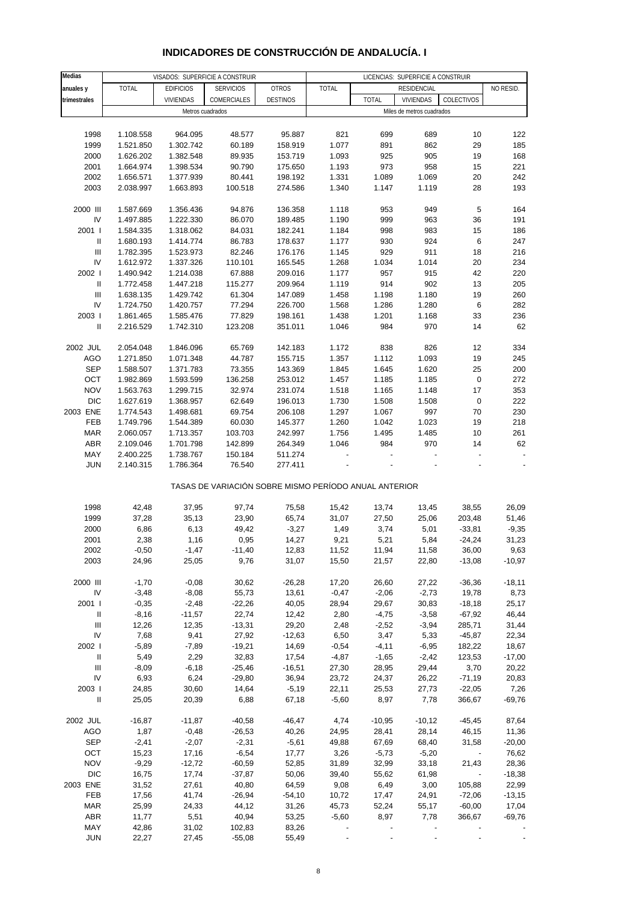# **INDICADORES DE CONSTRUCCIÓN DE ANDALUCÍA. I**

| <b>Medias</b>                      |              | VISADOS: SUPERFICIE A CONSTRUIR |                                                       |                 | LICENCIAS: SUPERFICIE A CONSTRUIR |              |                           |                          |           |
|------------------------------------|--------------|---------------------------------|-------------------------------------------------------|-----------------|-----------------------------------|--------------|---------------------------|--------------------------|-----------|
| anuales y                          | <b>TOTAL</b> | <b>EDIFICIOS</b>                | <b>SERVICIOS</b>                                      | <b>OTROS</b>    | <b>TOTAL</b>                      |              | <b>RESIDENCIAL</b>        |                          | NO RESID. |
| trimestrales                       |              | <b>VIVIENDAS</b>                | COMERCIALES                                           | <b>DESTINOS</b> |                                   | <b>TOTAL</b> | VIVIENDAS                 | COLECTIVOS               |           |
|                                    |              |                                 |                                                       |                 |                                   |              |                           |                          |           |
|                                    |              | Metros cuadrados                |                                                       |                 |                                   |              | Miles de metros cuadrados |                          |           |
|                                    |              |                                 |                                                       |                 |                                   |              |                           |                          |           |
| 1998                               | 1.108.558    | 964.095                         | 48.577                                                | 95.887          | 821                               | 699          | 689                       | 10                       | 122       |
| 1999                               | 1.521.850    | 1.302.742                       | 60.189                                                | 158.919         | 1.077                             | 891          | 862                       | 29                       | 185       |
| 2000                               | 1.626.202    | 1.382.548                       | 89.935                                                | 153.719         | 1.093                             | 925          | 905                       | 19                       | 168       |
| 2001                               | 1.664.974    | 1.398.534                       | 90.790                                                | 175.650         | 1.193                             | 973          | 958                       | 15                       | 221       |
| 2002                               | 1.656.571    | 1.377.939                       | 80.441                                                | 198.192         | 1.331                             | 1.089        | 1.069                     | 20                       | 242       |
|                                    |              |                                 |                                                       |                 |                                   |              |                           |                          |           |
| 2003                               | 2.038.997    | 1.663.893                       | 100.518                                               | 274.586         | 1.340                             | 1.147        | 1.119                     | 28                       | 193       |
|                                    |              |                                 |                                                       |                 |                                   |              |                           |                          |           |
| 2000 III                           | 1.587.669    | 1.356.436                       | 94.876                                                | 136.358         | 1.118                             | 953          | 949                       | $\sqrt{5}$               | 164       |
| IV                                 | 1.497.885    | 1.222.330                       | 86.070                                                | 189.485         | 1.190                             | 999          | 963                       | 36                       | 191       |
| 2001 l                             | 1.584.335    | 1.318.062                       | 84.031                                                | 182.241         | 1.184                             | 998          | 983                       | 15                       | 186       |
| Ш                                  | 1.680.193    | 1.414.774                       | 86.783                                                | 178.637         | 1.177                             | 930          | 924                       | 6                        | 247       |
| $\ensuremath{\mathsf{III}}\xspace$ | 1.782.395    | 1.523.973                       | 82.246                                                | 176.176         | 1.145                             | 929          | 911                       | 18                       | 216       |
| IV                                 | 1.612.972    | 1.337.326                       | 110.101                                               | 165.545         | 1.268                             | 1.034        | 1.014                     | 20                       | 234       |
| 2002                               | 1.490.942    | 1.214.038                       | 67.888                                                | 209.016         | 1.177                             | 957          | 915                       | 42                       | 220       |
|                                    |              |                                 |                                                       |                 |                                   |              |                           |                          |           |
| $\ensuremath{\mathsf{II}}$         | 1.772.458    | 1.447.218                       | 115.277                                               | 209.964         | 1.119                             | 914          | 902                       | 13                       | 205       |
| Ш                                  | 1.638.135    | 1.429.742                       | 61.304                                                | 147.089         | 1.458                             | 1.198        | 1.180                     | 19                       | 260       |
| IV                                 | 1.724.750    | 1.420.757                       | 77.294                                                | 226.700         | 1.568                             | 1.286        | 1.280                     | 6                        | 282       |
| 2003                               | 1.861.465    | 1.585.476                       | 77.829                                                | 198.161         | 1.438                             | 1.201        | 1.168                     | 33                       | 236       |
| Ш                                  | 2.216.529    | 1.742.310                       | 123.208                                               | 351.011         | 1.046                             | 984          | 970                       | 14                       | 62        |
|                                    |              |                                 |                                                       |                 |                                   |              |                           |                          |           |
| 2002 JUL                           | 2.054.048    | 1.846.096                       | 65.769                                                | 142.183         | 1.172                             | 838          | 826                       | 12                       | 334       |
|                                    |              |                                 |                                                       |                 | 1.357                             | 1.112        | 1.093                     |                          | 245       |
| AGO                                | 1.271.850    | 1.071.348                       | 44.787                                                | 155.715         |                                   |              |                           | 19                       |           |
| <b>SEP</b>                         | 1.588.507    | 1.371.783                       | 73.355                                                | 143.369         | 1.845                             | 1.645        | 1.620                     | 25                       | 200       |
| OCT                                | 1.982.869    | 1.593.599                       | 136.258                                               | 253.012         | 1.457                             | 1.185        | 1.185                     | $\pmb{0}$                | 272       |
| <b>NOV</b>                         | 1.563.763    | 1.299.715                       | 32.974                                                | 231.074         | 1.518                             | 1.165        | 1.148                     | 17                       | 353       |
| <b>DIC</b>                         | 1.627.619    | 1.368.957                       | 62.649                                                | 196.013         | 1.730                             | 1.508        | 1.508                     | $\pmb{0}$                | 222       |
| 2003 ENE                           | 1.774.543    | 1.498.681                       | 69.754                                                | 206.108         | 1.297                             | 1.067        | 997                       | 70                       | 230       |
| FEB                                | 1.749.796    | 1.544.389                       | 60.030                                                | 145.377         | 1.260                             | 1.042        | 1.023                     | 19                       | 218       |
| <b>MAR</b>                         | 2.060.057    | 1.713.357                       | 103.703                                               | 242.997         | 1.756                             | 1.495        | 1.485                     | 10                       | 261       |
| ABR                                | 2.109.046    | 1.701.798                       | 142.899                                               | 264.349         | 1.046                             | 984          | 970                       | 14                       | 62        |
|                                    |              |                                 |                                                       |                 |                                   |              |                           |                          |           |
| MAY                                | 2.400.225    | 1.738.767                       | 150.184                                               | 511.274         |                                   |              |                           |                          |           |
| <b>JUN</b>                         | 2.140.315    | 1.786.364                       | 76.540                                                | 277.411         |                                   |              |                           |                          |           |
|                                    |              |                                 | TASAS DE VARIACIÓN SOBRE MISMO PERÍODO ANUAL ANTERIOR |                 |                                   |              |                           |                          |           |
| 1998                               | 42,48        | 37,95                           | 97,74                                                 | 75,58           | 15,42                             | 13,74        | 13,45                     | 38,55                    | 26,09     |
| 1999                               | 37,28        | 35, 13                          | 23,90                                                 | 65,74           | 31,07                             | 27,50        | 25,06                     | 203,48                   | 51,46     |
|                                    |              |                                 |                                                       |                 |                                   |              |                           |                          |           |
| 2000                               | 6,86         | 6,13                            | 49,42                                                 | $-3,27$         | 1,49                              | 3,74         | 5,01                      | $-33,81$                 | $-9,35$   |
| 2001                               | 2,38         | 1,16                            | 0,95                                                  | 14,27           | 9,21                              | 5,21         | 5,84                      | $-24,24$                 | 31,23     |
| 2002                               | $-0,50$      | $-1,47$                         | $-11,40$                                              | 12,83           | 11,52                             | 11,94        | 11,58                     | 36,00                    | 9,63      |
| 2003                               | 24,96        | 25,05                           | 9,76                                                  | 31,07           | 15,50                             | 21,57        | 22,80                     | $-13,08$                 | $-10,97$  |
|                                    |              |                                 |                                                       |                 |                                   |              |                           |                          |           |
| 2000 III                           | $-1,70$      | $-0,08$                         | 30,62                                                 | $-26,28$        | 17,20                             | 26,60        | 27,22                     | $-36,36$                 | $-18,11$  |
| ${\sf IV}$                         | $-3,48$      | $-8,08$                         | 55,73                                                 | 13,61           | $-0,47$                           | $-2,06$      | $-2,73$                   | 19,78                    | 8,73      |
| 2001 l                             | $-0,35$      | $-2,48$                         | $-22,26$                                              | 40,05           | 28,94                             | 29,67        | 30,83                     | $-18,18$                 | 25,17     |
| Ш                                  | $-8,16$      | $-11,57$                        | 22,74                                                 | 12,42           | 2,80                              | $-4,75$      | $-3,58$                   | $-67,92$                 | 46,44     |
|                                    |              |                                 |                                                       |                 |                                   |              |                           |                          |           |
| Ш                                  | 12,26        | 12,35                           | $-13,31$                                              | 29,20           | 2,48                              | $-2,52$      | $-3,94$                   | 285,71                   | 31,44     |
| IV                                 | 7,68         | 9,41                            | 27,92                                                 | $-12,63$        | 6,50                              | 3,47         | 5,33                      | $-45,87$                 | 22,34     |
| 2002                               | $-5,89$      | $-7,89$                         | $-19,21$                                              | 14,69           | $-0,54$                           | $-4, 11$     | $-6,95$                   | 182,22                   | 18,67     |
| $\ensuremath{\mathsf{II}}$         | 5,49         | 2,29                            | 32,83                                                 | 17,54           | $-4,87$                           | $-1,65$      | $-2,42$                   | 123,53                   | $-17,00$  |
| $\ensuremath{\mathsf{III}}\xspace$ | $-8,09$      | $-6,18$                         | $-25,46$                                              | $-16,51$        | 27,30                             | 28,95        | 29,44                     | 3,70                     | 20,22     |
| IV                                 | 6,93         | 6,24                            | $-29,80$                                              | 36,94           | 23,72                             | 24,37        | 26,22                     | $-71,19$                 | 20,83     |
| 2003                               | 24,85        | 30,60                           | 14,64                                                 | $-5,19$         | 22,11                             | 25,53        | 27,73                     | $-22,05$                 | 7,26      |
| $\ensuremath{\mathsf{II}}$         | 25,05        | 20,39                           | 6,88                                                  | 67,18           | $-5,60$                           | 8,97         | 7,78                      | 366,67                   | $-69,76$  |
|                                    |              |                                 |                                                       |                 |                                   |              |                           |                          |           |
|                                    |              |                                 |                                                       |                 |                                   |              |                           |                          | 87,64     |
| 2002 JUL                           | $-16,87$     | $-11,87$                        | $-40,58$                                              | $-46,47$        | 4,74                              | $-10,95$     | $-10,12$                  | $-45,45$                 |           |
| AGO                                | 1,87         | $-0,48$                         | $-26,53$                                              | 40,26           | 24,95                             | 28,41        | 28,14                     | 46,15                    | 11,36     |
| <b>SEP</b>                         | $-2,41$      | $-2,07$                         | $-2,31$                                               | $-5,61$         | 49,88                             | 67,69        | 68,40                     | 31,58                    | $-20,00$  |
| OCT                                | 15,23        | 17,16                           | $-6,54$                                               | 17,77           | 3,26                              | $-5,73$      | $-5,20$                   | $\sim$                   | 76,62     |
| <b>NOV</b>                         | $-9,29$      | $-12,72$                        | $-60,59$                                              | 52,85           | 31,89                             | 32,99        | 33,18                     | 21,43                    | 28,36     |
| <b>DIC</b>                         | 16,75        | 17,74                           | $-37,87$                                              | 50,06           | 39,40                             | 55,62        | 61,98                     | $\overline{\phantom{a}}$ | $-18,38$  |
| 2003 ENE                           | 31,52        | 27,61                           | 40,80                                                 | 64,59           | 9,08                              | 6,49         | 3,00                      | 105,88                   | 22,99     |
| FEB                                | 17,56        | 41,74                           | $-26,94$                                              | $-54,10$        | 10,72                             | 17,47        | 24,91                     | $-72,06$                 | $-13,15$  |
| <b>MAR</b>                         | 25,99        | 24,33                           | 44,12                                                 | 31,26           | 45,73                             | 52,24        | 55,17                     | $-60,00$                 | 17,04     |
| ABR                                | 11,77        | 5,51                            | 40,94                                                 | 53,25           | $-5,60$                           | 8,97         | 7,78                      | 366,67                   | $-69,76$  |
|                                    |              |                                 |                                                       |                 |                                   |              |                           |                          |           |
| MAY                                | 42,86        | 31,02                           | 102,83                                                | 83,26           |                                   |              |                           |                          |           |
| <b>JUN</b>                         | 22,27        | 27,45                           | $-55,08$                                              | 55,49           |                                   |              |                           |                          |           |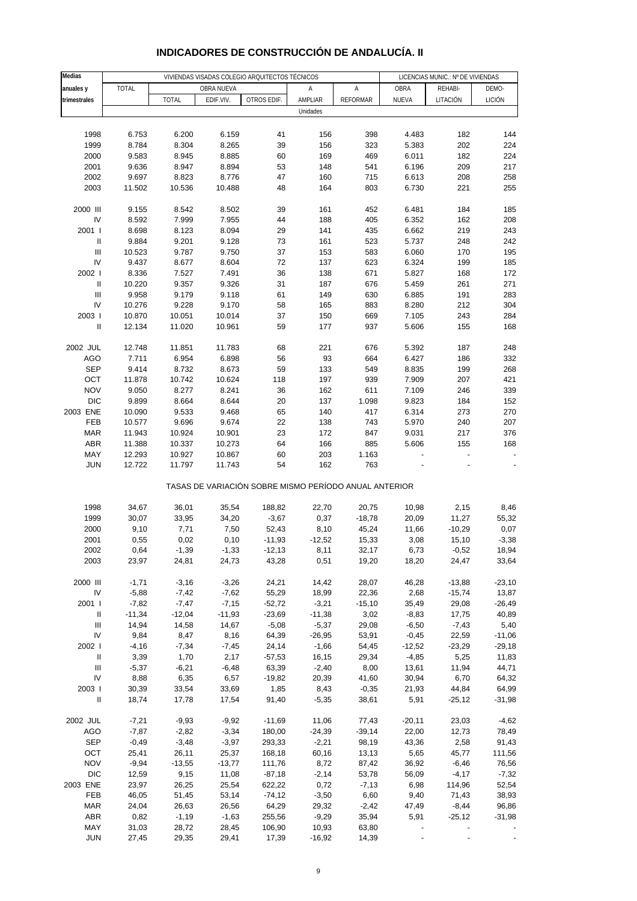| Medias                                   |                |                |                | VIVIENDAS VISADAS COLEGIO ARQUITECTOS TÉCNICOS        |                     | LICENCIAS MUNIC.: Nº DE VIVIENDAS |                    |                  |                  |
|------------------------------------------|----------------|----------------|----------------|-------------------------------------------------------|---------------------|-----------------------------------|--------------------|------------------|------------------|
| anuales y                                | <b>TOTAL</b>   |                | OBRA NUEVA     |                                                       | Α                   | Α                                 | OBRA               | REHABI-          | DEMO-            |
| trimestrales                             |                | <b>TOTAL</b>   | EDIF.VIV.      | OTROS EDIF.                                           | AMPLIAR             | <b>REFORMAR</b>                   | NUEVA              | LITACIÓN         | <b>LICIÓN</b>    |
|                                          |                |                |                |                                                       | Unidades            |                                   |                    |                  |                  |
|                                          |                |                |                |                                                       |                     |                                   |                    |                  |                  |
| 1998                                     | 6.753          | 6.200          | 6.159          | 41                                                    | 156                 | 398                               | 4.483              | 182              | 144              |
| 1999                                     | 8.784          | 8.304          | 8.265          | 39                                                    | 156                 | 323                               | 5.383              | 202              | 224              |
| 2000                                     | 9.583          | 8.945          | 8.885          | 60                                                    | 169                 | 469                               | 6.011              | 182              | 224              |
| 2001                                     | 9.636          | 8.947          | 8.894          | 53                                                    | 148                 | 541                               | 6.196              | 209              | 217              |
| 2002                                     | 9.697          | 8.823          | 8.776          | 47                                                    | 160                 | 715                               | 6.613              | 208              | 258              |
| 2003                                     | 11.502         | 10.536         | 10.488         | 48                                                    | 164                 | 803                               | 6.730              | 221              | 255              |
| 2000 III                                 | 9.155          | 8.542          | 8.502          | 39                                                    | 161                 | 452                               | 6.481              | 184              | 185              |
| IV                                       | 8.592          | 7.999          | 7.955          | 44                                                    | 188                 | 405                               | 6.352              | 162              | 208              |
| 2001 l                                   | 8.698          | 8.123          | 8.094          | 29                                                    | 141                 | 435                               | 6.662              | 219              | 243              |
| $\sf II$                                 | 9.884          | 9.201          | 9.128          | 73                                                    | 161                 | 523                               | 5.737              | 248              | 242              |
| $\ensuremath{\mathsf{III}}\xspace$       | 10.523         | 9.787          | 9.750          | 37                                                    | 153                 | 583                               | 6.060              | 170              | 195              |
| IV                                       | 9.437          | 8.677          | 8.604          | $72\,$                                                | 137                 | 623                               | 6.324              | 199              | 185              |
| 2002 l                                   | 8.336          | 7.527          | 7.491          | 36                                                    | 138                 | 671                               | 5.827              | 168              | 172              |
| Ш                                        | 10.220         | 9.357          | 9.326          | 31                                                    | 187                 | 676                               | 5.459              | 261              | 271              |
| $\ensuremath{\mathsf{III}}\xspace$       | 9.958          | 9.179          | 9.118          | 61                                                    | 149                 | 630                               | 6.885              | 191              | 283              |
| IV                                       | 10.276         | 9.228          | 9.170          | 58                                                    | 165                 | 883                               | 8.280              | 212              | 304              |
| 2003                                     | 10.870         | 10.051         | 10.014         | 37                                                    | 150                 | 669                               | 7.105              | 243              | 284              |
| Ш                                        | 12.134         | 11.020         | 10.961         | 59                                                    | 177                 | 937                               | 5.606              | 155              | 168              |
| 2002 JUL                                 | 12.748         | 11.851         | 11.783         | 68                                                    | 221                 | 676                               | 5.392              | 187              | 248              |
| AGO                                      | 7.711          | 6.954          | 6.898          | 56                                                    | 93                  | 664                               | 6.427              | 186              | 332              |
| <b>SEP</b>                               | 9.414          | 8.732          | 8.673          | 59                                                    | 133                 | 549                               | 8.835              | 199              | 268              |
| OCT                                      | 11.878         | 10.742         | 10.624         | 118                                                   | 197                 | 939                               | 7.909              | 207              | 421              |
| <b>NOV</b>                               | 9.050          | 8.277          | 8.241          | 36                                                    | 162                 | 611                               | 7.109              | 246              | 339              |
| <b>DIC</b>                               | 9.899          | 8.664          | 8.644          | 20                                                    | 137                 | 1.098                             | 9.823              | 184              | 152              |
| 2003 ENE                                 | 10.090         | 9.533          | 9.468          | 65                                                    | 140                 | 417                               | 6.314              | 273              | 270              |
| FEB                                      | 10.577         | 9.696          | 9.674          | 22                                                    | 138                 | 743                               | 5.970              | 240              | 207              |
| <b>MAR</b>                               | 11.943         | 10.924         | 10.901         | 23                                                    | 172                 | 847                               | 9.031              | 217              | 376              |
| ABR                                      | 11.388         | 10.337         | 10.273         | 64                                                    | 166                 | 885                               | 5.606              | 155              | 168              |
| MAY                                      | 12.293         | 10.927         | 10.867         | 60                                                    | 203                 | 1.163                             |                    |                  |                  |
| <b>JUN</b>                               | 12.722         | 11.797         | 11.743         | 54                                                    | 162                 | 763                               |                    |                  |                  |
|                                          |                |                |                | TASAS DE VARIACIÓN SOBRE MISMO PERÍODO ANUAL ANTERIOR |                     |                                   |                    |                  |                  |
| 1998                                     | 34,67          | 36,01          | 35,54          | 188,82                                                | 22,70               | 20,75                             | 10,98              | 2,15             | 8,46             |
| 1999                                     | 30,07          | 33,95          | 34,20          | $-3,67$                                               | 0,37                | $-18,78$                          | 20,09              | 11,27            | 55,32            |
| 2000                                     | 9,10           | 7,71           | 7,50           | 52,43                                                 | 8,10                | 45,24                             | 11,66              | $-10,29$         | 0,07             |
| 2001                                     | 0,55           | 0,02           | 0,10           | $-11,93$                                              | $-12,52$            | 15,33                             | 3,08               | 15,10            | $-3,38$          |
| 2002                                     | 0,64           | $-1,39$        | $-1,33$        | $-12,13$                                              | 8,11                | 32,17                             | 6,73               | $-0,52$          | 18,94            |
| 2003                                     | 23,97          | 24,81          | 24,73          | 43,28                                                 | 0,51                | 19,20                             | 18,20              | 24,47            | 33,64            |
|                                          |                |                |                |                                                       |                     |                                   |                    |                  |                  |
| 2000 III                                 | $-1,71$        | $-3,16$        | $-3,26$        | 24,21                                                 | 14,42               | 28,07                             | 46,28              | $-13,88$         | $-23,10$         |
| IV                                       | $-5,88$        | $-7,42$        | $-7,62$        | 55,29                                                 | 18,99               | 22,36                             | 2,68               | $-15,74$         | 13,87            |
| 2001 l                                   | $-7,82$        | $-7,47$        | $-7,15$        | $-52,72$                                              | $-3,21$             | $-15,10$                          | 35,49              | 29,08            | $-26,49$         |
| Ш                                        | $-11,34$       | $-12,04$       | $-11,93$       | $-23,69$                                              | $-11,38$            | 3,02                              | $-8,83$            | 17,75            | 40,89            |
| $\ensuremath{\mathsf{III}}\xspace$<br>IV | 14,94<br>9,84  | 14,58<br>8,47  | 14,67<br>8,16  | $-5,08$<br>64,39                                      | $-5,37$<br>$-26,95$ | 29,08<br>53,91                    | $-6,50$<br>$-0,45$ | $-7,43$<br>22,59 | 5,40<br>$-11,06$ |
| 2002 l                                   | $-4,16$        | $-7,34$        | $-7,45$        | 24,14                                                 | $-1,66$             | 54,45                             | $-12,52$           | $-23,29$         | $-29,18$         |
| $\ensuremath{\mathsf{II}}$               | 3,39           | 1,70           | 2,17           | $-57,53$                                              | 16,15               | 29,34                             | $-4,85$            | 5,25             | 11,83            |
| $\ensuremath{\mathsf{III}}\xspace$       | $-5,37$        | $-6,21$        | $-6,48$        | 63,39                                                 | $-2,40$             | 8,00                              | 13,61              | 11,94            | 44,71            |
| IV                                       | 8,88           | 6,35           | 6,57           | $-19,82$                                              | 20,39               | 41,60                             | 30,94              | 6,70             | 64,32            |
| 2003                                     | 30,39          | 33,54          | 33,69          | 1,85                                                  | 8,43                | $-0,35$                           | 21,93              | 44,84            | 64,99            |
| $\ensuremath{\mathsf{II}}$               | 18,74          | 17,78          | 17,54          | 91,40                                                 | $-5,35$             | 38,61                             | 5,91               | $-25,12$         | $-31,98$         |
|                                          |                |                |                |                                                       |                     |                                   |                    |                  |                  |
| 2002 JUL                                 | $-7,21$        | $-9,93$        | $-9,92$        | $-11,69$                                              | 11,06               | 77,43                             | $-20,11$           | 23,03            | $-4,62$          |
| AGO                                      | $-7,87$        | $-2,82$        | $-3,34$        | 180,00                                                | $-24,39$            | $-39,14$                          | 22,00              | 12,73            | 78,49            |
| <b>SEP</b>                               | $-0,49$        | $-3,48$        | $-3,97$        | 293,33                                                | $-2,21$             | 98,19                             | 43,36              | 2,58             | 91,43            |
| OCT                                      | 25,41          | 26,11          | 25,37          | 168,18                                                | 60,16               | 13,13                             | 5,65               | 45,77            | 111,56           |
| <b>NOV</b>                               | $-9,94$        | $-13,55$       | $-13,77$       | 111,76                                                | 8,72                | 87,42                             | 36,92              | $-6,46$          | 76,56            |
| <b>DIC</b>                               | 12,59          | 9,15           | 11,08          | $-87,18$                                              | $-2,14$             | 53,78                             | 56,09              | $-4, 17$         | $-7,32$          |
| 2003 ENE<br>FEB                          | 23,97<br>46,05 | 26,25<br>51,45 | 25,54<br>53,14 | 622,22<br>$-74, 12$                                   | 0,72<br>$-3,50$     | $-7,13$<br>6,60                   | 6,98<br>9,40       | 114,96<br>71,43  | 52,54<br>38,93   |
| <b>MAR</b>                               | 24,04          | 26,63          | 26,56          | 64,29                                                 | 29,32               | $-2,42$                           | 47,49              | $-8,44$          | 96,86            |
| <b>ABR</b>                               | 0,82           | $-1,19$        | $-1,63$        | 255,56                                                | $-9,29$             | 35,94                             | 5,91               | $-25,12$         | $-31,98$         |
| MAY                                      | 31,03          | 28,72          | 28,45          | 106,90                                                | 10,93               | 63,80                             |                    |                  |                  |
| <b>JUN</b>                               | 27,45          | 29,35          | 29,41          | 17,39                                                 | $-16,92$            | 14,39                             |                    |                  |                  |

## **INDICADORES DE CONSTRUCCIÓN DE ANDALUCÍA. II**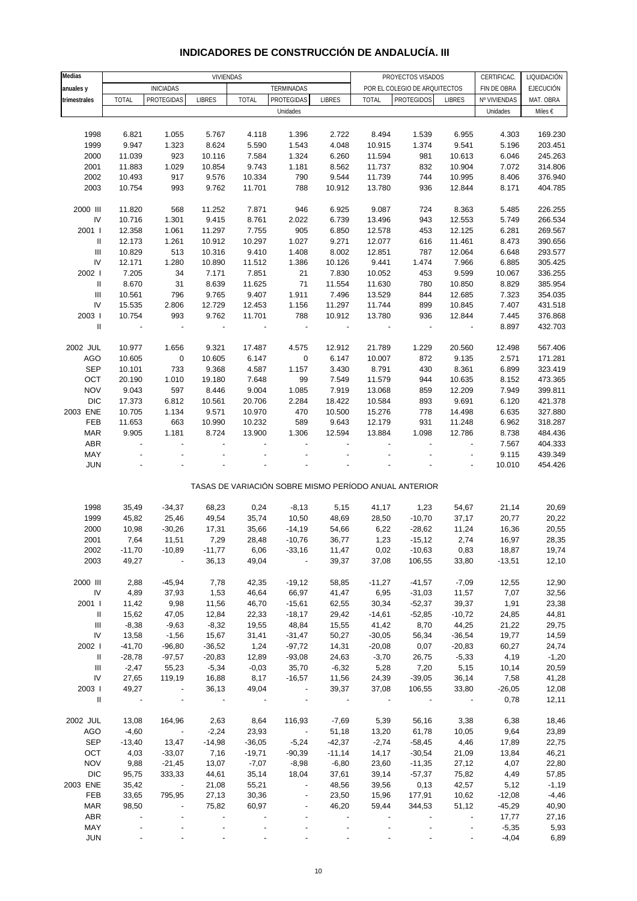| <b>Medias</b>                      |                          |                          | <b>VIVIENDAS</b>         |                  |                          |                 |                  | PROYECTOS VISADOS                                     |                          | CERTIFICAC.          | LIQUIDACIÓN        |
|------------------------------------|--------------------------|--------------------------|--------------------------|------------------|--------------------------|-----------------|------------------|-------------------------------------------------------|--------------------------|----------------------|--------------------|
| anuales y                          |                          | <b>INICIADAS</b>         |                          |                  | TERMINADAS               |                 |                  | POR EL COLEGIO DE ARQUITECTOS                         |                          | FIN DE OBRA          | EJECUCIÓN          |
| trimestrales                       | <b>TOTAL</b>             | <b>PROTEGIDAS</b>        | <b>LIBRES</b>            | <b>TOTAL</b>     | PROTEGIDAS               | <b>LIBRES</b>   | <b>TOTAL</b>     | <b>PROTEGIDOS</b>                                     | <b>LIBRES</b>            | Nº VIVIENDAS         | MAT. OBRA          |
|                                    |                          |                          |                          |                  | Unidades                 |                 |                  |                                                       |                          | Unidades             | Miles €            |
|                                    |                          |                          |                          |                  |                          |                 |                  |                                                       |                          |                      |                    |
| 1998                               | 6.821                    | 1.055                    | 5.767                    | 4.118            | 1.396                    | 2.722           | 8.494            | 1.539                                                 | 6.955                    | 4.303                | 169.230            |
| 1999                               | 9.947                    | 1.323                    | 8.624                    | 5.590            | 1.543                    | 4.048           | 10.915           | 1.374                                                 | 9.541                    | 5.196                | 203.451            |
| 2000                               | 11.039                   | 923                      | 10.116                   | 7.584            | 1.324                    | 6.260           | 11.594           | 981                                                   | 10.613                   | 6.046                | 245.263            |
| 2001                               | 11.883                   | 1.029                    | 10.854                   | 9.743            | 1.181                    | 8.562           | 11.737           | 832                                                   | 10.904                   | 7.072                | 314.806            |
| 2002                               | 10.493                   | 917                      | 9.576                    | 10.334           | 790                      | 9.544           | 11.739           | 744                                                   | 10.995                   | 8.406                | 376.940            |
| 2003                               | 10.754                   | 993                      | 9.762                    | 11.701           | 788                      | 10.912          | 13.780           | 936                                                   | 12.844                   | 8.171                | 404.785            |
|                                    |                          |                          |                          |                  |                          |                 |                  |                                                       |                          |                      |                    |
| 2000 III<br>IV                     | 11.820<br>10.716         | 568<br>1.301             | 11.252<br>9.415          | 7.871<br>8.761   | 946<br>2.022             | 6.925<br>6.739  | 9.087<br>13.496  | 724<br>943                                            | 8.363<br>12.553          | 5.485<br>5.749       | 226.255<br>266.534 |
| 2001 l                             | 12.358                   | 1.061                    | 11.297                   | 7.755            | 905                      | 6.850           | 12.578           | 453                                                   | 12.125                   | 6.281                | 269.567            |
| Ш                                  | 12.173                   | 1.261                    | 10.912                   | 10.297           | 1.027                    | 9.271           | 12.077           | 616                                                   | 11.461                   | 8.473                | 390.656            |
| $\ensuremath{\mathsf{III}}\xspace$ | 10.829                   | 513                      | 10.316                   | 9.410            | 1.408                    | 8.002           | 12.851           | 787                                                   | 12.064                   | 6.648                | 293.577            |
| IV                                 | 12.171                   | 1.280                    | 10.890                   | 11.512           | 1.386                    | 10.126          | 9.441            | 1.474                                                 | 7.966                    | 6.885                | 305.425            |
| 2002 l                             | 7.205                    | 34                       | 7.171                    | 7.851            | 21                       | 7.830           | 10.052           | 453                                                   | 9.599                    | 10.067               | 336.255            |
| $\, \, \mathrm{II}$                | 8.670                    | 31                       | 8.639                    | 11.625           | 71                       | 11.554          | 11.630           | 780                                                   | 10.850                   | 8.829                | 385.954            |
| $\mathbf{III}$                     | 10.561                   | 796                      | 9.765                    | 9.407            | 1.911                    | 7.496           | 13.529           | 844                                                   | 12.685                   | 7.323                | 354.035            |
| IV                                 | 15.535                   | 2.806                    | 12.729                   | 12.453           | 1.156                    | 11.297          | 11.744           | 899                                                   | 10.845                   | 7.407                | 431.518            |
| 2003                               | 10.754                   | 993                      | 9.762                    | 11.701           | 788                      | 10.912          | 13.780           | 936                                                   | 12.844                   | 7.445                | 376.868            |
| $\mathbf{I}$                       |                          |                          | $\overline{\phantom{a}}$ |                  | $\frac{1}{2}$            |                 |                  | $\qquad \qquad \blacksquare$                          |                          | 8.897                | 432.703            |
|                                    |                          |                          |                          |                  |                          |                 |                  |                                                       |                          |                      |                    |
| 2002 JUL                           | 10.977                   | 1.656                    | 9.321                    | 17.487           | 4.575                    | 12.912          | 21.789           | 1.229                                                 | 20.560                   | 12.498               | 567.406            |
| AGO                                | 10.605                   | $\pmb{0}$                | 10.605                   | 6.147            | 0                        | 6.147           | 10.007           | 872                                                   | 9.135                    | 2.571                | 171.281            |
| <b>SEP</b>                         | 10.101                   | 733                      | 9.368                    | 4.587            | 1.157                    | 3.430           | 8.791            | 430                                                   | 8.361                    | 6.899                | 323.419            |
| OCT                                | 20.190                   | 1.010                    | 19.180                   | 7.648            | 99                       | 7.549           | 11.579           | 944                                                   | 10.635                   | 8.152                | 473.365            |
| <b>NOV</b>                         | 9.043                    | 597                      | 8.446                    | 9.004            | 1.085                    | 7.919           | 13.068           | 859                                                   | 12.209                   | 7.949                | 399.811            |
| <b>DIC</b><br>2003 ENE             | 17.373                   | 6.812                    | 10.561                   | 20.706           | 2.284<br>470             | 18.422          | 10.584           | 893                                                   | 9.691                    | 6.120                | 421.378            |
| FEB                                | 10.705<br>11.653         | 1.134<br>663             | 9.571<br>10.990          | 10.970<br>10.232 | 589                      | 10.500<br>9.643 | 15.276<br>12.179 | 778<br>931                                            | 14.498<br>11.248         | 6.635<br>6.962       | 327.880<br>318.287 |
| <b>MAR</b>                         | 9.905                    | 1.181                    | 8.724                    | 13.900           | 1.306                    | 12.594          | 13.884           | 1.098                                                 | 12.786                   | 8.738                | 484.436            |
| ABR                                | $\overline{\phantom{a}}$ | $\overline{\phantom{a}}$ | ÷,                       |                  |                          |                 |                  | ÷,                                                    | $\overline{\phantom{a}}$ | 7.567                | 404.333            |
| MAY                                |                          |                          |                          |                  |                          |                 |                  |                                                       |                          | 9.115                | 439.349            |
| <b>JUN</b>                         |                          |                          |                          |                  |                          |                 |                  |                                                       |                          | 10.010               | 454.426            |
|                                    |                          |                          |                          |                  |                          |                 |                  |                                                       |                          |                      |                    |
|                                    |                          |                          |                          |                  |                          |                 |                  | TASAS DE VARIACIÓN SOBRE MISMO PERÍODO ANUAL ANTERIOR |                          |                      |                    |
|                                    |                          |                          |                          |                  |                          |                 |                  |                                                       |                          |                      |                    |
| 1998                               | 35,49                    | $-34,37$                 | 68,23                    | 0,24             | $-8,13$                  | 5,15            | 41,17            | 1,23                                                  | 54,67                    | 21,14                | 20,69              |
| 1999                               | 45,82                    | 25,46                    | 49,54                    | 35,74            | 10,50                    | 48,69           | 28,50            | $-10,70$                                              | 37,17                    | 20,77                | 20,22              |
| 2000                               | 10,98                    | $-30,26$                 | 17,31                    | 35,66            | $-14,19$                 | 54,66           | 6,22             | $-28,62$                                              | 11,24                    | 16,36                | 20,55              |
| 2001                               | 7,64                     | 11,51                    | 7,29                     | 28,48            | $-10,76$                 | 36,77           | 1,23             | $-15,12$                                              | 2,74                     | 16,97                | 28,35              |
| 2002                               | $-11,70$                 | $-10,89$                 | $-11,77$                 | 6,06             | $-33,16$                 | 11,47           | 0,02             | $-10,63$                                              | 0,83                     | 18,87                | 19,74              |
| 2003                               | 49,27                    |                          | 36,13                    | 49,04            |                          | 39,37           | 37,08            | 106,55                                                | 33,80                    | $-13,51$             | 12,10              |
|                                    |                          |                          |                          |                  |                          |                 |                  |                                                       |                          |                      |                    |
| 2000 III<br>IV                     | 2,88<br>4,89             | $-45,94$<br>37,93        | 7,78<br>1,53             | 42,35<br>46,64   | $-19,12$<br>66,97        | 58,85<br>41,47  | $-11,27$<br>6,95 | $-41,57$<br>$-31,03$                                  | $-7,09$<br>11,57         | 12,55<br>7,07        | 12,90<br>32,56     |
| 2001 l                             | 11,42                    | 9,98                     | 11,56                    | 46,70            | $-15,61$                 | 62,55           | 30,34            | $-52,37$                                              | 39,37                    | 1,91                 | 23,38              |
| $\mathbf{I}$                       | 15,62                    | 47,05                    | 12,84                    | 22,33            | $-18,17$                 | 29,42           | $-14,61$         | $-52,85$                                              | $-10,72$                 | 24,85                | 44,81              |
| $\mathbf{III}$                     | $-8,38$                  | $-9,63$                  | $-8,32$                  | 19,55            | 48,84                    | 15,55           | 41,42            | 8,70                                                  | 44,25                    | 21,22                | 29,75              |
| IV                                 | 13,58                    | $-1,56$                  | 15,67                    | 31,41            | $-31,47$                 | 50,27           | $-30,05$         | 56,34                                                 | $-36,54$                 | 19,77                | 14,59              |
| 2002                               | $-41,70$                 | $-96,80$                 | $-36,52$                 | 1,24             | $-97,72$                 | 14,31           | $-20,08$         | 0,07                                                  | $-20,83$                 | 60,27                | 24,74              |
| $\mathbf{II}$                      | $-28,78$                 | $-97,57$                 | $-20,83$                 | 12,89            | $-93,08$                 | 24,63           | $-3,70$          | 26,75                                                 | $-5,33$                  | 4,19                 | $-1,20$            |
| $\ensuremath{\mathsf{III}}\xspace$ | $-2,47$                  | 55,23                    | $-5,34$                  | $-0,03$          | 35,70                    | $-6,32$         | 5,28             | 7,20                                                  | 5,15                     | 10,14                | 20,59              |
| IV                                 | 27,65                    | 119,19                   | 16,88                    | 8,17             | $-16,57$                 | 11,56           | 24,39            | $-39,05$                                              | 36,14                    | 7,58                 | 41,28              |
| 2003                               | 49,27                    | $\sim$ $\sim$            | 36,13                    | 49,04            | $\sim$                   | 39,37           | 37,08            | 106,55                                                | 33,80                    | $-26,05$             | 12,08              |
| $\mathbf{II}$                      | $\sim 100$               | $\sim$                   | $\sim 100$               | $\sim 100$       | $\overline{\phantom{a}}$ | $\sim 100$      |                  |                                                       | $\sim$ $-$               | 0,78                 | 12,11              |
|                                    |                          |                          |                          |                  |                          |                 |                  |                                                       |                          |                      |                    |
| 2002 JUL                           | 13,08                    | 164,96                   | 2,63                     | 8,64             | 116,93                   | $-7,69$         | 5,39             | 56,16                                                 | 3,38                     | 6,38                 | 18,46              |
| AGO                                | $-4,60$                  | $\sim 100$ km $^{-1}$    | $-2,24$                  | 23,93            | $\sim 100$ km $^{-1}$    | 51,18           | 13,20            | 61,78                                                 | 10,05                    | 9,64                 | 23,89              |
| <b>SEP</b>                         | $-13,40$                 | 13,47                    | $-14,98$                 | $-36,05$         | $-5,24$                  | $-42,37$        | $-2,74$          | $-58,45$                                              | 4,46                     | 17,89                | 22,75              |
| OCT                                | 4,03                     | $-33,07$                 | 7,16                     | $-19,71$         | $-90,39$                 | $-11,14$        | 14,17            | $-30,54$                                              | 21,09                    | 13,84                | 46,21              |
| <b>NOV</b>                         | 9,88                     | $-21,45$                 | 13,07                    | $-7,07$          | $-8,98$                  | $-6,80$         | 23,60            | $-11,35$                                              | 27,12                    | 4,07                 | 22,80              |
| <b>DIC</b>                         | 95,75                    | 333,33                   | 44,61                    | 35,14            | 18,04                    | 37,61           | 39,14            | $-57,37$                                              | 75,82                    | 4,49                 | 57,85              |
| 2003 ENE                           | 35,42                    | $\sim 100$ km s $^{-1}$  | 21,08                    | 55,21            | $\blacksquare$           | 48,56           | 39,56            | 0,13                                                  | 42,57                    | 5,12                 | $-1,19$            |
| FEB<br><b>MAR</b>                  | 33,65<br>98,50           | 795,95                   | 27,13<br>75,82           | 30,36<br>60,97   | $\overline{\phantom{a}}$ | 23,50<br>46,20  | 15,96<br>59,44   | 177,91<br>344,53                                      | 10,62<br>51,12           | $-12,08$<br>$-45,29$ | $-4,46$<br>40,90   |
| ABR                                |                          |                          |                          |                  |                          |                 |                  |                                                       |                          | 17,77                | 27,16              |
| MAY                                |                          |                          |                          |                  |                          |                 |                  |                                                       |                          | $-5,35$              | 5,93               |

### **INDICADORES DE CONSTRUCCIÓN DE ANDALUCÍA. III**

JUN - - - - - - - - - -4,04 6,89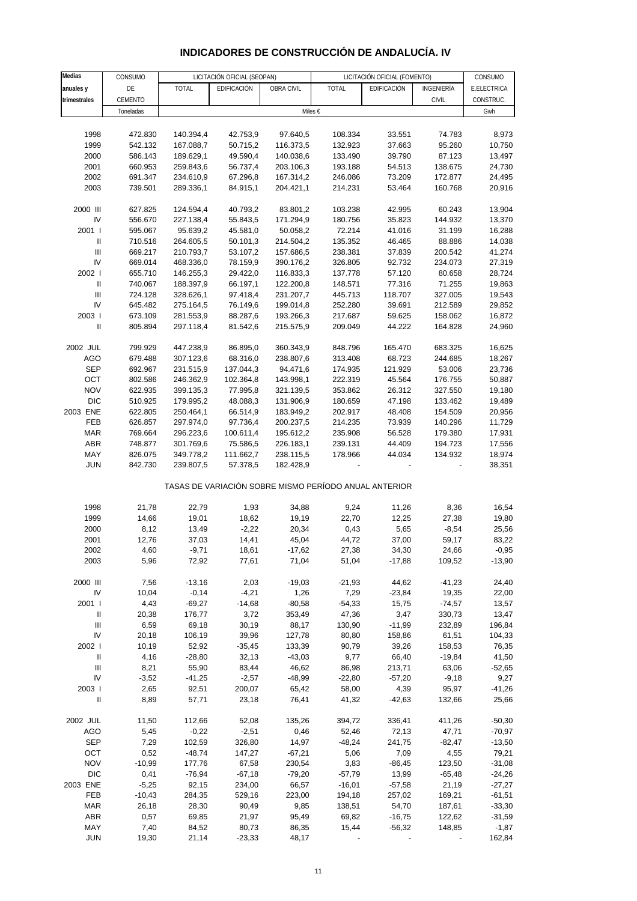## **INDICADORES DE CONSTRUCCIÓN DE ANDALUCÍA. IV**

| Medias                     | CONSUMO   |              | LICITACIÓN OFICIAL (SEOPAN) |            |                                                       | LICITACIÓN OFICIAL (FOMENTO) |              | CONSUMO     |
|----------------------------|-----------|--------------|-----------------------------|------------|-------------------------------------------------------|------------------------------|--------------|-------------|
| anuales y                  | DE        | <b>TOTAL</b> | EDIFICACIÓN                 | OBRA CIVIL | <b>TOTAL</b>                                          | EDIFICACIÓN                  | INGENIERÍA   | E.ELECTRICA |
| trimestrales               | CEMENTO   |              |                             |            |                                                       |                              | <b>CIVIL</b> | CONSTRUC.   |
|                            | Toneladas |              |                             | Miles €    |                                                       |                              |              | Gwh         |
|                            |           |              |                             |            |                                                       |                              |              |             |
|                            |           |              |                             |            |                                                       |                              |              |             |
| 1998                       | 472.830   | 140.394,4    | 42.753,9                    | 97.640,5   | 108.334                                               | 33.551                       | 74.783       | 8,973       |
| 1999                       | 542.132   | 167.088,7    | 50.715,2                    | 116.373,5  | 132.923                                               | 37.663                       | 95.260       | 10,750      |
| 2000                       | 586.143   | 189.629,1    | 49.590,4                    | 140.038,6  | 133.490                                               | 39.790                       | 87.123       | 13,497      |
| 2001                       | 660.953   | 259.843,6    | 56.737,4                    | 203.106,3  | 193.188                                               | 54.513                       | 138.675      | 24,730      |
| 2002                       | 691.347   | 234.610,9    | 67.296,8                    | 167.314,2  | 246.086                                               | 73.209                       | 172.877      | 24,495      |
| 2003                       | 739.501   | 289.336,1    | 84.915,1                    | 204.421,1  | 214.231                                               | 53.464                       | 160.768      | 20,916      |
|                            |           |              |                             |            |                                                       |                              |              |             |
| 2000 III                   | 627.825   | 124.594,4    | 40.793,2                    | 83.801,2   | 103.238                                               | 42.995                       | 60.243       | 13,904      |
| IV                         | 556.670   | 227.138,4    | 55.843,5                    | 171.294,9  | 180.756                                               | 35.823                       | 144.932      | 13,370      |
| 2001 l                     | 595.067   | 95.639,2     | 45.581,0                    | 50.058,2   | 72.214                                                | 41.016                       | 31.199       | 16,288      |
| Ш                          | 710.516   | 264.605,5    | 50.101,3                    | 214.504,2  | 135.352                                               | 46.465                       | 88.886       | 14,038      |
| Ш                          | 669.217   | 210.793,7    | 53.107,2                    | 157.686,5  | 238.381                                               | 37.839                       | 200.542      | 41,274      |
|                            |           |              |                             |            |                                                       |                              |              |             |
| IV                         | 669.014   | 468.336,0    | 78.159,9                    | 390.176,2  | 326.805                                               | 92.732                       | 234.073      | 27,319      |
| 2002                       | 655.710   | 146.255,3    | 29.422,0                    | 116.833,3  | 137.778                                               | 57.120                       | 80.658       | 28,724      |
| $\ensuremath{\mathsf{II}}$ | 740.067   | 188.397,9    | 66.197,1                    | 122.200,8  | 148.571                                               | 77.316                       | 71.255       | 19,863      |
| Ш                          | 724.128   | 328.626,1    | 97.418,4                    | 231.207,7  | 445.713                                               | 118.707                      | 327.005      | 19,543      |
| IV                         | 645.482   | 275.164,5    | 76.149,6                    | 199.014,8  | 252.280                                               | 39.691                       | 212.589      | 29,852      |
| 2003                       | 673.109   | 281.553,9    | 88.287,6                    | 193.266,3  | 217.687                                               | 59.625                       | 158.062      | 16,872      |
| Ш                          | 805.894   | 297.118,4    | 81.542,6                    | 215.575,9  | 209.049                                               | 44.222                       | 164.828      | 24,960      |
|                            |           |              |                             |            |                                                       |                              |              |             |
| 2002 JUL                   | 799.929   | 447.238,9    | 86.895,0                    | 360.343,9  | 848.796                                               | 165.470                      | 683.325      | 16,625      |
| <b>AGO</b>                 | 679.488   | 307.123,6    | 68.316,0                    | 238.807,6  | 313.408                                               | 68.723                       | 244.685      | 18,267      |
|                            |           |              |                             |            |                                                       |                              |              |             |
| <b>SEP</b>                 | 692.967   | 231.515,9    | 137.044,3                   | 94.471,6   | 174.935                                               | 121.929                      | 53.006       | 23,736      |
| OCT                        | 802.586   | 246.362,9    | 102.364,8                   | 143.998,1  | 222.319                                               | 45.564                       | 176.755      | 50,887      |
| <b>NOV</b>                 | 622.935   | 399.135,3    | 77.995,8                    | 321.139,5  | 353.862                                               | 26.312                       | 327.550      | 19,180      |
| <b>DIC</b>                 | 510.925   | 179.995,2    | 48.088,3                    | 131.906,9  | 180.659                                               | 47.198                       | 133.462      | 19,489      |
| 2003 ENE                   | 622.805   | 250.464,1    | 66.514,9                    | 183.949,2  | 202.917                                               | 48.408                       | 154.509      | 20,956      |
| FEB                        | 626.857   | 297.974,0    | 97.736,4                    | 200.237,5  | 214.235                                               | 73.939                       | 140.296      | 11,729      |
| <b>MAR</b>                 | 769.664   | 296.223,6    | 100.611,4                   | 195.612,2  | 235.908                                               | 56.528                       | 179.380      | 17,931      |
| ABR                        | 748.877   | 301.769,6    | 75.586,5                    | 226.183,1  | 239.131                                               | 44.409                       | 194.723      | 17,556      |
| MAY                        | 826.075   | 349.778,2    | 111.662,7                   | 238.115,5  | 178.966                                               | 44.034                       | 134.932      | 18,974      |
| <b>JUN</b>                 | 842.730   | 239.807,5    | 57.378,5                    | 182.428,9  |                                                       |                              |              | 38,351      |
|                            |           |              |                             |            |                                                       |                              |              |             |
|                            |           |              |                             |            | TASAS DE VARIACIÓN SOBRE MISMO PERÍODO ANUAL ANTERIOR |                              |              |             |
|                            |           |              |                             |            |                                                       |                              |              |             |
| 1998                       | 21,78     | 22,79        | 1,93                        | 34,88      | 9,24                                                  | 11,26                        | 8,36         | 16,54       |
| 1999                       | 14,66     | 19,01        | 18,62                       | 19,19      | 22,70                                                 | 12,25                        | 27,38        | 19,80       |
| 2000                       | 8,12      | 13,49        | $-2,22$                     | 20,34      | 0,43                                                  | 5,65                         | $-8,54$      | 25,56       |
| 2001                       | 12,76     | 37,03        | 14,41                       | 45,04      | 44,72                                                 | 37,00                        | 59,17        | 83,22       |
| 2002                       | 4,60      | $-9,71$      | 18,61                       | $-17,62$   | 27,38                                                 | 34,30                        | 24,66        | $-0,95$     |
| 2003                       | 5,96      | 72,92        | 77,61                       | 71,04      | 51,04                                                 | $-17,88$                     | 109,52       | $-13,90$    |
|                            |           |              |                             |            |                                                       |                              |              |             |
| 2000 III                   | 7,56      | $-13,16$     | 2,03                        | $-19,03$   | $-21,93$                                              | 44,62                        | $-41,23$     | 24,40       |
| IV                         | 10,04     | $-0,14$      | $-4,21$                     | 1,26       | 7,29                                                  | $-23,84$                     | 19,35        | 22,00       |
|                            |           |              |                             |            |                                                       |                              |              |             |
| 2001 l                     | 4,43      | $-69,27$     | $-14,68$                    | $-80,58$   | $-54,33$                                              | 15,75                        | $-74,57$     | 13,57       |
| Ш                          | 20,38     | 176,77       | 3,72                        | 353,49     | 47,36                                                 | 3,47                         | 330,73       | 13,47       |
| Ш                          | 6,59      | 69,18        | 30,19                       | 88,17      | 130,90                                                | $-11,99$                     | 232,89       | 196,84      |
| IV                         | 20,18     | 106,19       | 39,96                       | 127,78     | 80,80                                                 | 158,86                       | 61,51        | 104,33      |
| 2002                       | 10,19     | 52,92        | $-35,45$                    | 133,39     | 90,79                                                 | 39,26                        | 158,53       | 76,35       |
| $\ensuremath{\mathsf{II}}$ | 4,16      | $-28,80$     | 32,13                       | $-43,03$   | 9,77                                                  | 66,40                        | $-19,84$     | 41,50       |
| Ш                          | 8,21      | 55,90        | 83,44                       | 46,62      | 86,98                                                 | 213,71                       | 63,06        | $-52,65$    |
| IV                         | $-3,52$   | $-41,25$     | $-2,57$                     | $-48,99$   | $-22,80$                                              | $-57,20$                     | $-9,18$      | 9,27        |
| 2003                       | 2,65      | 92,51        | 200,07                      | 65,42      | 58,00                                                 | 4,39                         | 95,97        | $-41,26$    |
| Ш                          | 8,89      | 57,71        | 23,18                       | 76,41      | 41,32                                                 | $-42,63$                     | 132,66       | 25,66       |
|                            |           |              |                             |            |                                                       |                              |              |             |
| 2002 JUL                   | 11,50     | 112,66       | 52,08                       | 135,26     | 394,72                                                | 336,41                       | 411,26       | $-50,30$    |
| <b>AGO</b>                 | 5,45      | $-0,22$      | $-2,51$                     | 0,46       | 52,46                                                 | 72,13                        | 47,71        | $-70,97$    |
| <b>SEP</b>                 | 7,29      | 102,59       | 326,80                      | 14,97      | $-48,24$                                              | 241,75                       | $-82,47$     | $-13,50$    |
| OCT                        | 0,52      | $-48,74$     | 147,27                      | $-67,21$   | 5,06                                                  | 7,09                         | 4,55         | 79,21       |
| <b>NOV</b>                 |           |              |                             |            |                                                       |                              |              |             |
|                            | $-10,99$  | 177,76       | 67,58                       | 230,54     | 3,83                                                  | $-86,45$                     | 123,50       | $-31,08$    |
| <b>DIC</b>                 | 0,41      | $-76,94$     | $-67,18$                    | $-79,20$   | $-57,79$                                              | 13,99                        | $-65,48$     | $-24,26$    |
| 2003 ENE                   | $-5,25$   | 92,15        | 234,00                      | 66,57      | $-16,01$                                              | $-57,58$                     | 21,19        | $-27,27$    |
| <b>FEB</b>                 | $-10,43$  | 284,35       | 529,16                      | 223,00     | 194,18                                                | 257,02                       | 169,21       | $-61,51$    |
| <b>MAR</b>                 | 26,18     | 28,30        | 90,49                       | 9,85       | 138,51                                                | 54,70                        | 187,61       | $-33,30$    |
| <b>ABR</b>                 | 0,57      | 69,85        | 21,97                       | 95,49      | 69,82                                                 | $-16,75$                     | 122,62       | $-31,59$    |
| MAY                        | 7,40      | 84,52        | 80,73                       | 86,35      | 15,44                                                 | $-56,32$                     | 148,85       | $-1,87$     |
| <b>JUN</b>                 | 19,30     | 21,14        | $-23,33$                    | 48,17      |                                                       |                              |              | 162,84      |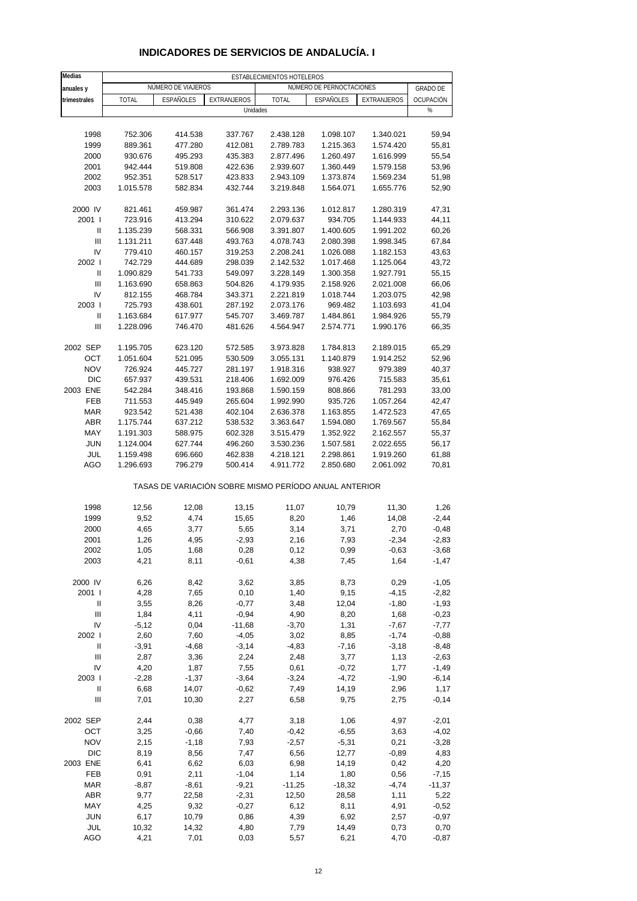| Medias                             |              |                    |                    | ESTABLECIMIENTOS HOTELEROS |                                                       |             |                 |
|------------------------------------|--------------|--------------------|--------------------|----------------------------|-------------------------------------------------------|-------------|-----------------|
| anuales y                          |              | NÚMERO DE VIAJEROS |                    |                            | NÚMERO DE PERNOCTACIONES                              |             | <b>GRADO DE</b> |
| trimestrales                       | <b>TOTAL</b> | ESPAÑOLES          | <b>EXTRANJEROS</b> | <b>TOTAL</b>               | ESPAÑOLES                                             | EXTRANJEROS | OCUPACIÓN       |
|                                    |              |                    |                    | Unidades                   |                                                       |             | %               |
|                                    |              |                    |                    |                            |                                                       |             |                 |
|                                    |              |                    |                    |                            |                                                       |             |                 |
| 1998                               | 752.306      | 414.538            | 337.767            | 2.438.128                  | 1.098.107                                             | 1.340.021   | 59,94           |
| 1999                               | 889.361      | 477.280            | 412.081            | 2.789.783                  | 1.215.363                                             | 1.574.420   | 55,81           |
| 2000                               | 930.676      | 495.293            | 435.383            | 2.877.496                  | 1.260.497                                             | 1.616.999   | 55,54           |
| 2001                               | 942.444      | 519.808            | 422.636            | 2.939.607                  | 1.360.449                                             | 1.579.158   | 53,96           |
| 2002                               | 952.351      | 528.517            | 423.833            | 2.943.109                  | 1.373.874                                             | 1.569.234   | 51,98           |
| 2003                               | 1.015.578    | 582.834            | 432.744            | 3.219.848                  | 1.564.071                                             | 1.655.776   | 52,90           |
|                                    |              |                    |                    |                            |                                                       |             |                 |
| 2000 IV                            | 821.461      | 459.987            | 361.474            | 2.293.136                  | 1.012.817                                             | 1.280.319   | 47,31           |
| 2001 l                             | 723.916      | 413.294            | 310.622            | 2.079.637                  | 934.705                                               | 1.144.933   | 44,11           |
| Ш                                  | 1.135.239    | 568.331            | 566.908            | 3.391.807                  | 1.400.605                                             | 1.991.202   | 60,26           |
| $\mathbf{III}$                     | 1.131.211    | 637.448            | 493.763            | 4.078.743                  | 2.080.398                                             | 1.998.345   | 67,84           |
| IV                                 | 779.410      | 460.157            | 319.253            | 2.208.241                  | 1.026.088                                             | 1.182.153   | 43,63           |
| 2002                               |              |                    |                    |                            |                                                       |             |                 |
|                                    | 742.729      | 444.689            | 298.039            | 2.142.532                  | 1.017.468                                             | 1.125.064   | 43,72           |
| Ш                                  | 1.090.829    | 541.733            | 549.097            | 3.228.149                  | 1.300.358                                             | 1.927.791   | 55,15           |
| $\mathbf{III}$                     | 1.163.690    | 658.863            | 504.826            | 4.179.935                  | 2.158.926                                             | 2.021.008   | 66,06           |
| IV                                 | 812.155      | 468.784            | 343.371            | 2.221.819                  | 1.018.744                                             | 1.203.075   | 42,98           |
| 2003                               | 725.793      | 438.601            | 287.192            | 2.073.176                  | 969.482                                               | 1.103.693   | 41,04           |
| Ш                                  | 1.163.684    | 617.977            | 545.707            | 3.469.787                  | 1.484.861                                             | 1.984.926   | 55,79           |
| Ш                                  | 1.228.096    | 746.470            | 481.626            | 4.564.947                  | 2.574.771                                             | 1.990.176   | 66,35           |
|                                    |              |                    |                    |                            |                                                       |             |                 |
| 2002 SEP                           | 1.195.705    | 623.120            | 572.585            | 3.973.828                  | 1.784.813                                             | 2.189.015   | 65,29           |
| OCT                                | 1.051.604    | 521.095            | 530.509            | 3.055.131                  | 1.140.879                                             | 1.914.252   | 52,96           |
| <b>NOV</b>                         | 726.924      | 445.727            | 281.197            | 1.918.316                  | 938.927                                               | 979.389     | 40,37           |
| <b>DIC</b>                         | 657.937      | 439.531            | 218.406            | 1.692.009                  | 976.426                                               | 715.583     | 35,61           |
| 2003 ENE                           | 542.284      | 348.416            | 193.868            | 1.590.159                  | 808.866                                               | 781.293     | 33,00           |
|                                    |              | 445.949            |                    |                            |                                                       |             |                 |
| FEB                                | 711.553      |                    | 265.604            | 1.992.990                  | 935.726                                               | 1.057.264   | 42,47           |
| <b>MAR</b>                         | 923.542      | 521.438            | 402.104            | 2.636.378                  | 1.163.855                                             | 1.472.523   | 47,65           |
| ABR                                | 1.175.744    | 637.212            | 538.532            | 3.363.647                  | 1.594.080                                             | 1.769.567   | 55,84           |
| MAY                                | 1.191.303    | 588.975            | 602.328            | 3.515.479                  | 1.352.922                                             | 2.162.557   | 55,37           |
| <b>JUN</b>                         | 1.124.004    | 627.744            | 496.260            | 3.530.236                  | 1.507.581                                             | 2.022.655   | 56,17           |
| JUL                                | 1.159.498    | 696.660            | 462.838            | 4.218.121                  | 2.298.861                                             | 1.919.260   | 61,88           |
| AGO                                | 1.296.693    | 796.279            | 500.414            | 4.911.772                  | 2.850.680                                             | 2.061.092   | 70,81           |
|                                    |              |                    |                    |                            | TASAS DE VARIACIÓN SOBRE MISMO PERÍODO ANUAL ANTERIOR |             |                 |
| 1998                               | 12,56        | 12,08              | 13,15              | 11,07                      | 10,79                                                 | 11,30       |                 |
|                                    |              |                    |                    |                            |                                                       |             | 1,26            |
| 1999                               | 9,52         | 4,74               | 15,65              | 8,20                       | 1,46                                                  | 14,08       | $-2,44$         |
| 2000                               | 4,65         | 3,77               | 5,65               | 3,14                       | 3,71                                                  | 2,70        | $-0,48$         |
| 2001                               | 1,26         | 4,95               | $-2,93$            | 2,16                       | 7,93                                                  | $-2,34$     | $-2,83$         |
| 2002                               | 1,05         | 1,68               | 0,28               | 0,12                       | 0,99                                                  | $-0,63$     | $-3,68$         |
| 2003                               | 4,21         | 8,11               | $-0,61$            | 4,38                       | 7,45                                                  | 1,64        | $-1,47$         |
|                                    |              |                    |                    |                            |                                                       |             |                 |
| 2000 IV                            | 6,26         | 8,42               | 3,62               | 3,85                       | 8,73                                                  | 0,29        | $-1,05$         |
| 2001 l                             | 4,28         | 7,65               | 0, 10              | 1,40                       | 9,15                                                  | $-4,15$     | $-2,82$         |
| Ш                                  | 3,55         | 8,26               | $-0,77$            | 3,48                       | 12,04                                                 | $-1,80$     | $-1,93$         |
| $\ensuremath{\mathsf{III}}\xspace$ | 1,84         | 4,11               | $-0,94$            | 4,90                       | 8,20                                                  | 1,68        | $-0,23$         |
| IV                                 | $-5,12$      | 0,04               | $-11,68$           | $-3,70$                    | 1,31                                                  | $-7,67$     | $-7,77$         |
| 2002                               | 2,60         | 7,60               | $-4,05$            | 3,02                       | 8,85                                                  | $-1,74$     | $-0,88$         |
| Ш                                  | $-3,91$      | $-4,68$            | $-3,14$            | $-4,83$                    | $-7,16$                                               | $-3,18$     | $-8,48$         |
| $\ensuremath{\mathsf{III}}\xspace$ | 2,87         | 3,36               | 2,24               | 2,48                       | 3,77                                                  | 1,13        | $-2,63$         |
| IV                                 | 4,20         | 1,87               | 7,55               | 0,61                       | $-0,72$                                               | 1,77        | $-1,49$         |
| 2003                               | $-2,28$      | $-1,37$            | $-3,64$            | $-3,24$                    | $-4,72$                                               | $-1,90$     | $-6,14$         |
| Ш                                  |              |                    |                    |                            |                                                       |             |                 |
|                                    | 6,68         | 14,07              | $-0,62$            | 7,49                       | 14,19                                                 | 2,96        | 1,17            |
| $\ensuremath{\mathsf{III}}\xspace$ | 7,01         | 10,30              | 2,27               | 6,58                       | 9,75                                                  | 2,75        | $-0,14$         |
| 2002 SEP                           | 2,44         | 0,38               | 4,77               | 3,18                       | 1,06                                                  | 4,97        | $-2,01$         |
| OCT                                | 3,25         | $-0,66$            | 7,40               | $-0,42$                    | $-6,55$                                               | 3,63        | $-4,02$         |
| <b>NOV</b>                         | 2,15         | $-1,18$            | 7,93               | $-2,57$                    | $-5,31$                                               | 0,21        | $-3,28$         |
| <b>DIC</b>                         | 8,19         | 8,56               | 7,47               | 6,56                       | 12,77                                                 | $-0,89$     | 4,83            |
| 2003 ENE                           | 6,41         | 6,62               | 6,03               | 6,98                       | 14,19                                                 | 0,42        | 4,20            |
| FEB                                | 0,91         | 2,11               | $-1,04$            | 1,14                       | 1,80                                                  | 0,56        | $-7,15$         |
| <b>MAR</b>                         | $-8,87$      | $-8,61$            | $-9,21$            | $-11,25$                   | $-18,32$                                              | $-4,74$     | $-11,37$        |
| <b>ABR</b>                         | 9,77         | 22,58              | $-2,31$            | 12,50                      | 28,58                                                 | 1,11        | 5,22            |
| MAY                                | 4,25         |                    | $-0,27$            |                            |                                                       |             |                 |
|                                    |              | 9,32               |                    | 6,12                       | 8,11                                                  | 4,91        | $-0,52$         |
| <b>JUN</b>                         | 6,17         | 10,79              | 0,86               | 4,39                       | 6,92                                                  | 2,57        | $-0,97$         |
| JUL                                | 10,32        | 14,32              | 4,80               | 7,79                       | 14,49                                                 | 0,73        | 0,70            |
| <b>AGO</b>                         | 4,21         | 7,01               | 0,03               | 5,57                       | 6,21                                                  | 4,70        | $-0,87$         |

### **INDICADORES DE SERVICIOS DE ANDALUCÍA. I**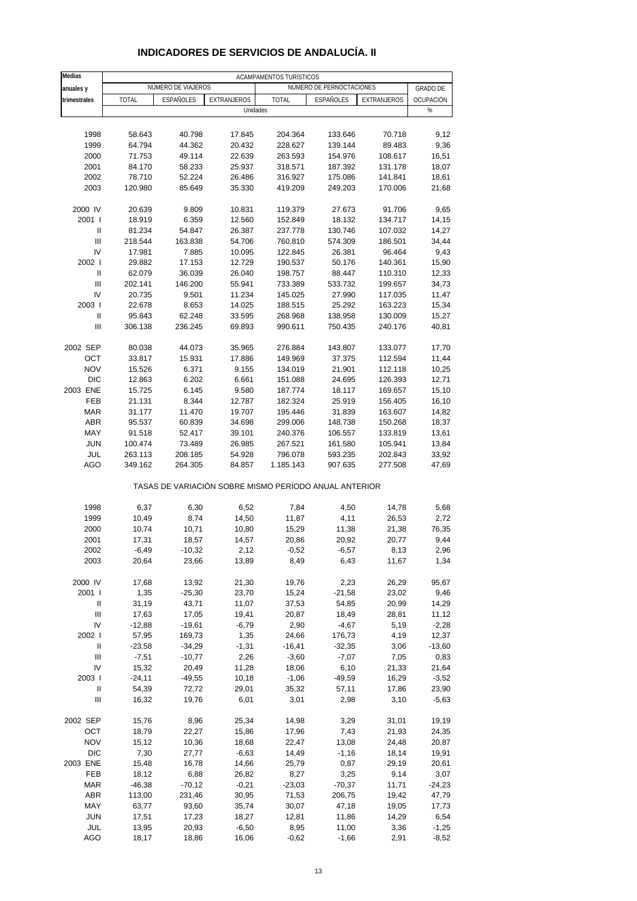| <b>Medias</b>                      |              |                    |                                                       | ACAMPAMENTOS TURÍSTICOS |                          |             |                 |
|------------------------------------|--------------|--------------------|-------------------------------------------------------|-------------------------|--------------------------|-------------|-----------------|
| anuales y                          |              | NÚMERO DE VIAJEROS |                                                       |                         | NÚMERO DE PERNOCTACIONES |             | <b>GRADO DE</b> |
| trimestrales                       | <b>TOTAL</b> | <b>ESPAÑOLES</b>   | EXTRANJEROS                                           | <b>TOTAL</b>            | <b>ESPAÑOLES</b>         | EXTRANJEROS | OCUPACIÓN       |
|                                    |              |                    | Unidades                                              |                         |                          |             | $\%$            |
|                                    |              |                    |                                                       |                         |                          |             |                 |
| 1998                               | 58.643       | 40.798             | 17.845                                                | 204.364                 | 133.646                  | 70.718      | 9,12            |
| 1999                               | 64.794       | 44.362             | 20.432                                                | 228.627                 | 139.144                  | 89.483      | 9,36            |
| 2000                               | 71.753       | 49.114             | 22.639                                                | 263.593                 | 154.976                  | 108.617     | 16,51           |
| 2001                               | 84.170       | 58.233             | 25.937                                                | 318.571                 | 187.392                  | 131.178     | 18,07           |
| 2002                               | 78.710       | 52.224             | 26.486                                                | 316.927                 | 175.086                  | 141.841     | 18,61           |
| 2003                               | 120.980      | 85.649             | 35.330                                                | 419.209                 | 249.203                  | 170.006     | 21,68           |
|                                    |              |                    |                                                       |                         |                          |             |                 |
| 2000 IV                            | 20.639       | 9.809              | 10.831                                                | 119.379                 | 27.673                   | 91.706      | 9,65            |
| 2001 l                             | 18.919       | 6.359              | 12.560                                                | 152.849                 | 18.132                   | 134.717     | 14,15           |
| Ш                                  | 81.234       | 54.847             | 26.387                                                | 237.778                 | 130.746                  | 107.032     | 14,27           |
| $\ensuremath{\mathsf{III}}\xspace$ | 218.544      | 163.838            | 54.706                                                | 760.810                 | 574.309                  | 186.501     | 34,44           |
| IV                                 | 17.981       | 7.885              | 10.095                                                | 122.845                 | 26.381                   | 96.464      | 9,43            |
| 2002 l                             | 29.882       | 17.153             | 12.729                                                | 190.537                 | 50.176                   | 140.361     | 15,90           |
| $\mathbf{I}$                       | 62.079       | 36.039             | 26.040                                                | 198.757                 | 88.447                   | 110.310     | 12,33           |
| Ш                                  | 202.141      | 146.200            | 55.941                                                | 733.389                 | 533.732                  | 199.657     | 34,73           |
| IV                                 | 20.735       | 9.501              | 11.234                                                | 145.025                 | 27.990                   | 117.035     | 11,47           |
| 2003                               | 22.678       | 8.653              | 14.025                                                | 188.515                 | 25.292                   | 163.223     | 15,34           |
| Ш                                  | 95.843       | 62.248             | 33.595                                                | 268.968                 | 138.958                  | 130.009     | 15,27           |
| Ш                                  | 306.138      | 236.245            | 69.893                                                | 990.611                 | 750.435                  | 240.176     | 40,81           |
|                                    |              |                    |                                                       |                         |                          |             |                 |
| 2002 SEP                           | 80.038       | 44.073             | 35.965                                                | 276.884                 | 143.807                  | 133.077     | 17,70           |
| OCT                                | 33.817       | 15.931             | 17.886                                                | 149.969                 | 37.375                   | 112.594     | 11,44           |
| <b>NOV</b>                         | 15.526       | 6.371              | 9.155                                                 | 134.019                 | 21.901                   | 112.118     | 10,25           |
| <b>DIC</b>                         | 12.863       | 6.202              | 6.661                                                 | 151.088                 | 24.695                   | 126.393     | 12,71           |
| 2003 ENE                           | 15.725       | 6.145              | 9.580                                                 | 187.774                 | 18.117                   | 169.657     | 15,10           |
| FEB                                | 21.131       | 8.344              | 12.787                                                | 182.324                 | 25.919                   | 156.405     | 16,10           |
| <b>MAR</b>                         | 31.177       | 11.470             | 19.707                                                | 195.446                 | 31.839                   | 163.607     | 14,82           |
| <b>ABR</b>                         | 95.537       | 60.839             | 34.698                                                | 299.006                 | 148.738                  | 150.268     | 18,37           |
| MAY                                | 91.518       | 52.417             | 39.101                                                | 240.376                 | 106.557                  | 133.819     | 13,61           |
| <b>JUN</b>                         | 100.474      | 73.489             | 26.985                                                | 267.521                 | 161.580                  | 105.941     | 13,84           |
| JUL                                | 263.113      | 208.185            | 54.928                                                | 796.078                 | 593.235                  | 202.843     | 33,92           |
| AGO                                | 349.162      | 264.305            | 84.857                                                | 1.185.143               | 907.635                  | 277.508     | 47,69           |
|                                    |              |                    | TASAS DE VARIACIÓN SOBRE MISMO PERÍODO ANUAL ANTERIOR |                         |                          |             |                 |
|                                    |              |                    |                                                       |                         |                          |             |                 |
| 1998                               | 6,37         | 6,30               | 6,52                                                  | 7,84                    | 4,50                     | 14,78       | 5,68            |
| 1999                               | 10,49        | 8,74               | 14,50                                                 | 11,87                   | 4,11                     | 26,53       | 2,72            |
| 2000                               | 10,74        | 10,71              | 10,80                                                 | 15,29                   | 11,38                    | 21,38       | 76,35           |
| 2001                               | 17,31        | 18,57              | 14,57                                                 | 20,86                   | 20,92                    | 20,77       | 9,44            |
| 2002                               | -6,49        | -10,32             | 2,12                                                  | -0,52                   | $-6,57$                  | 8,13        | 2,96            |
| 2003                               | 20,64        | 23,66              | 13,89                                                 | 8,49                    | 6,43                     | 11,67       | 1,34            |
|                                    |              |                    |                                                       |                         |                          |             |                 |
| 2000 IV                            | 17,68        | 13,92              | 21,30                                                 | 19,76                   | 2,23                     | 26,29       | 95,67           |
| 2001 l                             | 1,35         | $-25,30$           | 23,70                                                 | 15,24                   | $-21,58$                 | 23,02       | 9,46            |
| Ш                                  | 31,19        | 43,71              | 11,07                                                 | 37,53                   | 54,85                    | 20,99       | 14,29           |
| $\ensuremath{\mathsf{III}}\xspace$ | 17,63        | 17,05              | 19,41                                                 | 20,87                   | 18,49                    | 28,81       | 11,12           |
| IV                                 | $-12,88$     | $-19,61$           | $-6,79$                                               | 2,90                    | $-4,67$                  | 5,19        | $-2,28$         |
| 2002 l                             | 57,95        | 169,73             | 1,35                                                  | 24,66                   | 176,73                   | 4,19        | 12,37           |
| Ш                                  | $-23,58$     | $-34,29$           | $-1,31$                                               | $-16,41$                | $-32,35$                 | 3,06        | $-13,60$        |
| Ш                                  | $-7,51$      | $-10,77$           | 2,26                                                  | $-3,60$                 | $-7,07$                  | 7,05        | 0,83            |
| IV                                 | 15,32        | 20,49              | 11,28                                                 | 18,06                   | 6,10                     | 21,33       | 21,64           |
| 2003                               | $-24, 11$    | $-49,55$           | 10,18                                                 | $-1,06$                 | $-49,59$                 | 16,29       | $-3,52$         |
| Ш                                  | 54,39        | 72,72              | 29,01                                                 | 35,32                   | 57,11                    | 17,86       | 23,90           |
| $\ensuremath{\mathsf{III}}\xspace$ | 16,32        | 19,76              | 6,01                                                  | 3,01                    | 2,98                     | 3,10        | $-5,63$         |
| 2002 SEP                           | 15,76        | 8,96               | 25,34                                                 | 14,98                   | 3,29                     | 31,01       | 19,19           |
| OCT                                | 18,79        | 22,27              | 15,86                                                 | 17,96                   | 7,43                     | 21,93       | 24,35           |
| <b>NOV</b>                         | 15,12        | 10,36              | 18,68                                                 | 22,47                   | 13,08                    | 24,48       | 20,87           |
| <b>DIC</b>                         | 7,30         | 27,77              | $-6,63$                                               | 14,49                   | $-1,16$                  | 18,14       | 19,91           |
| 2003 ENE                           | 15,48        | 16,78              | 14,66                                                 | 25,79                   | 0,87                     | 29,19       | 20,61           |
| FEB                                | 18,12        | 6,88               | 26,82                                                 | 8,27                    | 3,25                     | 9,14        | 3,07            |
| <b>MAR</b>                         | $-46,38$     | $-70,12$           | $-0,21$                                               | $-23,03$                | $-70,37$                 | 11,71       | $-24,23$        |
| ABR                                | 113,00       | 231,46             | 30,95                                                 | 71,53                   | 206,75                   | 19,42       | 47,79           |
| MAY                                | 63,77        | 93,60              | 35,74                                                 | 30,07                   | 47,18                    | 19,05       | 17,73           |
| <b>JUN</b>                         | 17,51        | 17,23              | 18,27                                                 | 12,81                   | 11,86                    | 14,29       | 6,54            |
| JUL                                | 13,95        | 20,93              | $-6,50$                                               | 8,95                    | 11,00                    | 3,36        | $-1,25$         |
| AGO                                | 18,17        | 18,86              | 16,06                                                 | $-0,62$                 | $-1,66$                  | 2,91        | $-8,52$         |

### **INDICADORES DE SERVICIOS DE ANDALUCÍA. II**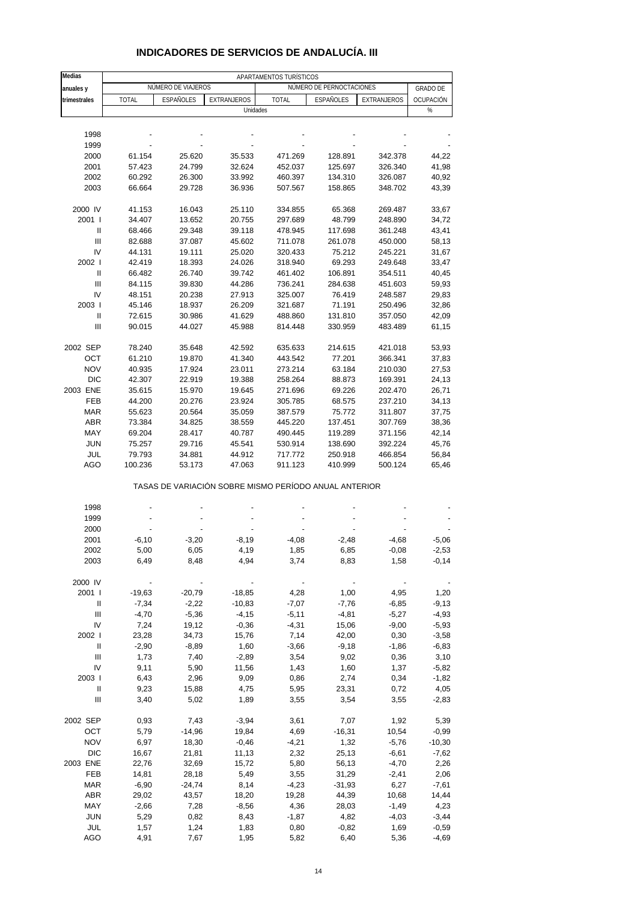| <b>Medias</b>                      |              |                                                       |             | APARTAMENTOS TURÍSTICOS |                          |             |                  |
|------------------------------------|--------------|-------------------------------------------------------|-------------|-------------------------|--------------------------|-------------|------------------|
| anuales y                          |              | NÚMERO DE VIAJEROS                                    |             |                         | NÚMERO DE PERNOCTACIONES |             | <b>GRADO DE</b>  |
| trimestrales                       | <b>TOTAL</b> | ESPAÑOLES                                             | EXTRANJEROS | <b>TOTAL</b>            | ESPAÑOLES                | EXTRANJEROS | <b>OCUPACIÓN</b> |
|                                    |              |                                                       | Unidades    |                         |                          |             | %                |
|                                    |              |                                                       |             |                         |                          |             |                  |
| 1998                               |              |                                                       |             |                         |                          |             |                  |
| 1999                               |              |                                                       |             |                         |                          |             |                  |
| 2000                               | 61.154       | 25.620                                                | 35.533      | 471.269                 | 128.891                  | 342.378     | 44,22            |
| 2001                               | 57.423       | 24.799                                                | 32.624      | 452.037                 | 125.697                  | 326.340     | 41,98            |
| 2002                               | 60.292       | 26.300                                                | 33.992      | 460.397                 | 134.310                  | 326.087     | 40,92            |
| 2003                               | 66.664       | 29.728                                                | 36.936      | 507.567                 | 158.865                  | 348.702     | 43,39            |
|                                    |              |                                                       |             |                         |                          |             |                  |
| 2000 IV                            | 41.153       | 16.043                                                | 25.110      | 334.855                 | 65.368                   | 269.487     | 33,67            |
| 2001 l                             | 34.407       | 13.652                                                | 20.755      | 297.689                 | 48.799                   | 248.890     | 34,72            |
| $\ensuremath{\mathsf{II}}$         | 68.466       | 29.348                                                | 39.118      | 478.945                 | 117.698                  | 361.248     | 43,41            |
| $\ensuremath{\mathsf{III}}\xspace$ | 82.688       | 37.087                                                | 45.602      | 711.078                 | 261.078                  | 450.000     | 58,13            |
| IV                                 | 44.131       | 19.111                                                | 25.020      | 320.433                 | 75.212                   | 245.221     | 31,67            |
| 2002 l                             | 42.419       | 18.393                                                | 24.026      | 318.940                 | 69.293                   | 249.648     | 33,47            |
| Ш                                  | 66.482       | 26.740                                                | 39.742      | 461.402                 | 106.891                  | 354.511     | 40,45            |
| Ш                                  | 84.115       | 39.830                                                | 44.286      | 736.241                 | 284.638                  | 451.603     | 59,93            |
| IV                                 | 48.151       | 20.238                                                | 27.913      | 325.007                 | 76.419                   | 248.587     | 29,83            |
| 2003                               | 45.146       | 18.937                                                | 26.209      | 321.687                 | 71.191                   | 250.496     | 32,86            |
| Ш                                  | 72.615       | 30.986                                                | 41.629      | 488.860                 | 131.810                  | 357.050     | 42,09            |
| Ш                                  | 90.015       | 44.027                                                | 45.988      | 814.448                 | 330.959                  | 483.489     | 61,15            |
|                                    |              |                                                       |             |                         |                          |             |                  |
| 2002 SEP                           | 78.240       | 35.648                                                | 42.592      | 635.633                 | 214.615                  | 421.018     | 53,93            |
| OCT                                | 61.210       | 19.870                                                | 41.340      | 443.542                 | 77.201                   | 366.341     | 37,83            |
| <b>NOV</b>                         | 40.935       | 17.924                                                | 23.011      | 273.214                 | 63.184                   | 210.030     | 27,53            |
| <b>DIC</b>                         | 42.307       | 22.919                                                | 19.388      | 258.264                 | 88.873                   | 169.391     | 24,13            |
| 2003 ENE                           | 35.615       | 15.970                                                | 19.645      | 271.696                 | 69.226                   | 202.470     | 26,71            |
| FEB                                | 44.200       | 20.276                                                | 23.924      | 305.785                 | 68.575                   | 237.210     | 34,13            |
| <b>MAR</b>                         | 55.623       | 20.564                                                | 35.059      | 387.579                 | 75.772                   | 311.807     | 37,75            |
| <b>ABR</b>                         | 73.384       | 34.825                                                | 38.559      | 445.220                 | 137.451                  | 307.769     | 38,36            |
| MAY                                | 69.204       | 28.417                                                | 40.787      | 490.445                 | 119.289                  | 371.156     | 42,14            |
| <b>JUN</b>                         | 75.257       | 29.716                                                | 45.541      | 530.914                 | 138.690                  | 392.224     | 45,76            |
| JUL                                | 79.793       | 34.881                                                | 44.912      | 717.772                 | 250.918                  | 466.854     | 56,84            |
| AGO                                | 100.236      | 53.173                                                | 47.063      | 911.123                 | 410.999                  | 500.124     | 65,46            |
|                                    |              | TASAS DE VARIACIÓN SOBRE MISMO PERÍODO ANUAL ANTERIOR |             |                         |                          |             |                  |
|                                    |              |                                                       |             |                         |                          |             |                  |
| 1998                               |              |                                                       |             |                         |                          |             |                  |
| 1999                               |              |                                                       |             |                         |                          |             |                  |
| 2000                               |              |                                                       |             |                         |                          |             |                  |
| 2001                               | $-6, 10$     | $-3,20$                                               | $-8,19$     | $-4,08$                 | $-2,48$                  | $-4,68$     | $-5,06$          |
| 2002                               | 5,00         | 6,05                                                  | 4,19        | 1,85                    | 6,85                     | $-0,08$     | $-2,53$          |
| 2003                               | 6,49         | 8,48                                                  | 4,94        | 3,74                    | 8,83                     | 1,58        | $-0,14$          |
| 2000 IV                            | $\sim$       | $\overline{\phantom{a}}$                              |             |                         |                          |             |                  |
| 2001 l                             | $-19,63$     | $-20,79$                                              | $-18,85$    | 4,28                    | 1,00                     | 4,95        | 1,20             |
| Ш                                  | $-7,34$      | $-2,22$                                               | $-10,83$    | $-7,07$                 | $-7,76$                  | $-6,85$     | $-9,13$          |
| $\ensuremath{\mathsf{III}}\xspace$ | $-4,70$      | $-5,36$                                               | $-4,15$     | $-5,11$                 | $-4,81$                  | $-5,27$     | $-4,93$          |
| IV                                 | 7,24         | 19,12                                                 | $-0,36$     | $-4,31$                 | 15,06                    | $-9,00$     | $-5,93$          |
| 2002                               | 23,28        | 34,73                                                 | 15,76       | 7,14                    | 42,00                    | 0,30        | $-3,58$          |
| Ш                                  | $-2,90$      | $-8,89$                                               | 1,60        | $-3,66$                 | $-9,18$                  | $-1,86$     | $-6,83$          |
| Ш                                  | 1,73         | 7,40                                                  | $-2,89$     | 3,54                    | 9,02                     | 0,36        | 3,10             |
| ${\sf IV}$                         | 9,11         | 5,90                                                  | 11,56       | 1,43                    | 1,60                     | 1,37        | $-5,82$          |
| 2003                               | 6,43         | 2,96                                                  | 9,09        | 0,86                    | 2,74                     | 0,34        | $-1,82$          |
| Ш                                  | 9,23         | 15,88                                                 | 4,75        | 5,95                    | 23,31                    | 0,72        | 4,05             |
| Ш                                  | 3,40         | 5,02                                                  | 1,89        | 3,55                    | 3,54                     | 3,55        | $-2,83$          |
|                                    |              |                                                       |             |                         |                          |             |                  |
| 2002 SEP                           | 0,93         | 7,43                                                  | $-3,94$     | 3,61                    | 7,07                     | 1,92        | 5,39             |
| OCT                                | 5,79         | $-14,96$                                              | 19,84       | 4,69                    | $-16,31$                 | 10,54       | $-0,99$          |
| <b>NOV</b>                         | 6,97         | 18,30                                                 | $-0,46$     | $-4,21$                 | 1,32                     | $-5,76$     | $-10,30$         |
| <b>DIC</b>                         | 16,67        | 21,81                                                 | 11,13       | 2,32                    | 25,13                    | $-6,61$     | $-7,62$          |
| 2003 ENE                           | 22,76        | 32,69                                                 | 15,72       | 5,80                    | 56,13                    | $-4,70$     | 2,26             |
| FEB                                | 14,81        | 28,18                                                 | 5,49        | 3,55                    | 31,29                    | $-2,41$     | 2,06             |
| <b>MAR</b>                         | $-6,90$      | $-24,74$                                              | 8,14        | $-4,23$                 | $-31,93$                 | 6,27        | -7,61            |
| ABR                                | 29,02        | 43,57                                                 | 18,20       | 19,28                   | 44,39                    | 10,68       | 14,44            |
| MAY                                | $-2,66$      | 7,28                                                  | $-8,56$     | 4,36                    | 28,03                    | $-1,49$     | 4,23             |
| <b>JUN</b>                         | 5,29         | 0,82                                                  | 8,43        | $-1,87$                 | 4,82                     | $-4,03$     | $-3,44$          |
| <b>JUL</b>                         | 1,57         | 1,24                                                  | 1,83        | 0,80                    | $-0,82$                  | 1,69        | $-0,59$          |

### **INDICADORES DE SERVICIOS DE ANDALUCÍA. III**

AGO 4,91 7,67 1,95 5,82 6,40 5,36 -4,69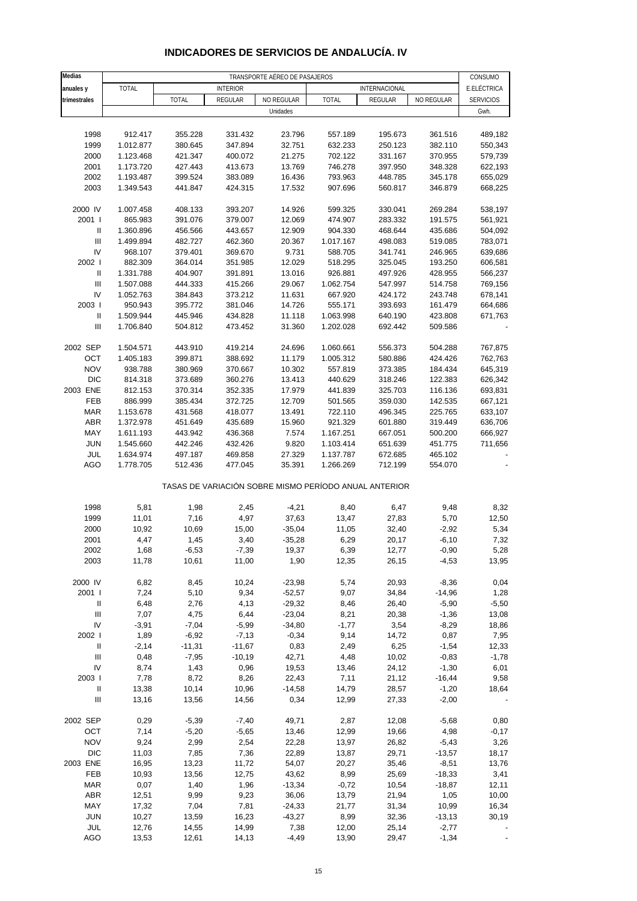| <b>Medias</b>                      | TRANSPORTE AÉREO DE PASAJEROS |                    |                    |                  |                                                       |                    |                    |                        |  |  |
|------------------------------------|-------------------------------|--------------------|--------------------|------------------|-------------------------------------------------------|--------------------|--------------------|------------------------|--|--|
| anuales y                          | <b>TOTAL</b>                  |                    | <b>INTERIOR</b>    |                  |                                                       | INTERNACIONAL      |                    | CONSUMO<br>E.ELÉCTRICA |  |  |
| trimestrales                       |                               | <b>TOTAL</b>       | REGULAR            | NO REGULAR       | <b>TOTAL</b>                                          | REGULAR            | NO REGULAR         | <b>SERVICIOS</b>       |  |  |
|                                    |                               |                    |                    | Unidades         |                                                       |                    |                    | Gwh.                   |  |  |
|                                    |                               |                    |                    |                  |                                                       |                    |                    |                        |  |  |
| 1998                               | 912.417                       | 355.228            | 331.432            | 23.796           | 557.189                                               | 195.673            | 361.516            | 489,182                |  |  |
| 1999                               | 1.012.877                     | 380.645            | 347.894            | 32.751           | 632.233                                               | 250.123            | 382.110            | 550,343                |  |  |
| 2000                               | 1.123.468                     | 421.347            | 400.072            | 21.275           | 702.122                                               | 331.167            | 370.955            | 579,739                |  |  |
| 2001                               | 1.173.720                     | 427.443            | 413.673            | 13.769           | 746.278                                               | 397.950            | 348.328            | 622,193                |  |  |
| 2002                               | 1.193.487                     | 399.524            | 383.089            | 16.436           | 793.963                                               | 448.785            | 345.178            | 655,029                |  |  |
| 2003                               | 1.349.543                     | 441.847            | 424.315            | 17.532           | 907.696                                               | 560.817            | 346.879            | 668,225                |  |  |
|                                    |                               |                    |                    |                  |                                                       |                    |                    |                        |  |  |
| 2000 IV                            | 1.007.458                     | 408.133            | 393.207            | 14.926           | 599.325                                               | 330.041            | 269.284            | 538,197                |  |  |
| 2001 l                             | 865.983                       | 391.076            | 379.007            | 12.069           | 474.907                                               | 283.332            | 191.575            | 561,921                |  |  |
| Ш<br>Ш                             | 1.360.896<br>1.499.894        | 456.566<br>482.727 | 443.657<br>462.360 | 12.909<br>20.367 | 904.330<br>1.017.167                                  | 468.644<br>498.083 | 435.686<br>519.085 | 504,092<br>783,071     |  |  |
| IV                                 | 968.107                       | 379.401            | 369.670            | 9.731            | 588.705                                               | 341.741            | 246.965            | 639,686                |  |  |
| 2002                               | 882.309                       | 364.014            | 351.985            | 12.029           | 518.295                                               | 325.045            | 193.250            | 606,581                |  |  |
| Ш                                  | 1.331.788                     | 404.907            | 391.891            | 13.016           | 926.881                                               | 497.926            | 428.955            | 566,237                |  |  |
| $\mathbf{III}$                     | 1.507.088                     | 444.333            | 415.266            | 29.067           | 1.062.754                                             | 547.997            | 514.758            | 769,156                |  |  |
| IV                                 | 1.052.763                     | 384.843            | 373.212            | 11.631           | 667.920                                               | 424.172            | 243.748            | 678,141                |  |  |
| 2003                               | 950.943                       | 395.772            | 381.046            | 14.726           | 555.171                                               | 393.693            | 161.479            | 664,686                |  |  |
| Ш                                  | 1.509.944                     | 445.946            | 434.828            | 11.118           | 1.063.998                                             | 640.190            | 423.808            | 671,763                |  |  |
| $\ensuremath{\mathsf{III}}\xspace$ | 1.706.840                     | 504.812            | 473.452            | 31.360           | 1.202.028                                             | 692.442            | 509.586            |                        |  |  |
|                                    |                               |                    |                    |                  |                                                       |                    |                    |                        |  |  |
| 2002 SEP                           | 1.504.571                     | 443.910            | 419.214            | 24.696           | 1.060.661                                             | 556.373            | 504.288            | 767,875                |  |  |
| OCT                                | 1.405.183                     | 399.871            | 388.692            | 11.179           | 1.005.312                                             | 580.886            | 424.426            | 762,763                |  |  |
| <b>NOV</b>                         | 938.788                       | 380.969            | 370.667            | 10.302           | 557.819                                               | 373.385            | 184.434            | 645,319                |  |  |
| <b>DIC</b>                         | 814.318                       | 373.689            | 360.276            | 13.413           | 440.629                                               | 318.246            | 122.383            | 626,342                |  |  |
| 2003 ENE                           | 812.153                       | 370.314            | 352.335            | 17.979           | 441.839                                               | 325.703            | 116.136            | 693,831                |  |  |
| <b>FEB</b>                         | 886.999                       | 385.434            | 372.725            | 12.709           | 501.565                                               | 359.030            | 142.535            | 667,121                |  |  |
| <b>MAR</b>                         | 1.153.678                     | 431.568            | 418.077            | 13.491           | 722.110                                               | 496.345            | 225.765            | 633,107                |  |  |
| <b>ABR</b>                         | 1.372.978                     | 451.649            | 435.689            | 15.960           | 921.329                                               | 601.880            | 319.449            | 636,706                |  |  |
| MAY                                | 1.611.193                     | 443.942            | 436.368            | 7.574            | 1.167.251                                             | 667.051            | 500.200            | 666,927                |  |  |
| <b>JUN</b>                         | 1.545.660                     | 442.246            | 432.426            | 9.820            | 1.103.414                                             | 651.639            | 451.775            | 711,656                |  |  |
| <b>JUL</b>                         | 1.634.974                     | 497.187            | 469.858            | 27.329           | 1.137.787                                             | 672.685            | 465.102            |                        |  |  |
| AGO                                | 1.778.705                     | 512.436            | 477.045            | 35.391           | 1.266.269                                             | 712.199            | 554.070            |                        |  |  |
|                                    |                               |                    |                    |                  | TASAS DE VARIACIÓN SOBRE MISMO PERÍODO ANUAL ANTERIOR |                    |                    |                        |  |  |
| 1998                               | 5,81                          | 1,98               | 2,45               | $-4,21$          |                                                       | 6,47               | 9,48               | 8,32                   |  |  |
| 1999                               | 11,01                         | 7,16               | 4,97               | 37,63            | 8,40<br>13,47                                         | 27,83              | 5,70               | 12,50                  |  |  |
| 2000                               | 10,92                         | 10,69              | 15,00              | $-35,04$         | 11,05                                                 | 32,40              | $-2,92$            | 5,34                   |  |  |
| 2001                               | 4,47                          | 1,45               | 3,40               | $-35,28$         | 6,29                                                  | 20,17              | $-6,10$            | 7,32                   |  |  |
| 2002                               | 1,68                          | $-6,53$            | $-7,39$            | 19,37            | 6,39                                                  | 12,77              | $-0,90$            | 5,28                   |  |  |
| 2003                               | 11,78                         | 10,61              | 11,00              | 1,90             | 12,35                                                 | 26,15              | $-4,53$            | 13,95                  |  |  |
|                                    |                               |                    |                    |                  |                                                       |                    |                    |                        |  |  |
| 2000 IV                            | 6,82                          | 8,45               | 10,24              | $-23,98$         | 5,74                                                  | 20,93              | $-8,36$            | 0,04                   |  |  |
| 2001 l                             | 7,24                          | 5,10               | 9,34               | $-52,57$         | 9,07                                                  | 34,84              | $-14,96$           | 1,28                   |  |  |
| $\mathbf{II}$                      | 6,48                          | 2,76               | 4,13               | $-29,32$         | 8,46                                                  | 26,40              | $-5,90$            | $-5,50$                |  |  |
| $\mathbf{III}$                     | 7,07                          | 4,75               | 6,44               | $-23,04$         | 8,21                                                  | 20,38              | $-1,36$            | 13,08                  |  |  |
| IV                                 | $-3,91$                       | $-7,04$            | $-5,99$            | $-34,80$         | $-1,77$                                               | 3,54               | $-8,29$            | 18,86                  |  |  |
| 2002                               | 1,89                          | $-6,92$            | $-7,13$            | $-0,34$          | 9,14                                                  | 14,72              | 0,87               | 7,95                   |  |  |
| Ш                                  | $-2,14$                       | $-11,31$           | $-11,67$           | 0,83             | 2,49                                                  | 6,25               | $-1,54$            | 12,33                  |  |  |
| $\ensuremath{\mathsf{III}}\xspace$ | 0,48                          | $-7,95$            | $-10,19$           | 42,71            | 4,48                                                  | 10,02              | $-0,83$            | $-1,78$                |  |  |
| IV                                 | 8,74                          | 1,43               | 0,96               | 19,53            | 13,46                                                 | 24,12              | $-1,30$            | 6,01                   |  |  |
| 2003                               | 7,78                          | 8,72               | 8,26               | 22,43            | 7,11                                                  | 21,12              | $-16,44$           | 9,58                   |  |  |
| $\mathbf{II}$                      | 13,38                         | 10,14              | 10,96              | $-14,58$         | 14,79                                                 | 28,57              | $-1,20$            | 18,64                  |  |  |
| $\ensuremath{\mathsf{III}}\xspace$ | 13,16                         | 13,56              | 14,56              | 0,34             | 12,99                                                 | 27,33              | $-2,00$            |                        |  |  |
| 2002 SEP                           | 0,29                          | $-5,39$            | $-7,40$            | 49,71            | 2,87                                                  | 12,08              | $-5,68$            | 0,80                   |  |  |
| OCT                                | 7,14                          | $-5,20$            | $-5,65$            | 13,46            | 12,99                                                 | 19,66              | 4,98               | $-0,17$                |  |  |
| <b>NOV</b>                         | 9,24                          | 2,99               | 2,54               | 22,28            | 13,97                                                 | 26,82              | $-5,43$            | 3,26                   |  |  |
| <b>DIC</b>                         | 11,03                         | 7,85               | 7,36               | 22,89            | 13,87                                                 | 29,71              | $-13,57$           | 18,17                  |  |  |
| 2003 ENE                           | 16,95                         | 13,23              | 11,72              | 54,07            | 20,27                                                 | 35,46              | $-8,51$            | 13,76                  |  |  |
| FEB                                | 10,93                         | 13,56              | 12,75              | 43,62            | 8,99                                                  | 25,69              | $-18,33$           | 3,41                   |  |  |
| <b>MAR</b>                         | 0,07                          | 1,40               | 1,96               | $-13,34$         | $-0,72$                                               | 10,54              | $-18,87$           | 12,11                  |  |  |
| <b>ABR</b>                         | 12,51                         | 9,99               | 9,23               | 36,06            | 13,79                                                 | 21,94              | 1,05               | 10,00                  |  |  |
| MAY                                | 17,32                         | 7,04               | 7,81               | $-24,33$         | 21,77                                                 | 31,34              | 10,99              | 16,34                  |  |  |
| <b>JUN</b>                         | 10,27                         | 13,59              | 16,23              | $-43,27$         | 8,99                                                  | 32,36              | $-13,13$           | 30,19                  |  |  |
| <b>JUL</b>                         | 12,76                         | 14,55              | 14,99              | 7,38             | 12,00                                                 | 25,14              | $-2,77$            |                        |  |  |
| AGO                                | 13,53                         | 12,61              | 14,13              | $-4,49$          | 13,90                                                 | 29,47              | $-1,34$            |                        |  |  |

### **INDICADORES DE SERVICIOS DE ANDALUCÍA. IV**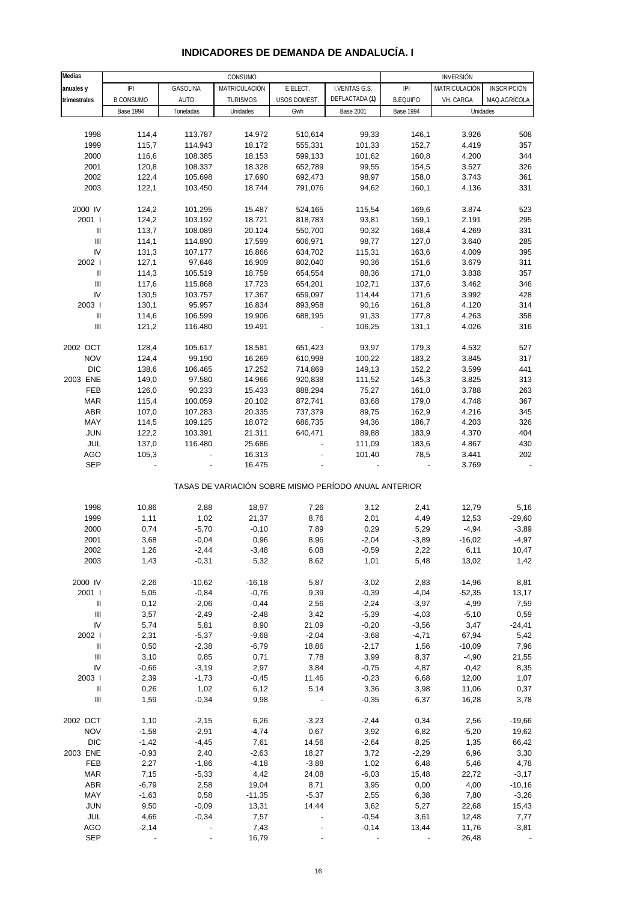| <b>Medias</b>                      | CONSUMO          |           |                                                       |              |                  |                  | <b>INVERSIÓN</b> |                    |
|------------------------------------|------------------|-----------|-------------------------------------------------------|--------------|------------------|------------------|------------------|--------------------|
| anuales y                          | IPI              | GASOLINA  | MATRICULACIÓN                                         | E.ELECT.     | I.VENTAS G.S.    | P                | MATRICULACIÓN    | <b>INSCRIPCIÓN</b> |
| trimestrales                       | <b>B.CONSUMO</b> | AUTO      | <b>TURISMOS</b>                                       | USOS DOMEST. | DEFLACTADA (1)   | <b>B.EQUIPO</b>  | VH. CARGA        | MAQ.AGRÍCOLA       |
|                                    | <b>Base 1994</b> | Toneladas | Unidades                                              | Gwh          | <b>Base 2001</b> | <b>Base 1994</b> | Unidades         |                    |
|                                    |                  |           |                                                       |              |                  |                  |                  |                    |
| 1998                               | 114,4            | 113.787   | 14.972                                                | 510,614      | 99,33            | 146,1            | 3.926            | 508                |
| 1999                               | 115,7            | 114.943   | 18.172                                                | 555,331      | 101,33           | 152,7            | 4.419            | 357                |
| 2000                               | 116,6            | 108.385   | 18.153                                                | 599,133      | 101,62           | 160,8            | 4.200            | 344                |
| 2001                               | 120,8            | 108.337   | 18.328                                                | 652,789      | 99,55            | 154,5            | 3.527            | 326                |
| 2002                               | 122,4            | 105.698   | 17.690                                                | 692,473      | 98,97            | 158,0            | 3.743            | 361                |
| 2003                               | 122,1            | 103.450   | 18.744                                                | 791,076      | 94,62            | 160,1            | 4.136            | 331                |
|                                    |                  |           |                                                       |              |                  |                  |                  |                    |
| 2000 IV                            | 124,2            | 101.295   | 15.487                                                | 524,165      | 115,54           | 169,6            | 3.874            | 523                |
| 2001 l                             | 124,2            | 103.192   | 18.721                                                | 818,783      | 93,81            | 159,1            | 2.191            | 295                |
| Ш                                  | 113,7            | 108.089   | 20.124                                                | 550,700      | 90,32            | 168,4            | 4.269            | 331                |
| $\ensuremath{\mathsf{III}}\xspace$ | 114,1            | 114.890   | 17.599                                                | 606,971      | 98,77            | 127,0            | 3.640            | 285                |
| IV                                 | 131,3            | 107.177   | 16.866                                                | 634,702      | 115,31           | 163,6            | 4.009            | 395                |
| 2002                               | 127,1            | 97.646    | 16.909                                                | 802,040      | 90,36            | 151,6            | 3.679            | 311                |
| Ш                                  | 114,3            | 105.519   | 18.759                                                | 654,554      | 88,36            | 171,0            | 3.838            | 357                |
| Ш                                  | 117,6            | 115.868   | 17.723                                                | 654,201      | 102,71           | 137,6            | 3.462            | 346                |
| IV                                 | 130,5            | 103.757   | 17.367                                                | 659,097      | 114,44           | 171,6            | 3.992            | 428                |
| 2003                               | 130,1            | 95.957    | 16.834                                                | 893,958      | 90,16            | 161,8            | 4.120            | 314                |
| $\ensuremath{\mathsf{II}}$         | 114,6            | 106.599   | 19.906                                                | 688,195      | 91,33            | 177,8            | 4.263            | 358                |
| Ш                                  | 121,2            | 116.480   | 19.491                                                |              | 106,25           | 131,1            | 4.026            | 316                |
|                                    |                  |           |                                                       |              |                  |                  |                  |                    |
| 2002 OCT                           | 128,4            | 105.617   | 18.581                                                | 651,423      | 93,97            | 179,3            | 4.532            | 527                |
| <b>NOV</b>                         | 124,4            | 99.190    | 16.269                                                | 610,998      | 100,22           | 183,2            | 3.845            | 317                |
| <b>DIC</b>                         | 138,6            | 106.465   | 17.252                                                | 714,869      | 149,13           | 152,2            | 3.599            | 441                |
| 2003 ENE                           | 149,0            | 97.580    | 14.966                                                | 920,838      | 111,52           | 145,3            | 3.825            | 313                |
| FEB                                | 126,0            | 90.233    | 15.433                                                | 888,294      | 75,27            | 161,0            | 3.788            | 263                |
| <b>MAR</b>                         | 115,4            | 100.059   | 20.102                                                | 872,741      | 83,68            | 179,0            | 4.748            | 367                |
| ABR                                | 107,0            | 107.283   | 20.335                                                | 737,379      | 89,75            | 162,9            | 4.216            | 345                |
| MAY                                | 114,5            | 109.125   | 18.072                                                | 686,735      | 94,36            | 186,7            | 4.203            | 326                |
| <b>JUN</b>                         | 122,2            | 103.391   | 21.311                                                | 640,471      | 89,88            | 183,9            | 4.370            | 404                |
| <b>JUL</b>                         | 137,0            | 116.480   | 25.686                                                |              | 111,09           | 183,6            | 4.867            | 430                |
| AGO                                | 105,3            |           | 16.313                                                |              | 101,40           | 78,5             | 3.441            | 202                |
| <b>SEP</b>                         |                  |           | 16.475                                                |              |                  |                  | 3.769            |                    |
|                                    |                  |           |                                                       |              |                  |                  |                  |                    |
|                                    |                  |           | TASAS DE VARIACIÓN SOBRE MISMO PERÍODO ANUAL ANTERIOR |              |                  |                  |                  |                    |
|                                    |                  |           |                                                       |              |                  |                  |                  |                    |
| 1998                               | 10,86            | 2,88      | 18,97                                                 | 7,26         | 3,12             | 2,41             | 12,79            | 5,16               |
| 1999                               | 1,11             | 1,02      | 21,37                                                 | 8,76         | 2,01             | 4,49             | 12,53            | $-29,60$           |
| 2000                               | 0,74             | $-5,70$   | $-0,10$                                               | 7,89         | 0,29             | 5,29             | $-4,94$          | $-3,89$            |
| 2001                               | 3,68             | $-0,04$   | 0,96                                                  | 8,96         | $-2,04$          | $-3,89$          | $-16,02$         | $-4,97$            |
| 2002                               | 1,26             | $-2,44$   | -3,48                                                 | 6,08         | -0,59            | 2,22             | 6,11             | 10,47              |
| 2003                               | 1,43             | $-0,31$   | 5,32                                                  | 8,62         | 1,01             | 5,48             | 13,02            | 1,42               |
|                                    |                  |           |                                                       |              |                  |                  |                  |                    |
| 2000 IV                            | $-2,26$          | $-10,62$  | $-16,18$                                              | 5,87         | $-3,02$          | 2,83             | $-14,96$         | 8,81               |
| 2001 l                             | 5,05             | $-0,84$   | $-0,76$                                               | 9,39         | $-0,39$          | $-4,04$          | $-52,35$         | 13,17              |
| $\ensuremath{\mathsf{II}}$         | 0,12             | $-2,06$   | $-0,44$                                               | 2,56         | $-2,24$          | $-3,97$          | $-4,99$          | 7,59               |
| $\ensuremath{\mathsf{III}}\xspace$ | 3,57             | $-2,49$   | $-2,48$                                               | 3,42         | $-5,39$          | $-4,03$          | $-5,10$          | 0,59               |
| IV                                 | 5,74             | 5,81      | 8,90                                                  | 21,09        | $-0,20$          | $-3,56$          | 3,47             | $-24,41$           |
| 2002                               | 2,31             | $-5,37$   | $-9,68$                                               | $-2,04$      | $-3,68$          | $-4,71$          | 67,94            | 5,42               |
| $\ensuremath{\mathsf{II}}$         | 0,50             | $-2,38$   | $-6,79$                                               | 18,86        | $-2,17$          | 1,56             | $-10,09$         | 7,96               |
| Ш                                  | 3,10             | 0,85      | 0,71                                                  | 7,78         | 3,99             | 8,37             | $-4,90$          | 21,55              |
| IV                                 | $-0,66$          | $-3,19$   | 2,97                                                  | 3,84         | $-0,75$          | 4,87             | $-0,42$          | 8,35               |
| 2003                               | 2,39             | $-1,73$   | $-0,45$                                               | 11,46        | $-0,23$          | 6,68             | 12,00            | 1,07               |
| $\ensuremath{\mathsf{II}}$         | 0,26             | 1,02      | 6,12                                                  | 5,14         | 3,36             | 3,98             | 11,06            | 0,37               |
| Ш                                  | 1,59             | $-0,34$   | 9,98                                                  |              | $-0,35$          | 6,37             | 16,28            | 3,78               |
|                                    |                  |           |                                                       |              |                  |                  |                  |                    |
| 2002 OCT                           | 1,10             | $-2,15$   | 6,26                                                  | $-3,23$      | $-2,44$          | 0,34             | 2,56             | $-19,66$           |
| <b>NOV</b>                         | $-1,58$          | $-2,91$   | $-4,74$                                               | 0,67         | 3,92             | 6,82             | $-5,20$          | 19,62              |
| <b>DIC</b>                         | $-1,42$          | $-4,45$   | 7,61                                                  | 14,56        | $-2,64$          | 8,25             | 1,35             | 66,42              |
| 2003 ENE                           | $-0,93$          | 2,40      | $-2,63$                                               | 18,27        | 3,72             | $-2,29$          | 6,96             | 3,30               |
| FEB                                | 2,27             | $-1,86$   | $-4,18$                                               | $-3,88$      | 1,02             | 6,48             | 5,46             | 4,78               |
| <b>MAR</b>                         | 7,15             | $-5,33$   | 4,42                                                  | 24,08        | $-6,03$          | 15,48            | 22,72            | $-3,17$            |
| ABR                                | $-6,79$          | 2,58      | 19,04                                                 | 8,71         | 3,95             | 0,00             | 4,00             | $-10,16$           |
| MAY                                | $-1,63$          | 0,58      | $-11,35$                                              | $-5,37$      | 2,55             | 6,38             | 7,80             | $-3,26$            |
| <b>JUN</b>                         | 9,50             | $-0,09$   | 13,31                                                 | 14,44        | 3,62             | 5,27             | 22,68            | 15,43              |
| JUL                                | 4,66             | $-0,34$   | 7,57                                                  |              | $-0,54$          | 3,61             | 12,48            | 7,77               |
| <b>AGO</b>                         | $-2,14$          |           | 7,43                                                  |              | $-0,14$          | 13,44            | 11,76            | $-3,81$            |
| <b>SEP</b>                         |                  |           | 16,79                                                 |              |                  |                  | 26,48            |                    |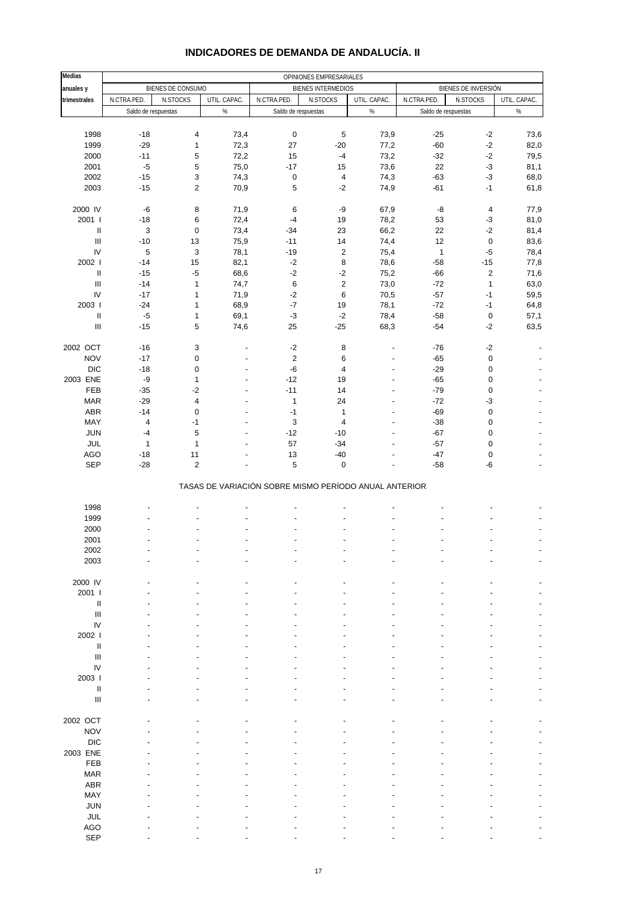| <b>Medias</b>                      | OPINIONES EMPRESARIALES   |                           |                                  |                                                       |                           |                             |                     |                                 |              |
|------------------------------------|---------------------------|---------------------------|----------------------------------|-------------------------------------------------------|---------------------------|-----------------------------|---------------------|---------------------------------|--------------|
| anuales y                          |                           | BIENES DE CONSUMO         |                                  |                                                       | <b>BIENES INTERMEDIOS</b> |                             |                     | BIENES DE INVERSIÓN             |              |
| trimestrales                       | N.CTRA.PED.               | N.STOCKS                  | UTIL. CAPAC.                     | N.CTRA.PED.                                           | N.STOCKS                  | N.CTRA.PED.<br>UTIL. CAPAC. |                     | N.STOCKS                        | UTIL. CAPAC. |
|                                    | Saldo de respuestas       |                           | %                                | Saldo de respuestas                                   |                           | $\%$                        | Saldo de respuestas |                                 | $\%$         |
|                                    |                           |                           |                                  |                                                       |                           |                             |                     |                                 |              |
| 1998                               | $-18$                     | 4                         | 73,4                             | $\pmb{0}$                                             | 5                         | 73,9                        | $-25$               | $-2$                            | 73,6         |
| 1999                               | $-29$                     | $\mathbf{1}$              | 72,3                             | 27                                                    | $-20$                     | 77,2                        | $-60$               | $-2$                            | 82,0         |
| 2000                               | $-11$                     | 5                         | 72,2                             | 15                                                    | $-4$                      | 73,2                        | $-32$               | $-2$                            | 79,5         |
| 2001                               | $-5$                      | 5                         | 75,0                             | $-17$                                                 | 15                        | 73,6                        | 22                  | $-3$                            | 81,1         |
| 2002                               | $-15$                     | $\ensuremath{\mathsf{3}}$ | 74,3                             | 0                                                     | $\overline{\mathbf{4}}$   | 74,3                        | $-63$               | $-3$                            | 68,0         |
| 2003                               | $-15$                     | $\overline{2}$            | 70,9                             | 5                                                     | $-2$                      | 74,9                        | $-61$               | $-1$                            | 61,8         |
|                                    |                           |                           |                                  |                                                       |                           |                             |                     |                                 |              |
| 2000 IV<br>2001 l                  | $-6$<br>$-18$             | 8<br>6                    | 71,9<br>72,4                     | 6<br>$-4$                                             | $-9$<br>19                | 67,9<br>78,2                | -8<br>53            | $\overline{\mathbf{4}}$<br>$-3$ | 77,9<br>81,0 |
| Ш                                  | $\ensuremath{\mathsf{3}}$ | 0                         | 73,4                             | $-34$                                                 | 23                        | 66,2                        | 22                  | $-2$                            | 81,4         |
| $\ensuremath{\mathsf{III}}\xspace$ | $-10$                     | 13                        | 75,9                             | $-11$                                                 | 14                        | 74,4                        | 12                  | $\pmb{0}$                       | 83,6         |
| IV                                 | 5                         | $\ensuremath{\mathsf{3}}$ | 78,1                             | $-19$                                                 | $\mathbf 2$               | 75,4                        | $\mathbf{1}$        | $-5$                            | 78,4         |
| 2002                               | $-14$                     | 15                        | 82,1                             | $-2$                                                  | 8                         | 78,6                        | $-58$               | $-15$                           | 77,8         |
| $\ensuremath{\mathsf{II}}$         | $-15$                     | $-5$                      | 68,6                             | $-2$                                                  | $-2$                      | 75,2                        | $-66$               | $\overline{2}$                  | 71,6         |
| $\mathbf{III}$                     | $-14$                     | $\mathbf{1}$              | 74,7                             | $\,6\,$                                               | $\overline{\mathbf{c}}$   | 73,0                        | $-72$               | $\mathbf{1}$                    | 63,0         |
| IV                                 | $-17$                     | $\mathbf{1}$              | 71,9                             | $-2$                                                  | $\,6$                     | 70,5                        | $-57$               | $-1$                            | 59,5         |
| 2003                               | $-24$                     | $\mathbf{1}$              | 68,9                             | $-7$                                                  | 19                        | 78,1                        | $-72$               | $-1$                            | 64,8         |
| Ш                                  | $-5$                      | 1                         | 69,1                             | $-3$                                                  | $-2$                      | 78,4                        | $-58$               | $\pmb{0}$                       | 57,1         |
| $\ensuremath{\mathsf{III}}\xspace$ | $-15$                     | 5                         | 74,6                             | 25                                                    | $-25$                     | 68,3                        | $-54$               | $-2$                            | 63,5         |
|                                    |                           |                           |                                  |                                                       |                           |                             |                     |                                 |              |
| 2002 OCT                           | $-16$                     | $\ensuremath{\mathsf{3}}$ | ٠                                | $-2$                                                  | 8                         |                             | $-76$               | $-2$                            |              |
| <b>NOV</b>                         | $-17$                     | 0                         | ÷,                               | $\overline{c}$                                        | 6                         |                             | $-65$               | $\pmb{0}$                       |              |
| <b>DIC</b>                         | $-18$                     | 0                         | $\overline{a}$                   | $-6$                                                  | $\overline{\mathbf{4}}$   | L.                          | $-29$               | $\pmb{0}$                       |              |
| 2003 ENE                           | $-9$                      | $\mathbf{1}$              | ٠                                | $-12$                                                 | 19                        | $\overline{\phantom{a}}$    | $-65$               | $\pmb{0}$                       |              |
| FEB                                | $-35$                     | $-2$                      | $\overline{a}$<br>$\overline{a}$ | $-11$                                                 | 14                        | L.                          | $-79$               | $\pmb{0}$                       |              |
| <b>MAR</b><br>ABR                  | $-29$<br>$-14$            | 4<br>$\mathbf 0$          | $\overline{a}$                   | $\mathbf{1}$<br>$-1$                                  | 24<br>$\mathbf{1}$        | $\overline{a}$              | $-72$<br>$-69$      | $-3$<br>$\pmb{0}$               |              |
| MAY                                | 4                         | $-1$                      |                                  | 3                                                     | $\overline{4}$            |                             | $-38$               | $\pmb{0}$                       |              |
| JUN                                | $-4$                      | 5                         | $\overline{a}$                   | $-12$                                                 | $-10$                     | L.                          | $-67$               | $\pmb{0}$                       |              |
| JUL                                | $\mathbf{1}$              | $\mathbf{1}$              |                                  | 57                                                    | $-34$                     |                             | $-57$               | $\pmb{0}$                       |              |
| <b>AGO</b>                         | $-18$                     | 11                        |                                  | 13                                                    | $-40$                     |                             | $-47$               | $\pmb{0}$                       |              |
| <b>SEP</b>                         | $-28$                     | $\overline{2}$            |                                  | 5                                                     | $\pmb{0}$                 |                             | $-58$               | -6                              |              |
|                                    |                           |                           |                                  |                                                       |                           |                             |                     |                                 |              |
|                                    |                           |                           |                                  | TASAS DE VARIACIÓN SOBRE MISMO PERÍODO ANUAL ANTERIOR |                           |                             |                     |                                 |              |
|                                    |                           |                           |                                  |                                                       |                           |                             |                     |                                 |              |
| 1998                               |                           |                           |                                  |                                                       |                           |                             |                     |                                 |              |
| 1999                               |                           |                           |                                  |                                                       |                           |                             |                     |                                 |              |
| 2000                               |                           |                           |                                  |                                                       |                           |                             |                     |                                 |              |
| 2001                               |                           |                           |                                  |                                                       |                           |                             |                     |                                 |              |
| 2002<br>2003                       |                           |                           |                                  |                                                       |                           |                             |                     |                                 |              |
|                                    |                           |                           |                                  |                                                       |                           |                             |                     |                                 |              |
| 2000 IV                            |                           |                           |                                  |                                                       |                           |                             |                     |                                 |              |
| 2001 l                             |                           |                           |                                  |                                                       |                           |                             |                     |                                 |              |
| $\ensuremath{\mathsf{II}}$         |                           |                           |                                  |                                                       |                           |                             |                     |                                 |              |
| III                                |                           |                           |                                  |                                                       |                           |                             |                     |                                 |              |
| IV                                 |                           |                           |                                  |                                                       |                           |                             |                     |                                 |              |
| 2002 l                             |                           |                           |                                  |                                                       |                           |                             |                     |                                 |              |
| Ш                                  |                           |                           |                                  |                                                       |                           |                             |                     |                                 |              |
| $\ensuremath{\mathsf{III}}\xspace$ |                           |                           |                                  |                                                       |                           |                             |                     |                                 |              |
| IV                                 |                           |                           |                                  |                                                       |                           |                             |                     |                                 |              |
| 2003                               |                           |                           |                                  |                                                       |                           |                             |                     |                                 |              |
| $\mathsf{II}$                      |                           |                           |                                  |                                                       |                           |                             |                     |                                 |              |
| $\ensuremath{\mathsf{III}}\xspace$ |                           |                           |                                  |                                                       |                           |                             |                     |                                 |              |
| 2002 OCT                           |                           |                           |                                  |                                                       |                           |                             |                     |                                 |              |
| <b>NOV</b>                         |                           |                           |                                  |                                                       |                           |                             |                     |                                 |              |
| <b>DIC</b>                         |                           |                           |                                  |                                                       |                           |                             |                     |                                 |              |
| 2003 ENE                           |                           |                           |                                  |                                                       |                           |                             |                     |                                 |              |
| FEB                                |                           |                           |                                  |                                                       |                           |                             |                     |                                 |              |
| <b>MAR</b>                         |                           |                           |                                  |                                                       |                           |                             |                     |                                 |              |
| ABR                                |                           |                           |                                  |                                                       |                           |                             |                     |                                 |              |
| MAY                                |                           |                           |                                  |                                                       |                           |                             |                     |                                 |              |
| <b>JUN</b>                         |                           |                           |                                  |                                                       |                           |                             |                     |                                 |              |
| JUL                                |                           |                           |                                  |                                                       |                           |                             |                     |                                 |              |
| <b>AGO</b>                         |                           |                           |                                  |                                                       |                           |                             |                     |                                 |              |

#### **INDICADORES DE DEMANDA DE ANDALUCÍA. II**

SEP - - - - - - - - -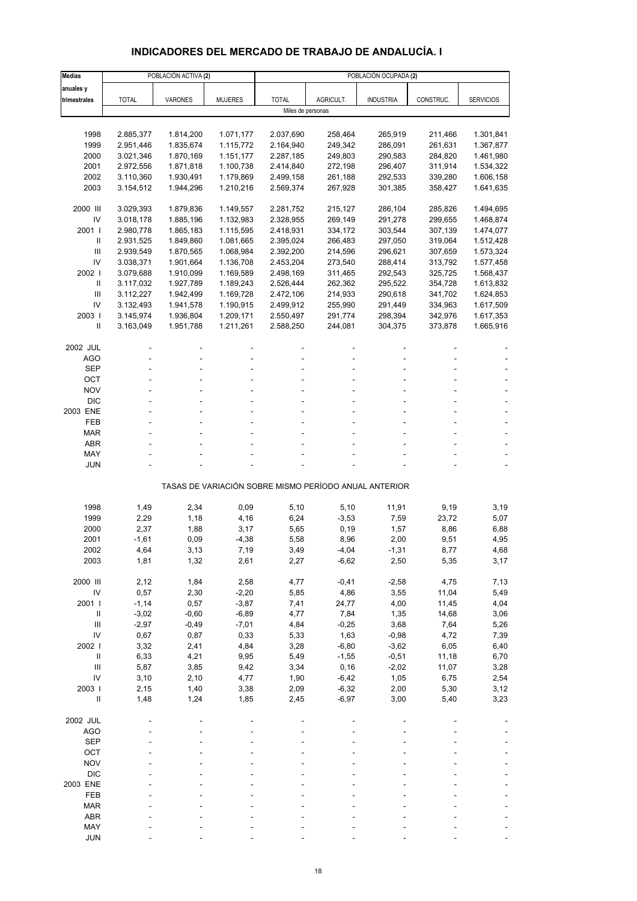## **INDICADORES DEL MERCADO DE TRABAJO DE ANDALUCÍA. I**

| <b>Medias</b>      |                 | POBLACIÓN ACTIVA (2) |                |                   |                    | POBLACIÓN OCUPADA (2)                                 |              |                  |
|--------------------|-----------------|----------------------|----------------|-------------------|--------------------|-------------------------------------------------------|--------------|------------------|
| anuales y          |                 |                      |                |                   |                    |                                                       |              |                  |
| trimestrales       | <b>TOTAL</b>    | VARONES              | <b>MUJERES</b> | <b>TOTAL</b>      | AGRICULT.          | <b>INDUSTRIA</b>                                      | CONSTRUC.    | <b>SERVICIOS</b> |
|                    |                 |                      |                | Miles de personas |                    |                                                       |              |                  |
|                    |                 |                      |                |                   |                    |                                                       |              |                  |
| 1998               | 2.885,377       | 1.814,200            | 1.071,177      | 2.037,690         | 258,464            | 265,919                                               | 211,466      | 1.301,841        |
| 1999               | 2.951,446       | 1.835,674            | 1.115,772      | 2.164,940         | 249,342            | 286,091                                               | 261,631      | 1.367,877        |
| 2000               | 3.021,346       | 1.870,169            | 1.151,177      | 2.287,185         | 249,803            | 290,583                                               | 284,820      | 1.461,980        |
| 2001               | 2.972,556       | 1.871,818            | 1.100,738      | 2.414,840         | 272,198            | 296,407                                               | 311,914      | 1.534,322        |
| 2002               | 3.110,360       | 1.930,491            | 1.179,869      | 2.499,158         | 261,188            | 292,533                                               | 339,280      | 1.606,158        |
| 2003               | 3.154,512       | 1.944,296            | 1.210,216      | 2.569,374         | 267,928            | 301,385                                               | 358,427      | 1.641,635        |
| 2000 III           | 3.029,393       | 1.879,836            | 1.149,557      | 2.281,752         | 215,127            | 286,104                                               | 285,826      | 1.494,695        |
| IV                 | 3.018,178       | 1.885,196            | 1.132,983      | 2.328,955         | 269,149            | 291,278                                               | 299,655      | 1.468,874        |
| 2001 l             | 2.980,778       | 1.865,183            | 1.115,595      | 2.418,931         | 334,172            | 303,544                                               | 307,139      | 1.474,077        |
| Ш                  | 2.931,525       | 1.849,860            | 1.081,665      | 2.395,024         | 266,483            | 297,050                                               | 319,064      | 1.512,428        |
| Ш                  | 2.939,549       | 1.870,565            | 1.068,984      | 2.392,200         | 214,596            | 296,621                                               | 307,659      | 1.573,324        |
| IV                 | 3.038,371       | 1.901,664            | 1.136,708      | 2.453,204         | 273,540            | 288,414                                               | 313,792      | 1.577,458        |
| 2002               | 3.079,688       | 1.910,099            | 1.169,589      | 2.498,169         | 311,465            | 292,543                                               | 325,725      | 1.568,437        |
| $\mathbf{II}$      | 3.117,032       | 1.927,789            | 1.189,243      | 2.526,444         | 262,362            | 295,522                                               | 354,728      | 1.613,832        |
| Ш                  | 3.112,227       | 1.942,499            | 1.169,728      | 2.472,106         | 214,933            | 290,618                                               | 341,702      | 1.624,853        |
| IV                 | 3.132,493       | 1.941,578            | 1.190,915      | 2.499,912         | 255,990            | 291,449                                               | 334,963      | 1.617,509        |
| 2003               | 3.145,974       | 1.936,804            | 1.209,171      | 2.550,497         | 291,774            | 298,394                                               | 342,976      | 1.617,353        |
| Ш                  | 3.163,049       | 1.951,788            | 1.211,261      | 2.588,250         | 244,081            | 304,375                                               | 373,878      | 1.665,916        |
|                    |                 |                      |                |                   |                    |                                                       |              |                  |
| 2002 JUL           |                 |                      |                |                   |                    |                                                       |              |                  |
| AGO<br><b>SEP</b>  |                 |                      |                |                   |                    |                                                       |              |                  |
| OCT                |                 |                      |                |                   |                    |                                                       |              |                  |
| <b>NOV</b>         |                 |                      |                |                   |                    |                                                       |              |                  |
| <b>DIC</b>         |                 |                      |                |                   |                    |                                                       |              |                  |
| 2003 ENE           |                 |                      |                |                   |                    |                                                       |              |                  |
| FEB                |                 |                      |                |                   |                    |                                                       |              |                  |
| MAR                |                 |                      |                |                   |                    |                                                       |              |                  |
| <b>ABR</b>         |                 |                      |                |                   |                    |                                                       |              |                  |
| MAY                |                 |                      |                |                   |                    |                                                       |              |                  |
| JUN                |                 |                      |                |                   |                    |                                                       |              |                  |
|                    |                 |                      |                |                   |                    | TASAS DE VARIACIÓN SOBRE MISMO PERÍODO ANUAL ANTERIOR |              |                  |
|                    |                 |                      |                |                   |                    |                                                       |              |                  |
| 1998               | 1,49            | 2,34                 | 0,09           | 5,10              | 5,10               | 11,91                                                 | 9,19         | 3,19             |
| 1999<br>2000       | 2,29            | 1,18<br>1,88         | 4,16           | 6,24              | $-3,53$<br>0, 19   | 7,59                                                  | 23,72        | 5,07             |
| 2001               | 2,37<br>$-1,61$ | 0,09                 | 3,17           | 5,65<br>5,58      | 8,96               | 1,57<br>2,00                                          | 8,86<br>9,51 | 6,88<br>4,95     |
| 2002               | 4,64            | 3,13                 | $-4,38$        | 3,49              | -4,04              | -1,31                                                 | 8,77         | 4,68             |
| 2003               | 1,81            | 1,32                 | 7,19<br>2,61   | 2,27              | $-6,62$            | 2,50                                                  | 5,35         | 3,17             |
|                    |                 |                      |                |                   |                    |                                                       |              |                  |
| 2000 III           | 2,12            | 1,84                 | 2,58           | 4,77              | $-0,41$            | $-2,58$                                               | 4,75         | 7,13             |
| IV                 | 0,57            | 2,30                 | $-2,20$        | 5,85              | 4,86               | 3,55                                                  | 11,04        | 5,49             |
| 2001 l             | $-1,14$         | 0,57                 | $-3,87$        | 7,41              | 24,77              | 4,00                                                  | 11,45        | 4,04             |
| $\, \parallel$     | $-3,02$         | $-0,60$              | $-6,89$        | 4,77              | 7,84               | 1,35                                                  | 14,68        | 3,06             |
| Ш                  | $-2,97$         | $-0,49$              | $-7,01$        | 4,84              | $-0,25$            | 3,68                                                  | 7,64         | 5,26             |
| IV                 | 0,67            | 0,87                 | 0,33           | 5,33              | 1,63               | $-0,98$                                               | 4,72         | 7,39             |
| 2002               | 3,32            | 2,41                 | 4,84           | 3,28              | $-6,80$            | $-3,62$                                               | 6,05         | 6,40             |
| $\, \parallel$     | 6,33            | 4,21                 | 9,95           | 5,49              | $-1,55$            | $-0,51$                                               | 11,18        | 6,70             |
| III                | 5,87            | 3,85                 | 9,42           | 3,34              | 0, 16              | $-2,02$                                               | 11,07        | 3,28             |
| IV                 | 3,10            | 2,10                 | 4,77           | 1,90              | $-6,42$            | 1,05                                                  | 6,75         | 2,54             |
| 2003  <br>$\sf II$ | 2,15<br>1,48    | 1,40<br>1,24         | 3,38<br>1,85   | 2,09<br>2,45      | $-6,32$<br>$-6,97$ | 2,00<br>3,00                                          | 5,30<br>5,40 | 3,12<br>3,23     |
|                    |                 |                      |                |                   |                    |                                                       |              |                  |
| 2002 JUL           |                 |                      |                |                   |                    |                                                       |              |                  |
| <b>AGO</b>         |                 |                      |                |                   |                    |                                                       |              |                  |
| <b>SEP</b>         |                 |                      |                |                   |                    |                                                       |              |                  |
| OCT                |                 |                      |                |                   |                    |                                                       |              |                  |
| <b>NOV</b>         |                 |                      |                |                   |                    |                                                       |              |                  |
| <b>DIC</b>         |                 |                      |                |                   |                    |                                                       |              |                  |
| 2003 ENE           |                 |                      |                |                   |                    |                                                       |              |                  |
| FEB                |                 |                      |                |                   |                    |                                                       |              |                  |
| <b>MAR</b>         |                 |                      |                |                   |                    |                                                       |              |                  |
| <b>ABR</b>         |                 |                      |                |                   |                    |                                                       |              |                  |
| MAY                |                 |                      |                |                   |                    |                                                       |              |                  |
| <b>JUN</b>         |                 |                      |                |                   |                    |                                                       |              |                  |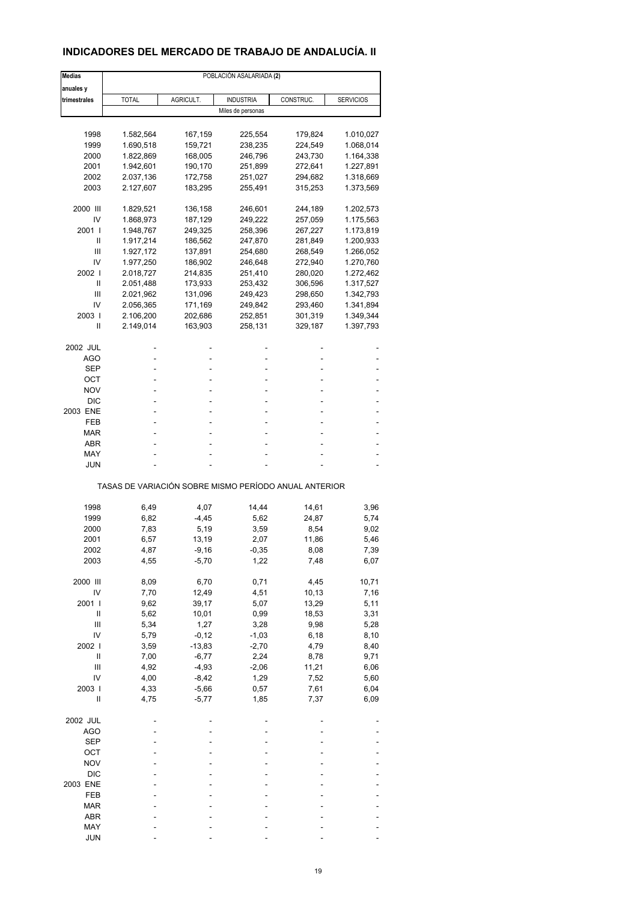### **INDICADORES DEL MERCADO DE TRABAJO DE ANDALUCÍA. II**

| Medias         | POBLACIÓN ASALARIADA (2) |           |                                                       |           |                  |  |  |  |
|----------------|--------------------------|-----------|-------------------------------------------------------|-----------|------------------|--|--|--|
| anuales y      |                          |           |                                                       |           |                  |  |  |  |
| trimestrales   | <b>TOTAL</b>             | AGRICULT. | <b>INDUSTRIA</b>                                      | CONSTRUC. | <b>SERVICIOS</b> |  |  |  |
|                |                          |           | Miles de personas                                     |           |                  |  |  |  |
|                |                          |           |                                                       |           |                  |  |  |  |
| 1998           | 1.582,564                | 167,159   | 225,554                                               | 179,824   | 1.010,027        |  |  |  |
| 1999           | 1.690,518                | 159,721   | 238,235                                               | 224,549   | 1.068,014        |  |  |  |
| 2000           | 1.822,869                | 168,005   | 246,796                                               | 243,730   | 1.164,338        |  |  |  |
| 2001           | 1.942,601                | 190,170   | 251,899                                               | 272,641   | 1.227,891        |  |  |  |
| 2002           | 2.037,136                | 172,758   | 251,027                                               | 294,682   | 1.318,669        |  |  |  |
| 2003           | 2.127,607                | 183,295   | 255,491                                               | 315,253   | 1.373,569        |  |  |  |
| 2000 III       | 1.829,521                | 136,158   | 246,601                                               | 244,189   | 1.202,573        |  |  |  |
| IV             | 1.868,973                | 187,129   | 249,222                                               | 257,059   | 1.175,563        |  |  |  |
| 2001 l         | 1.948,767                | 249,325   | 258,396                                               | 267,227   | 1.173,819        |  |  |  |
| Ш              | 1.917,214                | 186,562   | 247,870                                               | 281,849   | 1.200,933        |  |  |  |
| Ш              | 1.927,172                | 137,891   | 254,680                                               | 268,549   | 1.266,052        |  |  |  |
| IV             | 1.977,250                | 186,902   | 246,648                                               | 272,940   | 1.270,760        |  |  |  |
| 2002           | 2.018,727                | 214,835   | 251,410                                               | 280,020   | 1.272,462        |  |  |  |
| Ш              | 2.051,488                | 173,933   | 253,432                                               | 306,596   | 1.317,527        |  |  |  |
| Ш              | 2.021,962                | 131,096   | 249,423                                               | 298,650   | 1.342,793        |  |  |  |
| IV             | 2.056,365                | 171,169   | 249,842                                               | 293,460   | 1.341,894        |  |  |  |
| 2003           | 2.106,200                | 202,686   | 252,851                                               | 301,319   | 1.349,344        |  |  |  |
| Ш              | 2.149,014                | 163,903   | 258,131                                               | 329,187   | 1.397,793        |  |  |  |
|                |                          |           |                                                       |           |                  |  |  |  |
| 2002 JUL       |                          |           |                                                       |           |                  |  |  |  |
| AGO            |                          |           | -                                                     |           |                  |  |  |  |
| SEP            |                          |           | ٠                                                     |           |                  |  |  |  |
| ост            |                          |           |                                                       |           |                  |  |  |  |
| <b>NOV</b>     |                          |           |                                                       |           |                  |  |  |  |
| DIC            |                          |           |                                                       |           |                  |  |  |  |
| 2003 ENE       |                          |           |                                                       |           |                  |  |  |  |
| FEB            |                          |           |                                                       |           |                  |  |  |  |
| MAR            |                          |           |                                                       |           |                  |  |  |  |
| ABR            |                          |           |                                                       |           |                  |  |  |  |
| MAY            |                          |           |                                                       |           |                  |  |  |  |
| JUN            |                          |           |                                                       |           |                  |  |  |  |
|                |                          |           | TASAS DE VARIACIÓN SOBRE MISMO PERÍODO ANUAL ANTERIOR |           |                  |  |  |  |
|                |                          |           |                                                       |           |                  |  |  |  |
| 1998           | 6,49                     | 4,07      | 14,44                                                 | 14,61     | 3,96             |  |  |  |
| 1999           | 6,82                     | $-4,45$   | 5,62                                                  | 24,87     | 5,74             |  |  |  |
| 2000           | 7,83                     | 5,19      | 3,59                                                  | 8,54      | 9,02             |  |  |  |
| 2001           | 6,57                     | 13,19     | 2,07                                                  | 11,86     | 5,46             |  |  |  |
| 2002           | 4,87                     | -9,16     | -0,35                                                 | 8,08      | 7,39             |  |  |  |
| 2003           | 4,55                     | $-5,70$   | 1,22                                                  | 7,48      | 6,07             |  |  |  |
| 2000 III       | 8,09                     | 6,70      | 0,71                                                  | 4,45      | 10,71            |  |  |  |
| IV             | 7,70                     | 12,49     | 4,51                                                  | 10,13     | 7,16             |  |  |  |
| 2001           | 9,62                     | 39,17     | 5,07                                                  | 13,29     | 5,11             |  |  |  |
| Ш              | 5,62                     | 10,01     | 0,99                                                  | 18,53     | 3,31             |  |  |  |
| Ш              | 5,34                     | 1,27      | 3,28                                                  | 9,98      | 5,28             |  |  |  |
| IV             | 5,79                     | $-0,12$   | $-1,03$                                               | 6,18      | 8,10             |  |  |  |
| 2002           | 3,59                     | $-13,83$  | $-2,70$                                               | 4,79      | 8,40             |  |  |  |
| Ш              | 7,00                     | $-6,77$   | 2,24                                                  | 8,78      | 9,71             |  |  |  |
| $\mathbf{III}$ | 4,92                     | $-4,93$   | $-2,06$                                               | 11,21     | 6,06             |  |  |  |
| IV             | 4,00                     | $-8,42$   | 1,29                                                  | 7,52      | 5,60             |  |  |  |
| 2003           | 4,33                     | $-5,66$   | 0,57                                                  | 7,61      | 6,04             |  |  |  |
| $\mathsf{I}$   | 4,75                     | $-5,77$   | 1,85                                                  | 7,37      | 6,09             |  |  |  |
|                |                          |           |                                                       |           |                  |  |  |  |
| 2002 JUL       |                          |           |                                                       |           |                  |  |  |  |
| <b>AGO</b>     |                          |           |                                                       |           |                  |  |  |  |
| <b>SEP</b>     |                          |           |                                                       |           |                  |  |  |  |
| ост            |                          |           |                                                       |           |                  |  |  |  |
| <b>NOV</b>     |                          |           |                                                       |           |                  |  |  |  |
| <b>DIC</b>     |                          |           |                                                       |           |                  |  |  |  |
| 2003 ENE       |                          |           |                                                       |           |                  |  |  |  |
| FEB            |                          |           |                                                       |           |                  |  |  |  |
| <b>MAR</b>     |                          |           |                                                       |           |                  |  |  |  |
| ABR            |                          |           |                                                       |           |                  |  |  |  |
| MAY            |                          |           |                                                       |           |                  |  |  |  |
| <b>JUN</b>     |                          |           |                                                       |           |                  |  |  |  |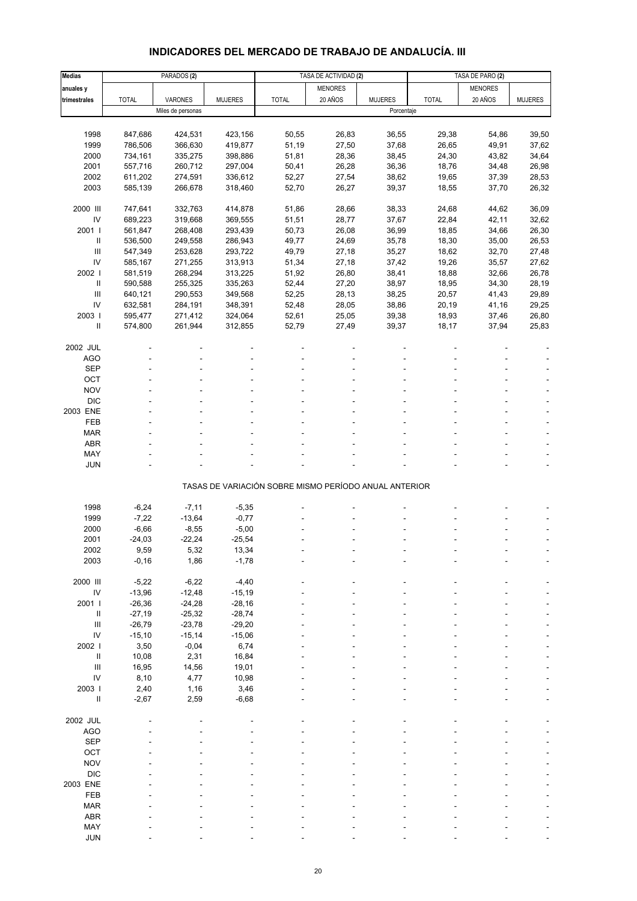# **INDICADORES DEL MERCADO DE TRABAJO DE ANDALUCÍA. III**

| <b>Medias</b>                        |               | PARADOS <sub>(2)</sub> |                  | TASA DE ACTIVIDAD (2) |                                                       | TASA DE PARO (2) |              |                |                |
|--------------------------------------|---------------|------------------------|------------------|-----------------------|-------------------------------------------------------|------------------|--------------|----------------|----------------|
| anuales y                            |               |                        |                  |                       | <b>MENORES</b>                                        |                  |              | <b>MENORES</b> |                |
| trimestrales                         | <b>TOTAL</b>  | VARONES                | <b>MUJERES</b>   | <b>TOTAL</b>          | 20 AÑOS                                               | <b>MUJERES</b>   | <b>TOTAL</b> | 20 AÑOS        | <b>MUJERES</b> |
|                                      |               | Miles de personas      |                  |                       |                                                       | Porcentaje       |              |                |                |
|                                      |               |                        |                  |                       |                                                       |                  |              |                |                |
| 1998                                 | 847,686       | 424,531                | 423,156          | 50,55                 | 26,83                                                 | 36,55            | 29,38        | 54,86          | 39,50          |
| 1999                                 | 786,506       | 366,630                | 419,877          | 51,19                 | 27,50                                                 | 37,68            | 26,65        | 49,91          | 37,62          |
| 2000                                 | 734,161       | 335,275                | 398,886          | 51,81                 | 28,36                                                 | 38,45            | 24,30        | 43,82          | 34,64          |
| 2001                                 | 557,716       | 260,712                | 297,004          | 50,41                 | 26,28                                                 | 36,36            | 18,76        | 34,48          | 26,98          |
| 2002                                 | 611,202       | 274,591                | 336,612          | 52,27                 | 27,54                                                 | 38,62            | 19,65        | 37,39          | 28,53          |
| 2003                                 | 585,139       | 266,678                | 318,460          | 52,70                 | 26,27                                                 | 39,37            | 18,55        | 37,70          | 26,32          |
|                                      |               |                        |                  |                       |                                                       |                  |              |                |                |
| 2000 III                             | 747,641       | 332,763                | 414,878          | 51,86                 | 28,66                                                 | 38,33            | 24,68        | 44,62          | 36,09          |
| IV                                   | 689,223       | 319,668                | 369,555          | 51,51                 | 28,77                                                 | 37,67            | 22,84        | 42,11          | 32,62          |
| 2001 l                               | 561,847       | 268,408                | 293,439          | 50,73                 | 26,08                                                 | 36,99            | 18,85        | 34,66          | 26,30          |
| $\sf II$                             | 536,500       | 249,558                | 286,943          | 49,77                 | 24,69                                                 | 35,78            | 18,30        | 35,00          | 26,53          |
| III                                  | 547,349       | 253,628                | 293,722          | 49,79                 | 27,18                                                 | 35,27            | 18,62        | 32,70          | 27,48          |
| IV                                   | 585,167       | 271,255                | 313,913          | 51,34                 | 27,18                                                 | 37,42            | 19,26        | 35,57          | 27,62          |
| 2002                                 | 581,519       | 268,294                | 313,225          | 51,92                 | 26,80                                                 | 38,41            | 18,88        | 32,66          | 26,78          |
| Ш                                    | 590,588       | 255,325                | 335,263          | 52,44                 | 27,20                                                 | 38,97            | 18,95        | 34,30          | 28,19          |
| III                                  | 640,121       | 290,553                | 349,568          | 52,25                 | 28,13                                                 | 38,25            | 20,57        | 41,43          | 29,89          |
| IV                                   | 632,581       | 284,191                | 348,391          | 52,48                 | 28,05                                                 | 38,86            | 20,19        | 41,16          | 29,25          |
| 2003                                 | 595,477       | 271,412                | 324,064          | 52,61                 | 25,05                                                 | 39,38            | 18,93        | 37,46          | 26,80          |
| Ш                                    | 574,800       | 261,944                | 312,855          | 52,79                 | 27,49                                                 | 39,37            | 18,17        | 37,94          | 25,83          |
|                                      |               |                        |                  |                       |                                                       |                  |              |                |                |
| 2002 JUL                             |               |                        |                  |                       |                                                       |                  |              |                |                |
| <b>AGO</b>                           |               |                        |                  |                       |                                                       |                  |              |                |                |
| <b>SEP</b>                           |               |                        |                  |                       |                                                       |                  |              |                |                |
| OCT                                  |               |                        |                  |                       |                                                       |                  |              |                |                |
| <b>NOV</b>                           |               |                        |                  |                       |                                                       |                  |              |                |                |
| <b>DIC</b>                           |               |                        |                  |                       |                                                       |                  |              |                |                |
| 2003 ENE                             |               |                        |                  |                       |                                                       |                  |              |                |                |
| <b>FEB</b>                           |               |                        |                  |                       |                                                       |                  |              |                |                |
| <b>MAR</b>                           |               |                        |                  |                       |                                                       |                  |              |                |                |
| <b>ABR</b>                           |               |                        |                  |                       |                                                       |                  |              |                |                |
| MAY                                  |               |                        |                  |                       |                                                       |                  |              |                |                |
| <b>JUN</b>                           |               |                        |                  |                       |                                                       |                  |              |                |                |
|                                      |               |                        |                  |                       |                                                       |                  |              |                |                |
|                                      |               |                        |                  |                       | TASAS DE VARIACIÓN SOBRE MISMO PERÍODO ANUAL ANTERIOR |                  |              |                |                |
|                                      |               |                        |                  |                       |                                                       |                  |              |                |                |
| 1998                                 | $-6,24$       | $-7,11$                | $-5,35$          |                       |                                                       |                  |              |                |                |
| 1999                                 | $-7,22$       | $-13,64$               | $-0,77$          |                       |                                                       |                  |              |                |                |
| 2000                                 | $-6,66$       | $-8,55$                | $-5,00$          |                       |                                                       |                  |              |                |                |
| 2001                                 | $-24,03$      | $-22,24$               | $-25,54$         |                       |                                                       |                  |              |                |                |
| 2002                                 | 9,59          | 5,32                   | 13,34            |                       |                                                       |                  |              |                |                |
| 2003                                 | $-0, 16$      | 1,86                   | $-1,78$          |                       |                                                       |                  |              |                |                |
|                                      |               |                        |                  |                       |                                                       |                  |              |                |                |
| 2000 III                             | $-5,22$       | $-6,22$                | $-4,40$          |                       |                                                       |                  |              |                |                |
| $\mathsf{IV}$                        | $-13,96$      | $-12,48$               | $-15,19$         |                       |                                                       |                  |              |                |                |
| 2001 l                               | $-26,36$      | $-24,28$               | $-28,16$         |                       |                                                       |                  |              |                |                |
| Ш<br>$\mathbf{III}$                  | $-27,19$      | $-25,32$               | $-28,74$         |                       |                                                       |                  |              |                |                |
| IV                                   | $-26,79$      | $-23,78$               | $-29,20$         |                       |                                                       |                  |              |                |                |
| 2002 l                               | $-15,10$      | $-15,14$<br>$-0,04$    | $-15,06$<br>6,74 |                       |                                                       |                  |              |                |                |
| $\ensuremath{\mathsf{II}}$           | 3,50          | 2,31                   | 16,84            |                       |                                                       |                  |              |                |                |
| $\mathbf{III}$                       | 10,08         |                        |                  |                       |                                                       |                  |              |                |                |
| IV                                   | 16,95<br>8,10 | 14,56<br>4,77          | 19,01<br>10,98   |                       |                                                       |                  |              |                |                |
|                                      |               |                        |                  |                       |                                                       |                  |              |                |                |
| 2003  <br>$\ensuremath{\mathsf{II}}$ | 2,40          | 1,16<br>2,59           | 3,46<br>$-6,68$  |                       |                                                       |                  |              |                |                |
|                                      | $-2,67$       |                        |                  |                       |                                                       |                  |              |                |                |
| 2002 JUL                             |               |                        |                  |                       |                                                       |                  |              |                |                |
| <b>AGO</b>                           |               |                        |                  |                       |                                                       |                  |              |                |                |
| <b>SEP</b>                           |               |                        |                  |                       |                                                       |                  |              |                |                |
| OCT                                  |               |                        |                  |                       |                                                       |                  |              |                |                |
| <b>NOV</b>                           |               |                        |                  |                       |                                                       |                  |              |                |                |
| <b>DIC</b>                           |               |                        |                  |                       |                                                       |                  |              |                |                |
| 2003 ENE                             |               |                        |                  |                       |                                                       |                  |              |                |                |
| FEB                                  |               |                        |                  |                       |                                                       |                  |              |                |                |
| <b>MAR</b>                           |               |                        |                  |                       |                                                       |                  |              |                |                |
| <b>ABR</b>                           |               |                        |                  |                       |                                                       |                  |              |                |                |
| MAY                                  |               |                        |                  |                       |                                                       |                  |              |                |                |
| <b>JUN</b>                           |               |                        |                  |                       |                                                       |                  |              |                |                |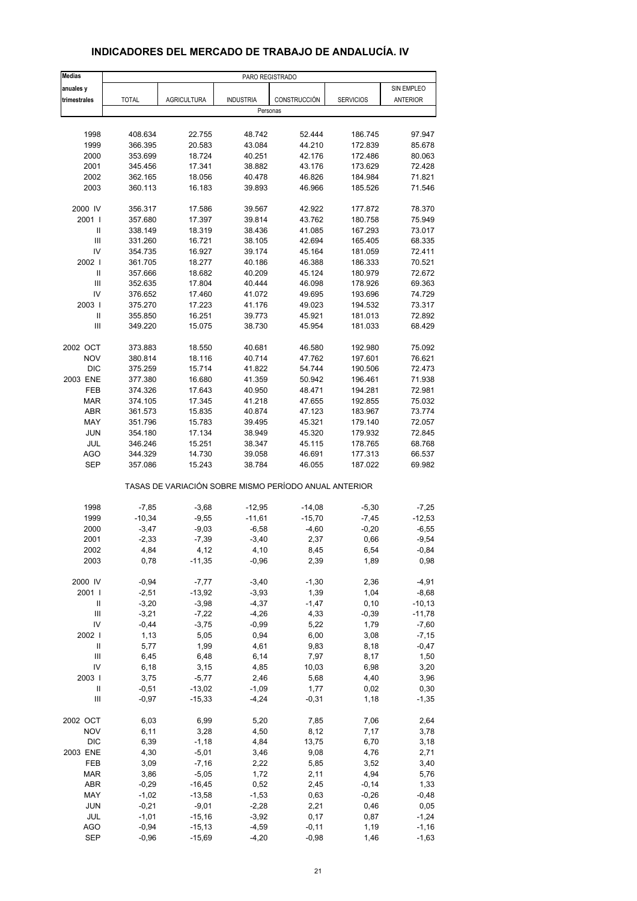| <b>Medias</b>                           | PARO REGISTRADO    |                                                       |                    |                 |                  |                     |  |
|-----------------------------------------|--------------------|-------------------------------------------------------|--------------------|-----------------|------------------|---------------------|--|
| anuales y                               |                    |                                                       |                    |                 |                  | SIN EMPLEO          |  |
| trimestrales                            | <b>TOTAL</b>       | <b>AGRICULTURA</b>                                    | <b>INDUSTRIA</b>   | CONSTRUCCIÓN    | <b>SERVICIOS</b> | <b>ANTERIOR</b>     |  |
|                                         |                    |                                                       | Personas           |                 |                  |                     |  |
|                                         |                    |                                                       |                    |                 |                  |                     |  |
| 1998                                    | 408.634            | 22.755                                                | 48.742             | 52.444          | 186.745          | 97.947              |  |
| 1999                                    | 366.395            | 20.583                                                | 43.084             | 44.210          | 172.839          | 85.678              |  |
| 2000                                    | 353.699            | 18.724                                                | 40.251             | 42.176          | 172.486          | 80.063              |  |
| 2001                                    | 345.456            | 17.341                                                | 38.882             | 43.176          | 173.629          | 72.428              |  |
| 2002                                    | 362.165            | 18.056                                                | 40.478             | 46.826          | 184.984          | 71.821              |  |
| 2003                                    | 360.113            | 16.183                                                | 39.893             | 46.966          | 185.526          | 71.546              |  |
| 2000 IV                                 | 356.317            | 17.586                                                | 39.567             | 42.922          | 177.872          | 78.370              |  |
| 2001 l                                  | 357.680            | 17.397                                                | 39.814             | 43.762          | 180.758          | 75.949              |  |
| Ш                                       | 338.149            | 18.319                                                | 38.436             | 41.085          | 167.293          | 73.017              |  |
| Ш                                       | 331.260            | 16.721                                                | 38.105             | 42.694          | 165.405          | 68.335              |  |
| IV                                      | 354.735            | 16.927                                                | 39.174             | 45.164          | 181.059          | 72.411              |  |
| 2002                                    | 361.705            | 18.277                                                | 40.186             | 46.388          | 186.333          | 70.521              |  |
| $\ensuremath{\mathsf{II}}$              | 357.666            | 18.682                                                | 40.209             | 45.124          | 180.979          | 72.672              |  |
| Ш                                       | 352.635            | 17.804                                                | 40.444             | 46.098          | 178.926          | 69.363              |  |
| IV                                      | 376.652            | 17.460                                                | 41.072             | 49.695          | 193.696          | 74.729              |  |
| 2003 l                                  | 375.270            | 17.223                                                | 41.176             | 49.023          | 194.532          | 73.317              |  |
| Ш                                       | 355.850            | 16.251                                                | 39.773             | 45.921          | 181.013          | 72.892              |  |
| III                                     | 349.220            | 15.075                                                | 38.730             | 45.954          | 181.033          | 68.429              |  |
|                                         |                    |                                                       |                    |                 |                  |                     |  |
| 2002 OCT                                | 373.883            | 18.550                                                | 40.681             | 46.580          | 192.980          | 75.092              |  |
| <b>NOV</b>                              | 380.814            | 18.116                                                | 40.714             | 47.762          | 197.601          | 76.621              |  |
| <b>DIC</b>                              | 375.259            | 15.714                                                | 41.822             | 54.744          | 190.506          | 72.473              |  |
| 2003 ENE                                | 377.380            | 16.680                                                | 41.359             | 50.942          | 196.461          | 71.938              |  |
| <b>FEB</b>                              | 374.326            | 17.643                                                | 40.950             | 48.471          | 194.281          | 72.981              |  |
| <b>MAR</b>                              | 374.105            | 17.345                                                | 41.218             | 47.655          | 192.855          | 75.032              |  |
| <b>ABR</b>                              | 361.573            | 15.835                                                | 40.874             | 47.123          | 183.967          | 73.774              |  |
| MAY                                     | 351.796            | 15.783                                                | 39.495             | 45.321          | 179.140          | 72.057              |  |
| <b>JUN</b>                              | 354.180            | 17.134                                                | 38.949             | 45.320          | 179.932          | 72.845              |  |
| JUL                                     | 346.246            | 15.251                                                | 38.347             | 45.115          | 178.765          | 68.768              |  |
| <b>AGO</b>                              | 344.329            | 14.730                                                | 39.058             | 46.691          | 177.313          | 66.537              |  |
| <b>SEP</b>                              | 357.086            | 15.243                                                | 38.784             | 46.055          | 187.022          | 69.982              |  |
|                                         |                    | TASAS DE VARIACIÓN SOBRE MISMO PERÍODO ANUAL ANTERIOR |                    |                 |                  |                     |  |
| 1998                                    | $-7,85$            | $-3,68$                                               | $-12,95$           | $-14,08$        | $-5,30$          | $-7,25$             |  |
| 1999                                    | $-10,34$           | $-9,55$                                               | $-11,61$           | $-15,70$        | $-7,45$          | $-12,53$            |  |
| 2000                                    | $-3,47$            | $-9,03$                                               | $-6,58$            | $-4,60$         | $-0,20$          | $-6,55$             |  |
| 2001                                    | $-2,33$            | $-7,39$                                               | $-3,40$            | 2,37            | 0,66             | $-9,54$             |  |
| 2002                                    | 4,84               | 4,12                                                  | 4,10               | 8,45            | 6,54             | -0,84               |  |
| 2003                                    | 0,78               | $-11,35$                                              | $-0,96$            | 2,39            | 1,89             | 0,98                |  |
|                                         |                    |                                                       |                    |                 |                  |                     |  |
| 2000 IV                                 | $-0,94$            | $-7,77$                                               | $-3,40$            | $-1,30$         | 2,36             | $-4,91$             |  |
| 2001 l                                  | $-2,51$            | $-13,92$                                              | $-3,93$            | 1,39            | 1,04             | $-8,68$             |  |
| $\ensuremath{\mathsf{II}}$              | $-3,20$            | $-3,98$                                               | $-4,37$            | $-1,47$         | 0, 10            | $-10, 13$           |  |
| Ш<br>IV                                 | $-3,21$<br>$-0,44$ | $-7,22$<br>$-3,75$                                    | $-4,26$<br>$-0,99$ | 4,33<br>5,22    | $-0,39$<br>1,79  | $-11,78$<br>$-7,60$ |  |
| 2002                                    |                    |                                                       |                    |                 |                  |                     |  |
|                                         | 1,13               | 5,05                                                  | 0,94               | 6,00            | 3,08             | $-7,15$             |  |
| $\sf II$                                | 5,77               | 1,99                                                  | 4,61               | 9,83            | 8,18             | $-0,47$             |  |
| Ш                                       | 6,45               | 6,48                                                  | 6,14               | 7,97            | 8,17             | 1,50                |  |
| IV                                      | 6,18               | 3,15                                                  | 4,85               | 10,03           | 6,98             | 3,20                |  |
| 2003                                    | 3,75               | $-5,77$                                               | 2,46               | 5,68            | 4,40             | 3,96                |  |
| Ш<br>$\ensuremath{\mathsf{III}}\xspace$ | $-0,51$<br>$-0,97$ | $-13,02$<br>$-15,33$                                  | $-1,09$<br>$-4,24$ | 1,77<br>$-0,31$ | 0,02<br>1,18     | 0,30<br>$-1,35$     |  |
|                                         |                    |                                                       |                    |                 |                  |                     |  |
| 2002 OCT                                | 6,03               | 6,99                                                  | 5,20               | 7,85            | 7,06             | 2,64                |  |
| <b>NOV</b>                              | 6,11               | 3,28                                                  | 4,50               | 8,12            | 7,17             | 3,78                |  |
| <b>DIC</b>                              | 6,39               | $-1,18$                                               | 4,84               | 13,75           | 6,70             | 3,18                |  |
| 2003 ENE                                | 4,30               | $-5,01$                                               | 3,46               | 9,08            | 4,76             | 2,71                |  |
| FEB                                     | 3,09               | $-7,16$                                               | 2,22               | 5,85            | 3,52             | 3,40                |  |
| <b>MAR</b>                              | 3,86               | $-5,05$                                               | 1,72               | 2,11            | 4,94             | 5,76                |  |
| ABR                                     | $-0,29$            | $-16,45$                                              | 0,52               | 2,45            | $-0,14$          | 1,33                |  |
| MAY                                     | $-1,02$            | $-13,58$                                              | $-1,53$            | 0,63            | $-0,26$          | $-0,48$             |  |
| JUN                                     | $-0,21$            | $-9,01$                                               | $-2,28$            | 2,21            | 0,46             | 0,05                |  |
| <b>JUL</b>                              | $-1,01$            | $-15,16$                                              | $-3,92$            | 0,17            | 0,87             | $-1,24$             |  |
| AGO                                     | $-0,94$            | $-15, 13$                                             | $-4,59$            | $-0, 11$        | 1,19             | $-1,16$             |  |
| <b>SEP</b>                              | $-0,96$            | $-15,69$                                              | $-4,20$            | $-0,98$         | 1,46             | $-1,63$             |  |

#### **INDICADORES DEL MERCADO DE TRABAJO DE ANDALUCÍA. IV**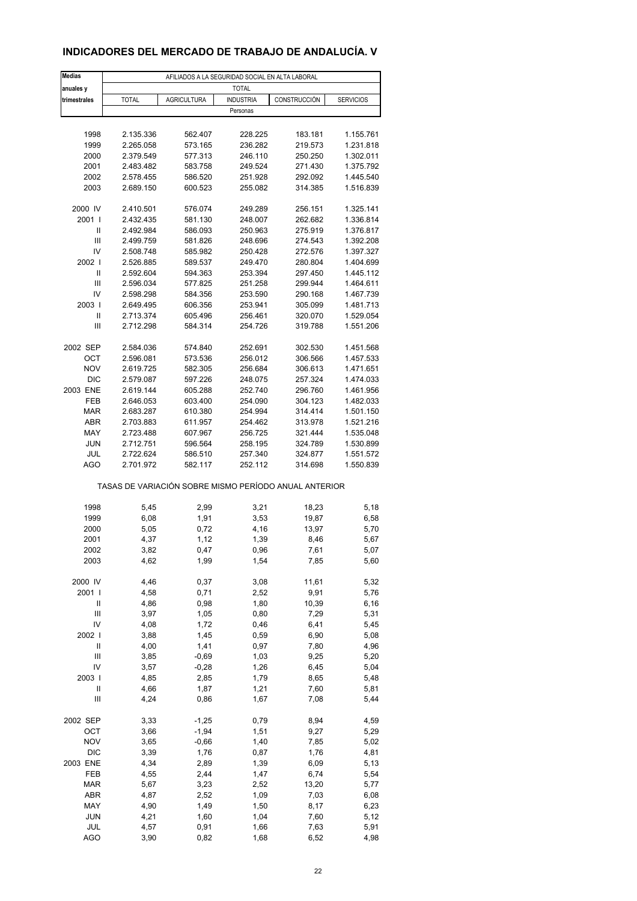### **INDICADORES DEL MERCADO DE TRABAJO DE ANDALUCÍA. V**

| <b>Medias</b>                      | AFILIADOS A LA SEGURIDAD SOCIAL EN ALTA LABORAL       |                    |                    |                    |                        |  |  |  |  |
|------------------------------------|-------------------------------------------------------|--------------------|--------------------|--------------------|------------------------|--|--|--|--|
| anuales y                          | <b>TOTAL</b>                                          |                    |                    |                    |                        |  |  |  |  |
| trimestrales                       | <b>AGRICULTURA</b><br><b>TOTAL</b>                    |                    | <b>INDUSTRIA</b>   | CONSTRUCCIÓN       | <b>SERVICIOS</b>       |  |  |  |  |
|                                    |                                                       |                    | Personas           |                    |                        |  |  |  |  |
|                                    |                                                       |                    |                    |                    |                        |  |  |  |  |
| 1998                               | 2.135.336                                             | 562.407            | 228.225            | 183.181            | 1.155.761              |  |  |  |  |
| 1999                               | 2.265.058                                             | 573.165            | 236.282            | 219.573            | 1.231.818              |  |  |  |  |
| 2000                               | 2.379.549                                             | 577.313            | 246.110            | 250.250            | 1.302.011              |  |  |  |  |
| 2001                               | 2.483.482                                             | 583.758            | 249.524            | 271.430            | 1.375.792              |  |  |  |  |
| 2002                               | 2.578.455                                             | 586.520            | 251.928            | 292.092            | 1.445.540              |  |  |  |  |
| 2003                               | 2.689.150                                             | 600.523            | 255.082            | 314.385            | 1.516.839              |  |  |  |  |
|                                    |                                                       |                    |                    |                    |                        |  |  |  |  |
| 2000 IV                            | 2.410.501                                             | 576.074            | 249.289            | 256.151            | 1.325.141              |  |  |  |  |
| 2001 l<br>$\mathsf{I}$             | 2.432.435                                             | 581.130            | 248.007            | 262.682<br>275.919 | 1.336.814              |  |  |  |  |
| $\mathsf{III}$                     | 2.492.984<br>2.499.759                                | 586.093<br>581.826 | 250.963<br>248.696 | 274.543            | 1.376.817<br>1.392.208 |  |  |  |  |
| IV                                 | 2.508.748                                             | 585.982            | 250.428            | 272.576            | 1.397.327              |  |  |  |  |
| 2002                               | 2.526.885                                             | 589.537            | 249.470            | 280.804            | 1.404.699              |  |  |  |  |
| Ш                                  | 2.592.604                                             | 594.363            | 253.394            | 297.450            | 1.445.112              |  |  |  |  |
| Ш                                  | 2.596.034                                             | 577.825            | 251.258            | 299.944            | 1.464.611              |  |  |  |  |
| IV                                 | 2.598.298                                             | 584.356            | 253.590            | 290.168            | 1.467.739              |  |  |  |  |
| 2003                               | 2.649.495                                             | 606.356            | 253.941            | 305.099            | 1.481.713              |  |  |  |  |
| Ш                                  | 2.713.374                                             | 605.496            | 256.461            | 320.070            | 1.529.054              |  |  |  |  |
| Ш                                  | 2.712.298                                             | 584.314            | 254.726            | 319.788            | 1.551.206              |  |  |  |  |
|                                    |                                                       |                    |                    |                    |                        |  |  |  |  |
| 2002 SEP                           | 2.584.036                                             | 574.840            | 252.691            | 302.530            | 1.451.568              |  |  |  |  |
| OCT                                | 2.596.081                                             | 573.536            | 256.012            | 306.566            | 1.457.533              |  |  |  |  |
| <b>NOV</b>                         | 2.619.725                                             | 582.305            | 256.684            | 306.613            | 1.471.651              |  |  |  |  |
| <b>DIC</b>                         | 2.579.087                                             | 597.226            | 248.075            | 257.324            | 1.474.033              |  |  |  |  |
| 2003 ENE                           | 2.619.144                                             | 605.288            | 252.740            | 296.760            | 1.461.956              |  |  |  |  |
| FEB<br><b>MAR</b>                  | 2.646.053<br>2.683.287                                | 603.400<br>610.380 | 254.090<br>254.994 | 304.123<br>314.414 | 1.482.033<br>1.501.150 |  |  |  |  |
| <b>ABR</b>                         | 2.703.883                                             | 611.957            | 254.462            | 313.978            | 1.521.216              |  |  |  |  |
| MAY                                | 2.723.488                                             | 607.967            | 256.725            | 321.444            | 1.535.048              |  |  |  |  |
| <b>JUN</b>                         | 2.712.751                                             | 596.564            | 258.195            | 324.789            | 1.530.899              |  |  |  |  |
| JUL                                | 2.722.624                                             | 586.510            | 257.340            | 324.877            | 1.551.572              |  |  |  |  |
| AGO                                | 2.701.972                                             | 582.117            | 252.112            | 314.698            | 1.550.839              |  |  |  |  |
|                                    | TASAS DE VARIACIÓN SOBRE MISMO PERÍODO ANUAL ANTERIOR |                    |                    |                    |                        |  |  |  |  |
|                                    |                                                       |                    |                    |                    |                        |  |  |  |  |
| 1998                               | 5,45                                                  | 2,99               | 3,21               | 18,23              | 5,18                   |  |  |  |  |
| 1999                               | 6,08                                                  | 1,91               | 3,53               | 19,87<br>13,97     | 6,58<br>5,70           |  |  |  |  |
| 2000<br>2001                       | 5,05<br>4,37                                          | 0,72<br>1,12       | 4,16<br>1,39       | 8,46               | 5,67                   |  |  |  |  |
| 2002                               | 3,82                                                  | 0,47               | 0,96               | 7,61               | 5,07                   |  |  |  |  |
| 2003                               | 4,62                                                  | 1,99               | 1,54               | 7,85               | 5,60                   |  |  |  |  |
|                                    |                                                       |                    |                    |                    |                        |  |  |  |  |
| 2000 IV                            | 4,46                                                  | 0,37               | 3,08               | 11,61              | 5,32                   |  |  |  |  |
| 2001 l                             | 4,58                                                  | 0,71               | 2,52               | 9,91               | 5,76                   |  |  |  |  |
| Ш                                  | 4,86                                                  | 0,98               | 1,80               | 10,39              | 6, 16                  |  |  |  |  |
| Ш                                  | 3,97                                                  | 1,05               | 0,80               | 7,29               | 5,31                   |  |  |  |  |
| IV                                 | 4,08                                                  | 1,72               | 0,46               | 6,41               | 5,45                   |  |  |  |  |
| 2002                               | 3,88                                                  | 1,45               | 0,59               | 6,90               | 5,08                   |  |  |  |  |
| $\mathsf{II}$                      | 4,00                                                  | 1,41               | 0,97               | 7,80               | 4,96                   |  |  |  |  |
| Ш                                  | 3,85                                                  | $-0,69$            | 1,03               | 9,25               | 5,20                   |  |  |  |  |
| IV                                 | 3,57                                                  | $-0,28$            | 1,26               | 6,45               | 5,04                   |  |  |  |  |
| 2003  <br>Ш                        | 4,85<br>4,66                                          | 2,85<br>1,87       | 1,79<br>1,21       | 8,65<br>7,60       | 5,48                   |  |  |  |  |
| $\ensuremath{\mathsf{III}}\xspace$ | 4,24                                                  | 0,86               | 1,67               | 7,08               | 5,81<br>5,44           |  |  |  |  |
|                                    |                                                       |                    |                    |                    |                        |  |  |  |  |
| 2002 SEP                           | 3,33                                                  | $-1,25$            | 0,79               | 8,94               | 4,59                   |  |  |  |  |
| OCT                                | 3,66                                                  | $-1,94$            | 1,51               | 9,27               | 5,29                   |  |  |  |  |
| <b>NOV</b>                         | 3,65                                                  | $-0,66$            | 1,40               | 7,85               | 5,02                   |  |  |  |  |
| DIC                                | 3,39                                                  | 1,76               | 0,87               | 1,76               | 4,81                   |  |  |  |  |
| 2003 ENE                           | 4,34                                                  | 2,89               | 1,39               | 6,09               | 5,13                   |  |  |  |  |
| FEB                                | 4,55                                                  | 2,44               | 1,47               | 6,74               | 5,54                   |  |  |  |  |
| <b>MAR</b>                         | 5,67                                                  | 3,23               | 2,52               | 13,20              | 5,77                   |  |  |  |  |
| ABR                                | 4,87                                                  | 2,52               | 1,09               | 7,03               | 6,08                   |  |  |  |  |
| MAY                                | 4,90                                                  | 1,49               | 1,50               | 8,17               | 6,23                   |  |  |  |  |
| <b>JUN</b><br>JUL                  | 4,21<br>4,57                                          | 1,60<br>0,91       | 1,04               | 7,60<br>7,63       | 5,12<br>5,91           |  |  |  |  |
| <b>AGO</b>                         | 3,90                                                  | 0,82               | 1,66<br>1,68       | 6,52               | 4,98                   |  |  |  |  |
|                                    |                                                       |                    |                    |                    |                        |  |  |  |  |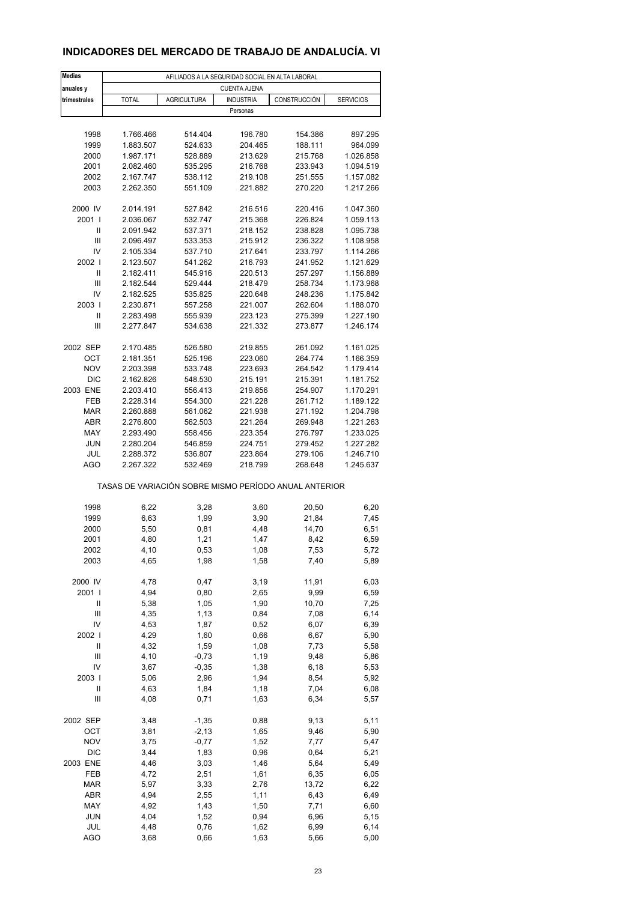### **INDICADORES DEL MERCADO DE TRABAJO DE ANDALUCÍA. VI**

| <b>Medias</b>            | AFILIADOS A LA SEGURIDAD SOCIAL EN ALTA LABORAL       |                    |                     |                    |                        |  |  |  |  |
|--------------------------|-------------------------------------------------------|--------------------|---------------------|--------------------|------------------------|--|--|--|--|
| anuales y                |                                                       |                    | <b>CUENTA AJENA</b> |                    |                        |  |  |  |  |
| trimestrales             | <b>TOTAL</b>                                          | <b>AGRICULTURA</b> | <b>INDUSTRIA</b>    | CONSTRUCCIÓN       | <b>SERVICIOS</b>       |  |  |  |  |
|                          |                                                       |                    | Personas            |                    |                        |  |  |  |  |
|                          |                                                       |                    |                     |                    |                        |  |  |  |  |
| 1998                     | 1.766.466                                             | 514.404            | 196.780             | 154.386            | 897.295                |  |  |  |  |
| 1999<br>2000             | 1.883.507<br>1.987.171                                | 524.633            | 204.465             | 188.111            | 964.099<br>1.026.858   |  |  |  |  |
| 2001                     | 2.082.460                                             | 528.889<br>535.295 | 213.629<br>216.768  | 215.768<br>233.943 | 1.094.519              |  |  |  |  |
| 2002                     | 2.167.747                                             | 538.112            | 219.108             | 251.555            | 1.157.082              |  |  |  |  |
| 2003                     | 2.262.350                                             | 551.109            | 221.882             | 270.220            | 1.217.266              |  |  |  |  |
|                          |                                                       |                    |                     |                    |                        |  |  |  |  |
| 2000 IV                  | 2.014.191                                             | 527.842            | 216.516             | 220.416            | 1.047.360              |  |  |  |  |
| 2001 l                   | 2.036.067                                             | 532.747            | 215.368             | 226.824            | 1.059.113              |  |  |  |  |
| Ш                        | 2.091.942                                             | 537.371            | 218.152             | 238.828            | 1.095.738              |  |  |  |  |
| Ш                        | 2.096.497                                             | 533.353            | 215.912             | 236.322            | 1.108.958              |  |  |  |  |
| IV<br>2002               | 2.105.334<br>2.123.507                                | 537.710<br>541.262 | 217.641             | 233.797<br>241.952 | 1.114.266              |  |  |  |  |
| Ш                        | 2.182.411                                             | 545.916            | 216.793<br>220.513  | 257.297            | 1.121.629<br>1.156.889 |  |  |  |  |
| Ш                        | 2.182.544                                             | 529.444            | 218.479             | 258.734            | 1.173.968              |  |  |  |  |
| IV                       | 2.182.525                                             | 535.825            | 220.648             | 248.236            | 1.175.842              |  |  |  |  |
| 2003                     | 2.230.871                                             | 557.258            | 221.007             | 262.604            | 1.188.070              |  |  |  |  |
| Ш                        | 2.283.498                                             | 555.939            | 223.123             | 275.399            | 1.227.190              |  |  |  |  |
| Ш                        | 2.277.847                                             | 534.638            | 221.332             | 273.877            | 1.246.174              |  |  |  |  |
|                          |                                                       |                    |                     |                    |                        |  |  |  |  |
| 2002 SEP                 | 2.170.485                                             | 526.580            | 219.855             | 261.092            | 1.161.025              |  |  |  |  |
| OCT                      | 2.181.351                                             | 525.196<br>533.748 | 223.060             | 264.774<br>264.542 | 1.166.359              |  |  |  |  |
| <b>NOV</b><br><b>DIC</b> | 2.203.398<br>2.162.826                                | 548.530            | 223.693<br>215.191  | 215.391            | 1.179.414<br>1.181.752 |  |  |  |  |
| 2003 ENE                 | 2.203.410                                             | 556.413            | 219.856             | 254.907            | 1.170.291              |  |  |  |  |
| FEB                      | 2.228.314                                             | 554.300            | 221.228             | 261.712            | 1.189.122              |  |  |  |  |
| <b>MAR</b>               | 2.260.888                                             | 561.062            | 221.938             | 271.192            | 1.204.798              |  |  |  |  |
| ABR                      | 2.276.800                                             | 562.503            | 221.264             | 269.948            | 1.221.263              |  |  |  |  |
| MAY                      | 2.293.490                                             | 558.456            | 223.354             | 276.797            | 1.233.025              |  |  |  |  |
| <b>JUN</b>               | 2.280.204                                             | 546.859            | 224.751             | 279.452            | 1.227.282              |  |  |  |  |
| JUL                      | 2.288.372                                             | 536.807            | 223.864             | 279.106            | 1.246.710              |  |  |  |  |
| AGO                      | 2.267.322                                             | 532.469            | 218.799             | 268.648            | 1.245.637              |  |  |  |  |
|                          | TASAS DE VARIACIÓN SOBRE MISMO PERÍODO ANUAL ANTERIOR |                    |                     |                    |                        |  |  |  |  |
| 1998                     | 6,22                                                  | 3,28               | 3,60                | 20,50              | 6,20                   |  |  |  |  |
| 1999                     | 6,63                                                  | 1,99               | 3,90                | 21,84              | 7,45                   |  |  |  |  |
| 2000                     | 5,50                                                  | 0,81               | 4,48                | 14,70              | 6,51                   |  |  |  |  |
| 2001                     | 4,80                                                  | 1,21               | 1,47                | 8,42               | 6,59                   |  |  |  |  |
| 2002                     | 4,10                                                  | 0,53               | 1,08                | 7,53               | 5,72                   |  |  |  |  |
| 2003                     | 4,65                                                  | 1,98               | 1,58                | 7,40               | 5,89                   |  |  |  |  |
| 2000 IV                  | 4,78                                                  | 0,47               | 3,19                | 11,91              | 6,03                   |  |  |  |  |
| 2001 l                   | 4,94                                                  | 0,80               | 2,65                | 9,99               | 6,59                   |  |  |  |  |
| Ш                        | 5,38                                                  | 1,05               | 1,90                | 10,70              | 7,25                   |  |  |  |  |
| Ш                        | 4,35                                                  | 1,13               | 0,84                | 7,08               | 6,14                   |  |  |  |  |
| IV                       | 4,53                                                  | 1,87               | 0,52                | 6,07               | 6,39                   |  |  |  |  |
| 2002                     | 4,29                                                  | 1,60               | 0,66                | 6,67               | 5,90                   |  |  |  |  |
| $\mathsf{I}$             | 4,32                                                  | 1,59               | 1,08                | 7,73               | 5,58                   |  |  |  |  |
| Ш                        | 4,10                                                  | $-0,73$            | 1,19                | 9,48               | 5,86                   |  |  |  |  |
| IV                       | 3,67                                                  | $-0,35$            | 1,38                | 6,18               | 5,53                   |  |  |  |  |
| 2003  <br>Ш              | 5,06<br>4,63                                          | 2,96<br>1,84       | 1,94<br>1,18        | 8,54<br>7,04       | 5,92<br>6,08           |  |  |  |  |
| $\mathbf{III}$           | 4,08                                                  | 0,71               | 1,63                | 6,34               | 5,57                   |  |  |  |  |
|                          |                                                       |                    |                     |                    |                        |  |  |  |  |
| 2002 SEP                 | 3,48                                                  | $-1,35$            | 0,88                | 9,13               | 5,11                   |  |  |  |  |
| OCT                      | 3,81                                                  | $-2,13$            | 1,65                | 9,46               | 5,90                   |  |  |  |  |
| <b>NOV</b>               | 3,75                                                  | $-0,77$            | 1,52                | 7,77               | 5,47                   |  |  |  |  |
| DIC                      | 3,44                                                  | 1,83               | 0,96                | 0,64               | 5,21                   |  |  |  |  |
| 2003 ENE                 | 4,46                                                  | 3,03               | 1,46                | 5,64               | 5,49                   |  |  |  |  |
| FEB                      | 4,72                                                  | 2,51               | 1,61                | 6,35               | 6,05                   |  |  |  |  |
| <b>MAR</b><br>ABR        | 5,97<br>4,94                                          | 3,33<br>2,55       | 2,76<br>1,11        | 13,72<br>6,43      | 6,22<br>6,49           |  |  |  |  |
| MAY                      | 4,92                                                  | 1,43               | 1,50                | 7,71               | 6,60                   |  |  |  |  |
| <b>JUN</b>               | 4,04                                                  | 1,52               | 0,94                | 6,96               | 5,15                   |  |  |  |  |
| JUL                      | 4,48                                                  | 0,76               | 1,62                | 6,99               | 6,14                   |  |  |  |  |
| <b>AGO</b>               | 3,68                                                  | 0,66               | 1,63                | 5,66               | 5,00                   |  |  |  |  |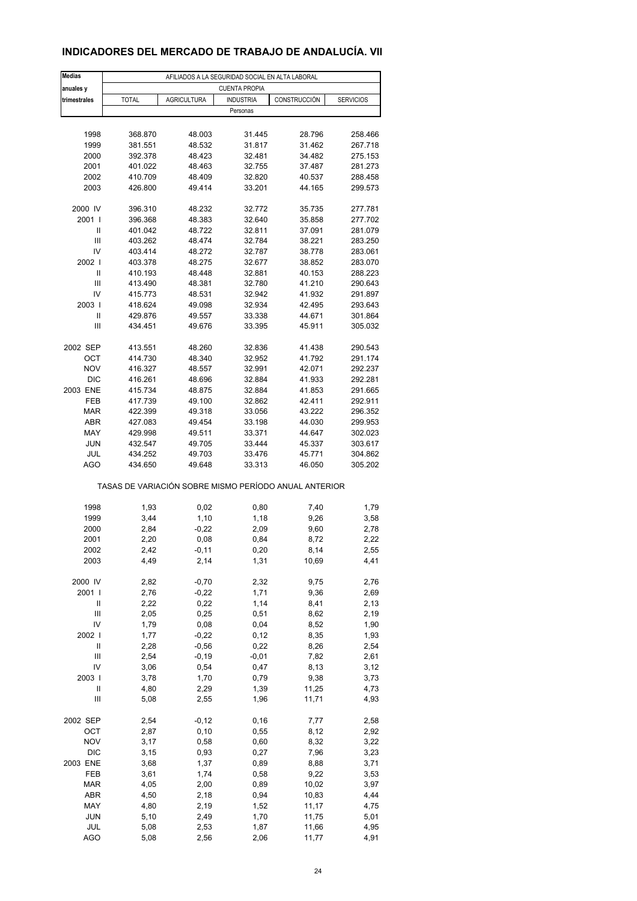### **INDICADORES DEL MERCADO DE TRABAJO DE ANDALUCÍA. VII**

| <b>Medias</b>  | AFILIADOS A LA SEGURIDAD SOCIAL EN ALTA LABORAL       |                    |                      |                  |                    |  |  |  |  |
|----------------|-------------------------------------------------------|--------------------|----------------------|------------------|--------------------|--|--|--|--|
| anuales y      |                                                       |                    | <b>CUENTA PROPIA</b> |                  |                    |  |  |  |  |
| trimestrales   | <b>TOTAL</b>                                          | <b>AGRICULTURA</b> | <b>INDUSTRIA</b>     | CONSTRUCCIÓN     | <b>SERVICIOS</b>   |  |  |  |  |
|                |                                                       |                    | Personas             |                  |                    |  |  |  |  |
|                |                                                       |                    |                      |                  |                    |  |  |  |  |
| 1998           | 368.870                                               | 48.003             | 31.445               | 28.796           | 258.466            |  |  |  |  |
| 1999<br>2000   | 381.551<br>392.378                                    | 48.532<br>48.423   | 31.817<br>32.481     | 31.462<br>34.482 | 267.718<br>275.153 |  |  |  |  |
| 2001           | 401.022                                               | 48.463             | 32.755               | 37.487           | 281.273            |  |  |  |  |
| 2002           | 410.709                                               | 48.409             | 32.820               | 40.537           | 288.458            |  |  |  |  |
| 2003           | 426.800                                               | 49.414             | 33.201               | 44.165           | 299.573            |  |  |  |  |
|                |                                                       |                    |                      |                  |                    |  |  |  |  |
| 2000 IV        | 396.310                                               | 48.232             | 32.772               | 35.735           | 277.781            |  |  |  |  |
| 2001 l         | 396.368                                               | 48.383             | 32.640               | 35.858           | 277.702            |  |  |  |  |
| Ш              | 401.042                                               | 48.722             | 32.811               | 37.091           | 281.079            |  |  |  |  |
| Ш              | 403.262                                               | 48.474             | 32.784               | 38.221           | 283.250            |  |  |  |  |
| IV             | 403.414                                               | 48.272             | 32.787               | 38.778           | 283.061            |  |  |  |  |
| 2002           | 403.378                                               | 48.275             | 32.677               | 38.852           | 283.070            |  |  |  |  |
| Ш              | 410.193                                               | 48.448             | 32.881               | 40.153           | 288.223            |  |  |  |  |
| Ш              | 413.490                                               | 48.381             | 32.780               | 41.210           | 290.643            |  |  |  |  |
| IV<br>2003     | 415.773<br>418.624                                    | 48.531<br>49.098   | 32.942<br>32.934     | 41.932<br>42.495 | 291.897<br>293.643 |  |  |  |  |
| Ш              | 429.876                                               | 49.557             | 33.338               | 44.671           | 301.864            |  |  |  |  |
| Ш              | 434.451                                               | 49.676             | 33.395               | 45.911           | 305.032            |  |  |  |  |
|                |                                                       |                    |                      |                  |                    |  |  |  |  |
| 2002 SEP       | 413.551                                               | 48.260             | 32.836               | 41.438           | 290.543            |  |  |  |  |
| OCT            | 414.730                                               | 48.340             | 32.952               | 41.792           | 291.174            |  |  |  |  |
| <b>NOV</b>     | 416.327                                               | 48.557             | 32.991               | 42.071           | 292.237            |  |  |  |  |
| <b>DIC</b>     | 416.261                                               | 48.696             | 32.884               | 41.933           | 292.281            |  |  |  |  |
| 2003 ENE       | 415.734                                               | 48.875             | 32.884               | 41.853           | 291.665            |  |  |  |  |
| FEB            | 417.739                                               | 49.100             | 32.862               | 42.411           | 292.911            |  |  |  |  |
| <b>MAR</b>     | 422.399                                               | 49.318             | 33.056               | 43.222           | 296.352            |  |  |  |  |
| <b>ABR</b>     | 427.083                                               | 49.454             | 33.198               | 44.030           | 299.953            |  |  |  |  |
| MAY            | 429.998                                               | 49.511             | 33.371               | 44.647           | 302.023            |  |  |  |  |
| <b>JUN</b>     | 432.547                                               | 49.705             | 33.444               | 45.337           | 303.617            |  |  |  |  |
| JUL<br>AGO     | 434.252<br>434.650                                    | 49.703<br>49.648   | 33.476<br>33.313     | 45.771<br>46.050 | 304.862<br>305.202 |  |  |  |  |
|                |                                                       |                    |                      |                  |                    |  |  |  |  |
|                | TASAS DE VARIACIÓN SOBRE MISMO PERÍODO ANUAL ANTERIOR |                    |                      |                  |                    |  |  |  |  |
|                |                                                       |                    |                      |                  |                    |  |  |  |  |
| 1998           | 1,93                                                  | 0,02               | 0,80                 | 7,40             | 1,79               |  |  |  |  |
| 1999           | 3,44                                                  | 1,10               | 1,18                 | 9,26             | 3,58               |  |  |  |  |
| 2000           | 2,84                                                  | $-0,22$            | 2,09                 | 9,60             | 2,78               |  |  |  |  |
| 2001           | 2,20                                                  | 0,08               | 0,84                 | 8,72             | 2,22               |  |  |  |  |
| 2002           | 2,42                                                  | -0,11              | 0,20                 | 8,14             | 2,55               |  |  |  |  |
| 2003           | 4,49                                                  | 2,14               | 1,31                 | 10,69            | 4,41               |  |  |  |  |
| 2000 IV        | 2,82                                                  | $-0,70$            | 2,32                 | 9,75             | 2,76               |  |  |  |  |
| 2001 l         | 2,76                                                  | $-0,22$            | 1,71                 | 9,36             | 2,69               |  |  |  |  |
| Ш              | 2,22                                                  | 0,22               | 1,14                 | 8,41             | 2,13               |  |  |  |  |
| Ш              | 2,05                                                  | 0,25               | 0,51                 | 8,62             | 2,19               |  |  |  |  |
| IV             | 1,79                                                  | 0,08               | 0,04                 | 8,52             | 1,90               |  |  |  |  |
| 2002           | 1,77                                                  | $-0,22$            | 0,12                 | 8,35             | 1,93               |  |  |  |  |
| Ш              | 2,28                                                  | $-0,56$            | 0,22                 | 8,26             | 2,54               |  |  |  |  |
| Ш              | 2,54                                                  | $-0,19$            | $-0,01$              | 7,82             | 2,61               |  |  |  |  |
| IV             | 3,06                                                  | 0,54               | 0,47                 | 8,13             | 3,12               |  |  |  |  |
| 2003           | 3,78                                                  | 1,70               | 0,79                 | 9,38             | 3,73               |  |  |  |  |
| Ш              | 4,80                                                  | 2,29               | 1,39                 | 11,25            | 4,73               |  |  |  |  |
| $\mathbf{III}$ | 5,08                                                  | 2,55               | 1,96                 | 11,71            | 4,93               |  |  |  |  |
| 2002 SEP       |                                                       |                    |                      |                  |                    |  |  |  |  |
| OCT            | 2,54<br>2,87                                          | $-0,12$<br>0, 10   | 0, 16<br>0,55        | 7,77<br>8,12     | 2,58<br>2,92       |  |  |  |  |
| <b>NOV</b>     | 3,17                                                  | 0,58               | 0,60                 | 8,32             | 3,22               |  |  |  |  |
| <b>DIC</b>     | 3,15                                                  | 0,93               | 0,27                 | 7,96             | 3,23               |  |  |  |  |
| 2003 ENE       | 3,68                                                  | 1,37               | 0,89                 | 8,88             | 3,71               |  |  |  |  |
| FEB            | 3,61                                                  | 1,74               | 0,58                 | 9,22             | 3,53               |  |  |  |  |
| $\sf{MAR}$     | 4,05                                                  | 2,00               | 0,89                 | 10,02            | 3,97               |  |  |  |  |
| ABR            | 4,50                                                  | 2,18               | 0,94                 | 10,83            | 4,44               |  |  |  |  |
| MAY            | 4,80                                                  | 2,19               | 1,52                 | 11,17            | 4,75               |  |  |  |  |
| <b>JUN</b>     | 5,10                                                  | 2,49               | 1,70                 | 11,75            | 5,01               |  |  |  |  |
| JUL            | 5,08                                                  | 2,53               | 1,87                 | 11,66            | 4,95               |  |  |  |  |
| <b>AGO</b>     | 5,08                                                  | 2,56               | 2,06                 | 11,77            | 4,91               |  |  |  |  |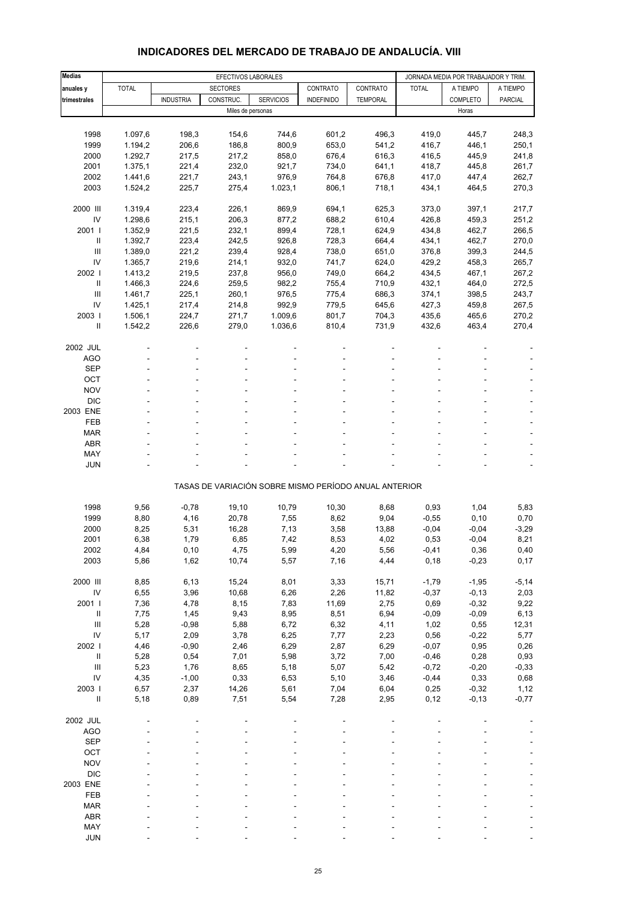| <b>Medias</b>                      |              |                  |                                        | JORNADA MEDIA POR TRABAJADOR Y TRIM.                  |                   |                 |               |                 |              |
|------------------------------------|--------------|------------------|----------------------------------------|-------------------------------------------------------|-------------------|-----------------|---------------|-----------------|--------------|
| anuales y                          | <b>TOTAL</b> |                  | EFECTIVOS LABORALES<br><b>SECTORES</b> |                                                       | CONTRATO          | CONTRATO        | <b>TOTAL</b>  | A TIEMPO        | A TIEMPO     |
| trimestrales                       |              | <b>INDUSTRIA</b> | CONSTRUC.                              | <b>SERVICIOS</b>                                      | <b>INDEFINIDO</b> | <b>TEMPORAL</b> |               | COMPLETO        | PARCIAL      |
|                                    |              |                  | Miles de personas                      |                                                       |                   |                 |               | Horas           |              |
|                                    |              |                  |                                        |                                                       |                   |                 |               |                 |              |
| 1998                               | 1.097,6      | 198,3            | 154,6                                  | 744,6                                                 | 601,2             | 496,3           | 419,0         | 445,7           | 248,3        |
| 1999                               | 1.194,2      | 206,6            | 186,8                                  | 800,9                                                 | 653,0             | 541,2           | 416,7         | 446,1           | 250,1        |
| 2000                               | 1.292,7      | 217,5            | 217,2                                  | 858,0                                                 | 676,4             | 616,3           | 416,5         | 445,9           | 241,8        |
| 2001                               | 1.375,1      | 221,4            | 232,0                                  | 921,7                                                 | 734,0             | 641,1           | 418,7         | 445,8           | 261,7        |
| 2002                               | 1.441,6      | 221,7            | 243,1                                  | 976,9                                                 | 764,8             | 676,8           | 417,0         | 447,4           | 262,7        |
| 2003                               | 1.524,2      | 225,7            | 275,4                                  | 1.023,1                                               | 806,1             | 718,1           | 434,1         | 464,5           | 270,3        |
| 2000 III                           | 1.319,4      | 223,4            | 226,1                                  | 869,9                                                 | 694,1             | 625,3           | 373,0         | 397,1           | 217,7        |
| IV                                 | 1.298,6      | 215,1            | 206,3                                  | 877,2                                                 | 688,2             | 610,4           | 426,8         | 459,3           | 251,2        |
| 2001 l                             | 1.352,9      | 221,5            | 232,1                                  | 899,4                                                 | 728,1             | 624,9           | 434,8         | 462,7           | 266,5        |
| $\ensuremath{\mathsf{II}}$         | 1.392,7      | 223,4            | 242,5                                  | 926,8                                                 | 728,3             | 664,4           | 434,1         | 462,7           | 270,0        |
| Ш                                  | 1.389,0      | 221,2            | 239,4                                  | 928,4                                                 | 738,0             | 651,0           | 376,8         | 399,3           | 244,5        |
| IV                                 | 1.365,7      | 219,6            | 214,1                                  | 932,0                                                 | 741,7             | 624,0           | 429,2         | 458,3           | 265,7        |
| 2002                               | 1.413,2      | 219,5            | 237,8                                  | 956,0                                                 | 749,0             | 664,2           | 434,5         | 467,1           | 267,2        |
| Ш                                  | 1.466,3      | 224,6            | 259,5                                  | 982,2                                                 | 755,4             | 710,9           | 432,1         | 464,0           | 272,5        |
| Ш                                  | 1.461,7      | 225,1            | 260,1                                  | 976,5                                                 | 775,4             | 686,3           | 374,1         | 398,5           | 243,7        |
| IV                                 | 1.425,1      | 217,4            | 214,8                                  | 992,9                                                 | 779,5             | 645,6           | 427,3         | 459,8           | 267,5        |
| 2003                               | 1.506,1      | 224,7            | 271,7                                  | 1.009,6                                               | 801,7             | 704,3           | 435,6         | 465,6           | 270,2        |
| Ш                                  | 1.542,2      | 226,6            | 279,0                                  | 1.036,6                                               | 810,4             | 731,9           | 432,6         | 463,4           | 270,4        |
|                                    |              |                  |                                        |                                                       |                   |                 |               |                 |              |
| 2002 JUL                           |              |                  |                                        |                                                       |                   |                 |               |                 |              |
| <b>AGO</b><br><b>SEP</b>           |              |                  |                                        |                                                       |                   |                 |               |                 |              |
| OCT                                |              |                  |                                        |                                                       |                   |                 |               |                 |              |
| <b>NOV</b>                         |              |                  |                                        |                                                       |                   |                 |               |                 |              |
| <b>DIC</b>                         |              |                  |                                        |                                                       |                   |                 |               |                 |              |
| 2003 ENE                           |              |                  |                                        |                                                       |                   |                 |               |                 |              |
| FEB                                |              |                  |                                        |                                                       |                   |                 |               |                 |              |
| <b>MAR</b>                         |              |                  |                                        |                                                       |                   |                 |               |                 |              |
| <b>ABR</b>                         |              |                  |                                        |                                                       |                   |                 |               |                 |              |
| <b>MAY</b>                         |              |                  |                                        |                                                       |                   |                 |               |                 |              |
| <b>JUN</b>                         |              |                  |                                        |                                                       |                   |                 |               |                 |              |
|                                    |              |                  |                                        | TASAS DE VARIACIÓN SOBRE MISMO PERÍODO ANUAL ANTERIOR |                   |                 |               |                 |              |
|                                    |              |                  |                                        |                                                       |                   |                 |               |                 |              |
| 1998                               | 9,56         | $-0,78$          | 19,10                                  | 10,79                                                 | 10,30             | 8,68            | 0,93          | 1,04            | 5,83         |
| 1999                               | 8,80         | 4,16             | 20,78                                  | 7,55                                                  | 8,62              | 9,04            | $-0,55$       | 0, 10           | 0,70         |
| 2000                               | 8,25         | 5,31             | 16,28                                  | 7,13                                                  | 3,58              | 13,88           | $-0,04$       | $-0,04$         | $-3,29$      |
| 2001                               | 6,38         | 1,79             | 6,85                                   | 7,42                                                  | 8,53              | 4,02            | 0,53          | $-0,04$         | 8,21         |
| 2002<br>2003                       | 4,84<br>5,86 | 0,10<br>1,62     | 4,75<br>10,74                          | 5,99<br>5,57                                          | 4,20<br>7,16      | 5,56<br>4,44    | -0,41<br>0,18 | 0,36<br>$-0,23$ | 0,40<br>0,17 |
|                                    |              |                  |                                        |                                                       |                   |                 |               |                 |              |
| 2000 III                           | 8,85         | 6, 13            | 15,24                                  | 8,01                                                  | 3,33              | 15,71           | $-1,79$       | $-1,95$         | $-5,14$      |
| ${\sf IV}$                         | 6,55         | 3,96             | 10,68                                  | 6,26                                                  | 2,26              | 11,82           | $-0,37$       | $-0, 13$        | 2,03         |
| 2001                               | 7,36         | 4,78             | 8,15                                   | 7,83                                                  | 11,69             | 2,75            | 0,69          | $-0,32$         | 9,22         |
| $\ensuremath{\mathsf{II}}$         | 7,75         | 1,45             | 9,43                                   | 8,95                                                  | 8,51              | 6,94            | $-0,09$       | $-0,09$         | 6, 13        |
| Ш                                  | 5,28         | $-0,98$          | 5,88                                   | 6,72                                                  | 6,32              | 4,11            | 1,02          | 0,55            | 12,31        |
| IV                                 | 5,17         | 2,09             | 3,78                                   | 6,25                                                  | 7,77              | 2,23            | 0,56          | $-0,22$         | 5,77         |
| 2002                               | 4,46         | $-0,90$          | 2,46                                   | 6,29                                                  | 2,87              | 6,29            | $-0,07$       | 0,95            | 0,26         |
| $\ensuremath{\mathsf{II}}$         | 5,28         | 0,54             | 7,01                                   | 5,98                                                  | 3,72              | 7,00            | $-0,46$       | 0,28            | 0,93         |
| $\ensuremath{\mathsf{III}}\xspace$ | 5,23         | 1,76             | 8,65                                   | 5,18                                                  | 5,07              | 5,42            | $-0,72$       | $-0,20$         | $-0,33$      |
| ${\sf IV}$                         | 4,35         | $-1,00$          | 0,33                                   | 6,53                                                  | 5,10              | 3,46            | $-0,44$       | 0,33            | 0,68         |
| 2003                               | 6,57         | 2,37             | 14,26                                  | 5,61                                                  | 7,04              | 6,04            | 0,25          | $-0,32$         | 1,12         |
| $\ensuremath{\mathsf{II}}$         | 5,18         | 0,89             | 7,51                                   | 5,54                                                  | 7,28              | 2,95            | 0,12          | $-0,13$         | $-0,77$      |
| 2002 JUL                           |              |                  |                                        |                                                       |                   |                 |               |                 |              |
| AGO                                |              |                  |                                        |                                                       |                   |                 |               |                 |              |
| SEP                                |              |                  |                                        |                                                       |                   |                 |               |                 |              |
| OCT                                |              |                  |                                        |                                                       |                   |                 |               |                 |              |
| <b>NOV</b>                         |              |                  |                                        |                                                       |                   |                 |               |                 |              |
| <b>DIC</b>                         |              |                  |                                        |                                                       |                   |                 |               |                 |              |
| 2003 ENE                           |              |                  |                                        |                                                       |                   |                 |               |                 |              |
| FEB                                |              |                  |                                        |                                                       |                   |                 |               |                 |              |
| <b>MAR</b>                         |              |                  |                                        |                                                       |                   |                 |               |                 |              |
| <b>ABR</b>                         |              |                  |                                        |                                                       |                   |                 |               |                 |              |
| MAY                                |              |                  |                                        |                                                       |                   |                 |               |                 |              |
| <b>JUN</b>                         |              |                  |                                        |                                                       |                   |                 |               |                 |              |

#### **INDICADORES DEL MERCADO DE TRABAJO DE ANDALUCÍA. VIII**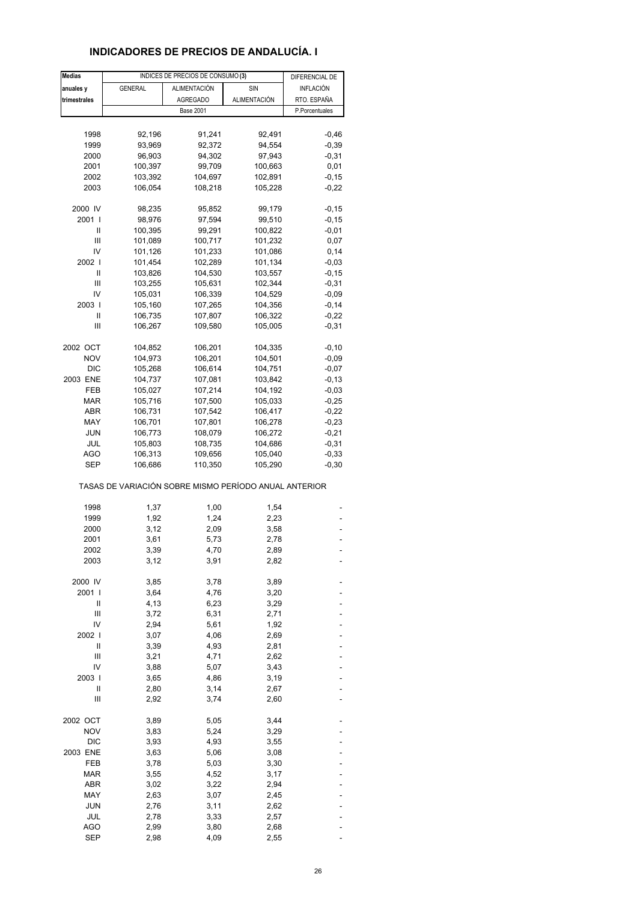### **INDICADORES DE PRECIOS DE ANDALUCÍA. I**

| <b>Medias</b> |                                                       | INDICES DE PRECIOS DE CONSUMO (3) |              | DIFERENCIAL DE |
|---------------|-------------------------------------------------------|-----------------------------------|--------------|----------------|
| anuales y     | <b>GENERAL</b>                                        | <b>ALIMENTACIÓN</b>               | SIN          | INFLACIÓN      |
| trimestrales  |                                                       | <b>AGREGADO</b>                   | ALIMENTACIÓN | RTO. ESPAÑA    |
|               |                                                       | <b>Base 2001</b>                  |              | P.Porcentuales |
|               |                                                       |                                   |              |                |
|               |                                                       |                                   |              |                |
| 1998          | 92,196                                                | 91,241                            | 92,491       | $-0,46$        |
| 1999          | 93,969                                                | 92,372                            | 94,554       | $-0,39$        |
| 2000          | 96,903                                                | 94,302                            | 97,943       | $-0,31$        |
| 2001          | 100,397                                               | 99,709                            | 100,663      | 0,01           |
| 2002          | 103,392                                               | 104,697                           | 102,891      | $-0, 15$       |
| 2003          | 106,054                                               | 108,218                           | 105,228      | $-0,22$        |
| 2000 IV       | 98,235                                                | 95,852                            | 99,179       | $-0,15$        |
| 2001 l        | 98,976                                                | 97,594                            | 99,510       | $-0,15$        |
| Ш             | 100,395                                               | 99,291                            | 100,822      | $-0,01$        |
| Ш             | 101,089                                               | 100,717                           | 101,232      | 0,07           |
| IV            | 101,126                                               | 101,233                           | 101,086      | 0,14           |
| 2002 l        | 101,454                                               | 102,289                           | 101,134      | $-0,03$        |
| Ш             | 103,826                                               | 104,530                           | 103,557      | $-0,15$        |
| Ш             | 103,255                                               | 105,631                           | 102,344      | $-0,31$        |
| IV            | 105,031                                               | 106,339                           | 104,529      | $-0,09$        |
| 2003          | 105,160                                               | 107,265                           | 104,356      | $-0,14$        |
| Ш             | 106,735                                               | 107,807                           | 106,322      | $-0,22$        |
| Ш             | 106,267                                               | 109,580                           | 105,005      | $-0,31$        |
|               |                                                       |                                   |              |                |
| 2002 OCT      | 104,852                                               | 106,201                           | 104,335      | $-0, 10$       |
| <b>NOV</b>    | 104,973                                               | 106,201                           | 104,501      | $-0,09$        |
| <b>DIC</b>    | 105,268                                               | 106,614                           | 104,751      | $-0,07$        |
| 2003 ENE      | 104,737                                               | 107,081                           | 103,842      | $-0, 13$       |
| FEB           | 105,027                                               | 107,214                           | 104,192      | $-0,03$        |
| MAR           | 105,716                                               | 107,500                           | 105,033      | $-0,25$        |
| <b>ABR</b>    | 106,731                                               | 107,542                           | 106,417      | $-0,22$        |
| MAY           | 106,701                                               | 107,801                           | 106,278      | $-0,23$        |
| <b>JUN</b>    | 106,773                                               | 108,079                           | 106,272      | $-0,21$        |
| JUL           | 105,803                                               | 108,735                           | 104,686      | $-0,31$        |
| AGO           | 106,313                                               | 109,656                           | 105,040      | $-0,33$        |
| SEP           | 106,686                                               | 110,350                           | 105,290      | $-0,30$        |
|               | TASAS DE VARIACIÓN SOBRE MISMO PERÍODO ANUAL ANTERIOR |                                   |              |                |
| 1998          | 1,37                                                  | 1,00                              | 1,54         |                |
| 1999          | 1,92                                                  | 1,24                              | 2,23         |                |
|               |                                                       |                                   |              |                |
| 2000<br>2001  | 3,12                                                  | 2,09                              | 3,58         |                |
|               | 3,61                                                  | 5,73                              | 2,78         |                |
| 2002<br>2003  | 3,39<br>3,12                                          | 4,70<br>3,91                      | 2,89<br>2,82 |                |
|               |                                                       |                                   |              |                |
| 2000 IV       | 3,85                                                  | 3,78                              | 3,89         |                |
| 2001          | 3,64                                                  | 4,76                              | 3,20         |                |
| II            | 4,13                                                  | 6,23                              | 3,29         |                |
| Ш             | 3,72                                                  | 6,31                              | 2,71         |                |
| IV            | 2,94                                                  | 5,61                              | 1,92         |                |
| 2002 l        | 3,07                                                  | 4,06                              | 2,69         |                |
| II            | 3,39                                                  | 4,93                              | 2,81         |                |
| Ш             | 3,21                                                  | 4,71                              | 2,62         |                |
| IV            | 3,88                                                  | 5,07                              | 3,43         |                |
| 2003          | 3,65                                                  | 4,86                              | 3,19         |                |
| II            | 2,80                                                  | 3,14                              | 2,67         |                |
| Ш             | 2,92                                                  | 3,74                              | 2,60         |                |
| 2002 OCT      | 3,89                                                  | 5,05                              | 3,44         |                |
| <b>NOV</b>    | 3,83                                                  | 5,24                              | 3,29         |                |
| <b>DIC</b>    | 3,93                                                  | 4,93                              | 3,55         |                |
| 2003 ENE      | 3,63                                                  | 5,06                              | 3,08         |                |
| FEB           |                                                       |                                   |              |                |
|               | 3,78                                                  | 5,03                              | 3,30         |                |
| <b>MAR</b>    | 3,55                                                  | 4,52                              | 3,17         |                |
| <b>ABR</b>    | 3,02                                                  | 3,22                              | 2,94         |                |
| MAY           | 2,63                                                  | 3,07                              | 2,45         |                |
| JUN           | 2,76                                                  | 3,11                              | 2,62         |                |
| JUL           | 2,78                                                  | 3,33                              | 2,57         |                |
| <b>AGO</b>    | 2,99                                                  | 3,80                              | 2,68         |                |
| <b>SEP</b>    | 2,98                                                  | 4,09                              | 2,55         |                |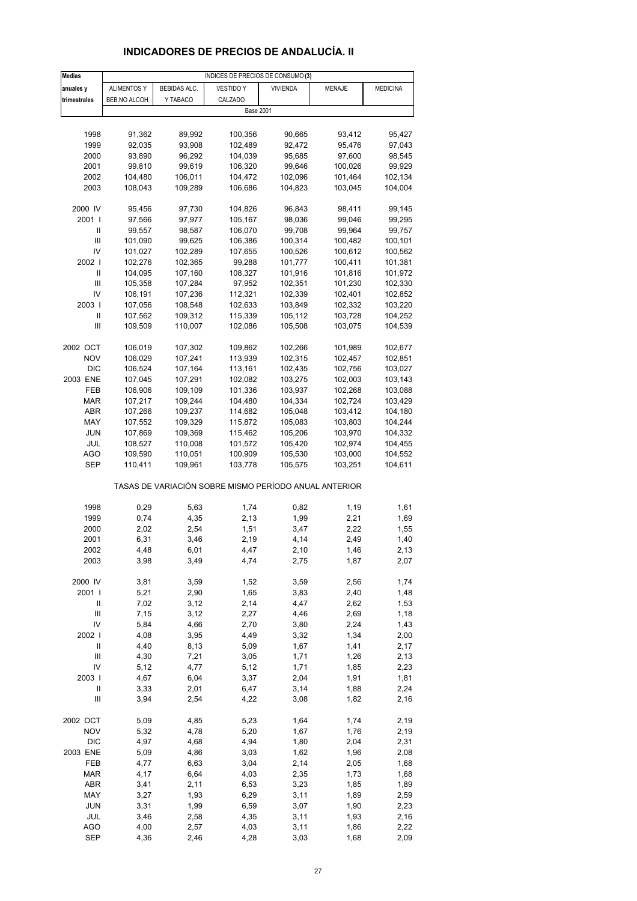# **INDICADORES DE PRECIOS DE ANDALUCÍA. II**

| <b>Medias</b>  | INDICES DE PRECIOS DE CONSUMO (3) |              |                                                       |                 |         |                 |  |  |
|----------------|-----------------------------------|--------------|-------------------------------------------------------|-----------------|---------|-----------------|--|--|
| anuales y      | <b>ALIMENTOS Y</b>                | BEBIDAS ALC. | <b>VESTIDO Y</b>                                      | <b>VIVIENDA</b> | MENAJE  | <b>MEDICINA</b> |  |  |
| trimestrales   | BEB.NO ALCOH.                     | Y TABACO     | CALZADO                                               |                 |         |                 |  |  |
|                |                                   |              | <b>Base 2001</b>                                      |                 |         |                 |  |  |
|                |                                   |              |                                                       |                 |         |                 |  |  |
| 1998           | 91,362                            | 89,992       | 100,356                                               | 90,665          | 93,412  | 95,427          |  |  |
| 1999           | 92,035                            | 93,908       | 102,489                                               | 92,472          | 95,476  | 97,043          |  |  |
| 2000           | 93,890                            | 96,292       | 104,039                                               | 95,685          | 97,600  | 98,545          |  |  |
|                |                                   |              |                                                       |                 |         |                 |  |  |
| 2001           | 99,810                            | 99,619       | 106,320                                               | 99,646          | 100,026 | 99,929          |  |  |
| 2002           | 104,480                           | 106,011      | 104,472                                               | 102,096         | 101,464 | 102,134         |  |  |
| 2003           | 108,043                           | 109,289      | 106,686                                               | 104,823         | 103,045 | 104,004         |  |  |
|                |                                   |              |                                                       |                 |         |                 |  |  |
| 2000 IV        | 95,456                            | 97,730       | 104,826                                               | 96,843          | 98,411  | 99,145          |  |  |
| 2001 l         | 97,566                            | 97,977       | 105,167                                               | 98,036          | 99,046  | 99,295          |  |  |
| Ш              | 99,557                            | 98,587       | 106,070                                               | 99,708          | 99,964  | 99,757          |  |  |
| III            | 101,090                           | 99,625       | 106,386                                               | 100,314         | 100,482 | 100,101         |  |  |
| IV             | 101,027                           | 102,289      | 107,655                                               | 100,526         | 100,612 | 100,562         |  |  |
| 2002           | 102,276                           | 102,365      | 99,288                                                | 101,777         | 100,411 | 101,381         |  |  |
| Ш              | 104,095                           | 107,160      | 108,327                                               | 101,916         | 101,816 | 101,972         |  |  |
| Ш              | 105,358                           | 107,284      | 97,952                                                | 102,351         | 101,230 | 102,330         |  |  |
| IV             | 106,191                           | 107,236      | 112,321                                               | 102,339         | 102,401 | 102,852         |  |  |
| 2003           | 107,056                           | 108,548      | 102,633                                               | 103,849         | 102,332 | 103,220         |  |  |
| Ш              | 107,562                           | 109,312      | 115,339                                               | 105,112         | 103,728 | 104,252         |  |  |
| Ш              | 109,509                           | 110,007      | 102,086                                               | 105,508         | 103,075 | 104,539         |  |  |
|                |                                   |              |                                                       |                 |         |                 |  |  |
| 2002 OCT       | 106,019                           | 107,302      | 109,862                                               | 102,266         | 101,989 | 102,677         |  |  |
| <b>NOV</b>     | 106,029                           | 107,241      | 113,939                                               | 102,315         | 102,457 | 102,851         |  |  |
| <b>DIC</b>     | 106,524                           | 107,164      | 113,161                                               | 102,435         | 102,756 | 103,027         |  |  |
| 2003 ENE       | 107,045                           | 107,291      | 102,082                                               | 103,275         | 102,003 | 103,143         |  |  |
| FEB            | 106,906                           | 109,109      | 101,336                                               | 103,937         | 102,268 | 103,088         |  |  |
| <b>MAR</b>     | 107,217                           | 109,244      | 104,480                                               | 104,334         | 102,724 | 103,429         |  |  |
| ABR            | 107,266                           | 109,237      | 114,682                                               | 105,048         | 103,412 | 104,180         |  |  |
| MAY            | 107,552                           | 109,329      | 115,872                                               | 105,083         | 103,803 | 104,244         |  |  |
| JUN            | 107,869                           | 109,369      | 115,462                                               | 105,206         | 103,970 | 104,332         |  |  |
| JUL            |                                   | 110,008      |                                                       |                 | 102,974 |                 |  |  |
|                | 108,527                           |              | 101,572                                               | 105,420         |         | 104,455         |  |  |
| AGO            | 109,590                           | 110,051      | 100,909                                               | 105,530         | 103,000 | 104,552         |  |  |
| SEP            | 110,411                           | 109,961      | 103,778                                               | 105,575         | 103,251 | 104,611         |  |  |
|                |                                   |              | TASAS DE VARIACIÓN SOBRE MISMO PERÍODO ANUAL ANTERIOR |                 |         |                 |  |  |
| 1998           | 0,29                              | 5,63         | 1,74                                                  | 0,82            | 1,19    | 1,61            |  |  |
| 1999           | 0,74                              | 4,35         | 2,13                                                  | 1,99            | 2,21    |                 |  |  |
| 2000           | 2,02                              | 2,54         | 1,51                                                  | 3,47            | 2,22    | 1,69<br>1,55    |  |  |
|                |                                   |              |                                                       |                 |         |                 |  |  |
| 2001           | 6,31                              | 3,46         | 2,19                                                  | 4,14            | 2,49    | 1,40            |  |  |
| 2002           | 4,48                              | წ,01         | 4,47                                                  | 2,10            | 1,46    | 2,13            |  |  |
| 2003           | 3,98                              | 3,49         | 4,74                                                  | 2,75            | 1,87    | 2,07            |  |  |
| 2000 IV        | 3,81                              | 3,59         | 1,52                                                  | 3,59            | 2,56    | 1,74            |  |  |
| 2001 l         | 5,21                              | 2,90         | 1,65                                                  | 3,83            | 2,40    | 1,48            |  |  |
| Ш              | 7,02                              | 3,12         | 2,14                                                  | 4,47            | 2,62    | 1,53            |  |  |
| $\mathsf{III}$ | 7,15                              | 3,12         | 2,27                                                  | 4,46            | 2,69    | 1,18            |  |  |
| IV             | 5,84                              | 4,66         | 2,70                                                  | 3,80            | 2,24    | 1,43            |  |  |
| 2002           | 4,08                              | 3,95         | 4,49                                                  | 3,32            | 1,34    | 2,00            |  |  |
| $\sf II$       | 4,40                              |              | 5,09                                                  | 1,67            |         | 2,17            |  |  |
| $\mathsf{III}$ |                                   | 8,13         |                                                       |                 | 1,41    |                 |  |  |
|                | 4,30                              | 7,21         | 3,05                                                  | 1,71            | 1,26    | 2,13            |  |  |
| IV             | 5,12                              | 4,77         | 5,12                                                  | 1,71            | 1,85    | 2,23            |  |  |
| 2003           | 4,67                              | 6,04         | 3,37                                                  | 2,04            | 1,91    | 1,81            |  |  |
| $\sf II$       | 3,33                              | 2,01         | 6,47                                                  | 3,14            | 1,88    | 2,24            |  |  |
| Ш              | 3,94                              | 2,54         | 4,22                                                  | 3,08            | 1,82    | 2,16            |  |  |
| 2002 OCT       | 5,09                              | 4,85         | 5,23                                                  | 1,64            | 1,74    | 2,19            |  |  |
| <b>NOV</b>     | 5,32                              | 4,78         | 5,20                                                  | 1,67            | 1,76    | 2,19            |  |  |
| <b>DIC</b>     | 4,97                              | 4,68         | 4,94                                                  | 1,80            | 2,04    | 2,31            |  |  |
| 2003 ENE       | 5,09                              | 4,86         | 3,03                                                  | 1,62            | 1,96    | 2,08            |  |  |
| FEB            | 4,77                              | 6,63         | 3,04                                                  | 2,14            | 2,05    | 1,68            |  |  |
| <b>MAR</b>     | 4,17                              | 6,64         | 4,03                                                  | 2,35            | 1,73    | 1,68            |  |  |
| ABR            | 3,41                              | 2,11         | 6,53                                                  | 3,23            | 1,85    | 1,89            |  |  |
|                |                                   |              |                                                       |                 |         |                 |  |  |
| MAY            | 3,27                              | 1,93         | 6,29                                                  | 3,11            | 1,89    | 2,59            |  |  |
| JUN            | 3,31                              | 1,99         | 6,59                                                  | 3,07            | 1,90    | 2,23            |  |  |
| JUL            | 3,46                              | 2,58         | 4,35                                                  | 3,11            | 1,93    | 2,16            |  |  |
| AGO            | 4,00                              | 2,57         | 4,03                                                  | 3,11            | 1,86    | 2,22            |  |  |
| <b>SEP</b>     | 4,36                              | 2,46         | 4,28                                                  | 3,03            | 1,68    | 2,09            |  |  |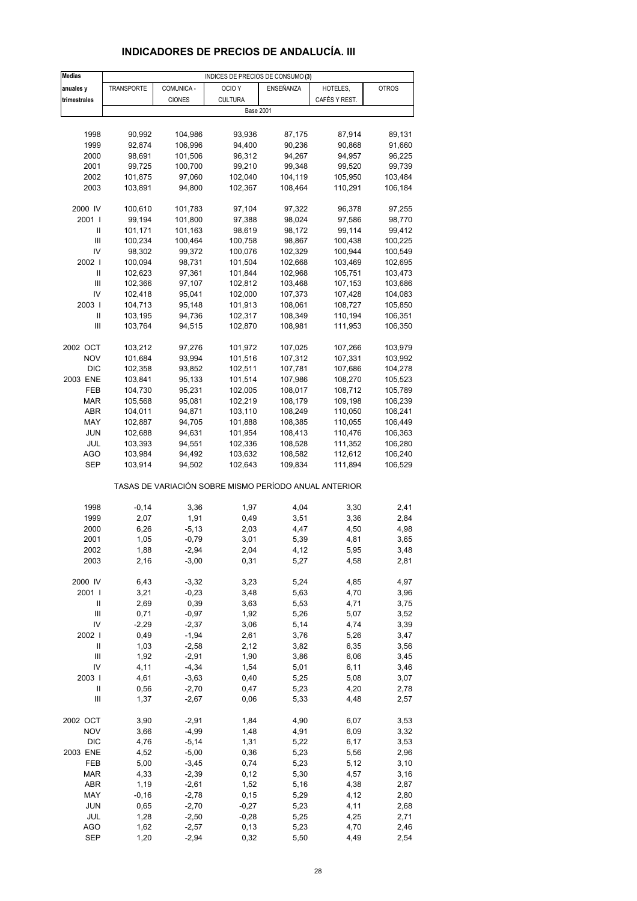# **INDICADORES DE PRECIOS DE ANDALUCÍA. III**

| <b>Medias</b>              | INDICES DE PRECIOS DE CONSUMO (3) |                  |                                                       |                    |                    |                    |  |  |
|----------------------------|-----------------------------------|------------------|-------------------------------------------------------|--------------------|--------------------|--------------------|--|--|
| anuales y                  | <b>TRANSPORTE</b>                 | COMUNICA -       | OCIO <sub>Y</sub>                                     | ENSEÑANZA          | HOTELES,           | <b>OTROS</b>       |  |  |
| trimestrales               |                                   | <b>CIONES</b>    | <b>CULTURA</b>                                        |                    | CAFÉS Y REST.      |                    |  |  |
|                            |                                   |                  | <b>Base 2001</b>                                      |                    |                    |                    |  |  |
|                            |                                   |                  |                                                       |                    |                    |                    |  |  |
| 1998                       | 90,992                            | 104,986          | 93,936                                                | 87,175             | 87,914             | 89,131             |  |  |
| 1999                       | 92,874                            | 106,996          | 94,400                                                | 90,236             | 90,868             | 91,660             |  |  |
| 2000                       | 98,691                            | 101,506          | 96,312                                                | 94,267             | 94,957             | 96,225             |  |  |
| 2001                       | 99,725                            | 100,700          | 99,210                                                | 99,348             | 99,520             | 99,739             |  |  |
| 2002                       | 101,875                           | 97,060           | 102,040                                               | 104,119            | 105,950            | 103,484            |  |  |
| 2003                       | 103,891                           | 94,800           | 102,367                                               | 108,464            | 110,291            | 106,184            |  |  |
|                            |                                   |                  |                                                       |                    |                    |                    |  |  |
| 2000 IV                    | 100,610                           | 101,783          | 97,104                                                | 97,322             | 96,378             | 97,255             |  |  |
| 2001 l                     | 99,194                            | 101,800          | 97,388                                                | 98,024             | 97,586             | 98,770             |  |  |
| Ш                          | 101,171                           | 101,163          | 98,619                                                | 98,172             | 99,114             | 99,412             |  |  |
| Ш                          | 100,234                           | 100,464          | 100,758                                               | 98,867             | 100,438            | 100,225            |  |  |
| IV                         | 98,302                            | 99,372           | 100,076                                               | 102,329            | 100,944            | 100,549            |  |  |
| 2002                       | 100,094                           | 98,731           | 101,504                                               | 102,668            | 103,469            | 102,695            |  |  |
| Ш                          | 102,623                           | 97,361           | 101,844                                               | 102,968            | 105,751            | 103,473            |  |  |
| Ш                          | 102,366                           | 97,107           | 102,812                                               | 103,468            | 107,153            | 103,686            |  |  |
| IV                         | 102,418                           | 95,041           | 102,000                                               | 107,373            | 107,428            | 104,083            |  |  |
| 2003                       | 104,713                           | 95,148           | 101,913                                               | 108,061            | 108,727            | 105,850            |  |  |
| Ш                          |                                   | 94,736           | 102,317                                               | 108,349            | 110,194            | 106,351            |  |  |
| Ш                          | 103,195                           | 94,515           |                                                       |                    |                    |                    |  |  |
|                            | 103,764                           |                  | 102,870                                               | 108,981            | 111,953            | 106,350            |  |  |
|                            |                                   |                  |                                                       |                    |                    |                    |  |  |
| 2002 OCT<br><b>NOV</b>     | 103,212<br>101,684                | 97,276<br>93,994 | 101,972<br>101,516                                    | 107,025<br>107,312 | 107,266<br>107,331 | 103,979<br>103,992 |  |  |
| <b>DIC</b>                 |                                   | 93,852           |                                                       |                    |                    |                    |  |  |
|                            | 102,358                           |                  | 102,511                                               | 107,781            | 107,686            | 104,278            |  |  |
| 2003 ENE                   | 103,841                           | 95,133           | 101,514                                               | 107,986            | 108,270            | 105,523            |  |  |
| FEB                        | 104,730                           | 95,231           | 102,005                                               | 108,017            | 108,712            | 105,789            |  |  |
| <b>MAR</b>                 | 105,568                           | 95,081           | 102,219                                               | 108,179            | 109,198            | 106,239            |  |  |
| ABR                        | 104,011                           | 94,871           | 103,110                                               | 108,249            | 110,050            | 106,241            |  |  |
| MAY                        | 102,887                           | 94,705           | 101,888                                               | 108,385            | 110,055            | 106,449            |  |  |
| JUN                        | 102,688                           | 94,631           | 101,954                                               | 108,413            | 110,476            | 106,363            |  |  |
| JUL                        | 103,393                           | 94,551           | 102,336                                               | 108,528            | 111,352            | 106,280            |  |  |
| AGO                        | 103,984                           | 94,492           | 103,632                                               | 108,582            | 112,612            | 106,240            |  |  |
| SEP                        | 103,914                           | 94,502           | 102,643                                               | 109,834            | 111,894            | 106,529            |  |  |
|                            |                                   |                  | TASAS DE VARIACIÓN SOBRE MISMO PERÍODO ANUAL ANTERIOR |                    |                    |                    |  |  |
| 1998                       | $-0,14$                           | 3,36             | 1,97                                                  | 4,04               | 3,30               | 2,41               |  |  |
| 1999                       | 2,07                              | 1,91             | 0,49                                                  | 3,51               | 3,36               | 2,84               |  |  |
| 2000                       | 6,26                              | $-5, 13$         | 2,03                                                  | 4,47               | 4,50               | 4,98               |  |  |
| 2001                       | 1,05                              | $-0,79$          | 3,01                                                  | 5,39               | 4,81               | 3,65               |  |  |
| 2002                       | 1,88                              |                  | 2,04                                                  | 4,12               | 5,95               | 3,48               |  |  |
| 2003                       | 2,16                              | -2,94<br>$-3,00$ | 0,31                                                  | 5,27               | 4,58               | 2,81               |  |  |
|                            |                                   |                  |                                                       |                    |                    |                    |  |  |
| 2000 IV                    | 6,43                              | $-3,32$          | 3,23                                                  | 5,24               | 4,85               | 4,97               |  |  |
| 2001 l                     | 3,21                              | $-0,23$          | 3,48                                                  | 5,63               | 4,70               | 3,96               |  |  |
| Ш                          | 2,69                              | 0,39             | 3,63                                                  | 5,53               | 4,71               | 3,75               |  |  |
| $\mathsf{III}$             | 0,71                              | $-0,97$          | 1,92                                                  | 5,26               | 5,07               | 3,52               |  |  |
| IV                         | $-2,29$                           | $-2,37$          | 3,06                                                  | 5,14               | 4,74               | 3,39               |  |  |
| 2002                       | 0,49                              | $-1,94$          | 2,61                                                  | 3,76               | 5,26               | 3,47               |  |  |
| $\sf II$                   | 1,03                              | $-2,58$          | 2,12                                                  | 3,82               | 6,35               | 3,56               |  |  |
| $\mathsf{III}$             | 1,92                              | $-2,91$          | 1,90                                                  | 3,86               | 6,06               | 3,45               |  |  |
| IV                         | 4,11                              | $-4,34$          | 1,54                                                  | 5,01               | 6,11               | 3,46               |  |  |
| 2003                       | 4,61                              | $-3,63$          | 0,40                                                  | 5,25               | 5,08               | 3,07               |  |  |
| $\ensuremath{\mathsf{II}}$ | 0,56                              | $-2,70$          | 0,47                                                  | 5,23               | 4,20               | 2,78               |  |  |
| Ш                          | 1,37                              | $-2,67$          | 0,06                                                  | 5,33               | 4,48               | 2,57               |  |  |
|                            |                                   |                  |                                                       |                    |                    |                    |  |  |
| 2002 OCT                   | 3,90                              | $-2,91$          | 1,84                                                  | 4,90               | 6,07               | 3,53               |  |  |
| <b>NOV</b>                 | 3,66                              | $-4,99$          | 1,48                                                  | 4,91               | 6,09               | 3,32               |  |  |
| <b>DIC</b>                 | 4,76                              | $-5,14$          | 1,31                                                  | 5,22               | 6,17               | 3,53               |  |  |
| 2003 ENE                   | 4,52                              | $-5,00$          | 0,36                                                  | 5,23               | 5,56               | 2,96               |  |  |
| FEB                        | 5,00                              | $-3,45$          | 0,74                                                  | 5,23               | 5,12               | 3,10               |  |  |
| <b>MAR</b>                 | 4,33                              | $-2,39$          | 0,12                                                  | 5,30               | 4,57               | 3,16               |  |  |
| ABR                        | 1,19                              | $-2,61$          | 1,52                                                  | 5,16               | 4,38               | 2,87               |  |  |
| MAY                        | $-0,16$                           | $-2,78$          | 0, 15                                                 | 5,29               | 4,12               | 2,80               |  |  |
| JUN                        | 0,65                              | $-2,70$          | $-0,27$                                               | 5,23               | 4,11               | 2,68               |  |  |
| JUL                        | 1,28                              | $-2,50$          | $-0,28$                                               | 5,25               | 4,25               | 2,71               |  |  |
| AGO                        | 1,62                              | $-2,57$          | 0,13                                                  | 5,23               | 4,70               | 2,46               |  |  |
| <b>SEP</b>                 | 1,20                              | $-2,94$          | 0,32                                                  | 5,50               | 4,49               | 2,54               |  |  |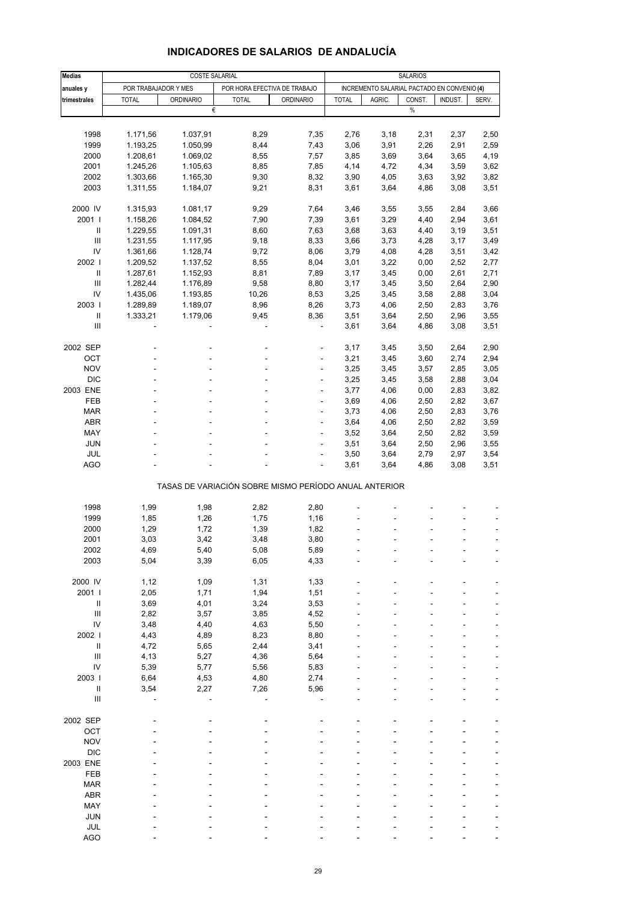| <b>Medias</b>                      |                                                          | <b>COSTE SALARIAL</b> |                                              | SALARIOS                                    |      |                        |      |                   |       |  |  |  |
|------------------------------------|----------------------------------------------------------|-----------------------|----------------------------------------------|---------------------------------------------|------|------------------------|------|-------------------|-------|--|--|--|
|                                    |                                                          |                       |                                              | INCREMENTO SALARIAL PACTADO EN CONVENIO (4) |      |                        |      |                   |       |  |  |  |
| anuales y                          | POR TRABAJADOR Y MES<br><b>TOTAL</b><br><b>ORDINARIO</b> |                       | POR HORA EFECTIVA DE TRABAJO<br><b>TOTAL</b> |                                             |      | <b>TOTAL</b><br>AGRIC. |      | CONST.<br>INDUST. |       |  |  |  |
| trimestrales                       |                                                          | €                     |                                              | <b>ORDINARIO</b>                            |      |                        | $\%$ |                   | SERV. |  |  |  |
|                                    |                                                          |                       |                                              |                                             |      |                        |      |                   |       |  |  |  |
|                                    |                                                          | 1.037,91              |                                              |                                             |      |                        |      |                   |       |  |  |  |
| 1998                               | 1.171,56                                                 |                       | 8,29                                         | 7,35                                        | 2,76 | 3,18                   | 2,31 | 2,37              | 2,50  |  |  |  |
| 1999                               | 1.193,25                                                 | 1.050,99              | 8,44                                         | 7,43                                        | 3,06 | 3,91                   | 2,26 | 2,91              | 2,59  |  |  |  |
| 2000                               | 1.208,61                                                 | 1.069,02              | 8,55                                         | 7,57                                        | 3,85 | 3,69                   | 3,64 | 3,65              | 4,19  |  |  |  |
| 2001<br>2002                       | 1.245,26                                                 | 1.105,63<br>1.165,30  | 8,85                                         | 7,85                                        | 4,14 | 4,72                   | 4,34 | 3,59              | 3,62  |  |  |  |
| 2003                               | 1.303,66                                                 |                       | 9,30                                         | 8,32                                        | 3,90 | 4,05                   | 3,63 | 3,92              | 3,82  |  |  |  |
|                                    | 1.311,55                                                 | 1.184,07              | 9,21                                         | 8,31                                        | 3,61 | 3,64                   | 4,86 | 3,08              | 3,51  |  |  |  |
| 2000 IV                            | 1.315,93                                                 | 1.081,17              | 9,29                                         | 7,64                                        | 3,46 | 3,55                   | 3,55 | 2,84              | 3,66  |  |  |  |
| 2001 l                             | 1.158,26                                                 | 1.084,52              | 7,90                                         | 7,39                                        | 3,61 | 3,29                   | 4,40 | 2,94              | 3,61  |  |  |  |
| Ш                                  | 1.229,55                                                 | 1.091,31              | 8,60                                         | 7,63                                        | 3,68 | 3,63                   | 4,40 | 3,19              | 3,51  |  |  |  |
| Ш                                  | 1.231,55                                                 | 1.117,95              | 9,18                                         | 8,33                                        | 3,66 | 3,73                   | 4,28 | 3,17              | 3,49  |  |  |  |
| IV                                 | 1.361,66                                                 | 1.128,74              | 9,72                                         | 8,06                                        | 3,79 | 4,08                   | 4,28 | 3,51              | 3,42  |  |  |  |
| 2002                               | 1.209,52                                                 | 1.137,52              | 8,55                                         | 8,04                                        | 3,01 | 3,22                   | 0,00 | 2,52              | 2,77  |  |  |  |
| Ш                                  | 1.287,61                                                 | 1.152,93              | 8,81                                         | 7,89                                        | 3,17 | 3,45                   | 0,00 | 2,61              | 2,71  |  |  |  |
| Ш                                  | 1.282,44                                                 | 1.176,89              | 9,58                                         | 8,80                                        | 3,17 | 3,45                   | 3,50 | 2,64              | 2,90  |  |  |  |
| IV                                 | 1.435,06                                                 | 1.193,85              | 10,26                                        | 8,53                                        | 3,25 | 3,45                   | 3,58 | 2,88              | 3,04  |  |  |  |
| 2003                               | 1.289,89                                                 | 1.189,07              | 8,96                                         | 8,26                                        | 3,73 | 4,06                   | 2,50 | 2,83              | 3,76  |  |  |  |
| $\ensuremath{\mathsf{II}}$         | 1.333,21                                                 | 1.179,06              | 9,45                                         | 8,36                                        | 3,51 | 3,64                   | 2,50 | 2,96              | 3,55  |  |  |  |
| Ш                                  |                                                          |                       | ä,                                           | ÷,                                          | 3,61 | 3,64                   | 4,86 | 3,08              | 3,51  |  |  |  |
|                                    |                                                          |                       |                                              |                                             |      |                        |      |                   |       |  |  |  |
| 2002 SEP                           |                                                          |                       |                                              |                                             | 3,17 | 3,45                   | 3,50 | 2,64              | 2,90  |  |  |  |
| OCT                                |                                                          |                       |                                              | ÷,                                          | 3,21 | 3,45                   | 3,60 | 2,74              | 2,94  |  |  |  |
| <b>NOV</b>                         |                                                          |                       |                                              | ÷                                           | 3,25 | 3,45                   | 3,57 | 2,85              | 3,05  |  |  |  |
| <b>DIC</b>                         |                                                          |                       |                                              | ÷,                                          | 3,25 | 3,45                   | 3,58 | 2,88              | 3,04  |  |  |  |
| 2003 ENE                           |                                                          |                       |                                              | ÷,                                          | 3,77 | 4,06                   | 0,00 | 2,83              | 3,82  |  |  |  |
| FEB                                |                                                          |                       |                                              | ÷                                           | 3,69 | 4,06                   | 2,50 | 2,82              | 3,67  |  |  |  |
| <b>MAR</b>                         |                                                          |                       |                                              | ÷,                                          | 3,73 | 4,06                   | 2,50 | 2,83              | 3,76  |  |  |  |
| ABR                                |                                                          |                       |                                              | ÷,                                          | 3,64 | 4,06                   | 2,50 | 2,82              | 3,59  |  |  |  |
| MAY                                |                                                          |                       |                                              | ÷                                           | 3,52 | 3,64                   | 2,50 | 2,82              | 3,59  |  |  |  |
| <b>JUN</b>                         |                                                          |                       |                                              |                                             | 3,51 | 3,64                   | 2,50 | 2,96              | 3,55  |  |  |  |
| JUL                                |                                                          |                       |                                              | ä,                                          | 3,50 | 3,64                   | 2,79 | 2,97              | 3,54  |  |  |  |
| <b>AGO</b>                         |                                                          |                       |                                              |                                             | 3,61 | 3,64                   | 4,86 | 3,08              | 3,51  |  |  |  |
|                                    | TASAS DE VARIACIÓN SOBRE MISMO PERÍODO ANUAL ANTERIOR    |                       |                                              |                                             |      |                        |      |                   |       |  |  |  |
|                                    |                                                          |                       |                                              |                                             |      |                        |      |                   |       |  |  |  |
| 1998                               | 1,99                                                     | 1,98                  | 2,82                                         | 2,80                                        |      |                        |      |                   |       |  |  |  |
| 1999                               | 1,85                                                     | 1,26                  | 1,75                                         | 1,16                                        |      |                        |      |                   |       |  |  |  |
| 2000                               | 1,29                                                     | 1,72                  | 1,39                                         | 1,82                                        |      |                        |      |                   |       |  |  |  |
| 2001                               | 3,03                                                     | 3,42                  | 3,48                                         | 3,80                                        |      |                        |      |                   | ä,    |  |  |  |
| 2002                               | 4,69                                                     | 5,40                  | 5,08                                         | 5,89                                        |      |                        |      |                   |       |  |  |  |
| 2003                               | 5,04                                                     | 3,39                  | 6,05                                         | 4,33                                        |      |                        |      |                   |       |  |  |  |
|                                    |                                                          |                       |                                              |                                             |      |                        |      |                   |       |  |  |  |
| 2000 IV                            | 1,12                                                     | 1,09                  | 1,31                                         | 1,33                                        |      |                        |      |                   |       |  |  |  |
| 2001 l                             | 2,05                                                     | 1,71                  | 1,94                                         | 1,51                                        |      |                        |      |                   |       |  |  |  |
| $\ensuremath{\mathsf{II}}$         | 3,69                                                     | 4,01                  | 3,24                                         | 3,53                                        |      |                        |      |                   |       |  |  |  |
| $\ensuremath{\mathsf{III}}\xspace$ | 2,82                                                     | 3,57                  | 3,85                                         | 4,52                                        |      |                        |      |                   |       |  |  |  |
| IV                                 | 3,48                                                     | 4,40                  | 4,63                                         | 5,50                                        |      |                        |      |                   |       |  |  |  |
| 2002                               | 4,43                                                     | 4,89                  | 8,23                                         | 8,80                                        |      |                        |      |                   |       |  |  |  |
| Ш                                  | 4,72                                                     | 5,65                  | 2,44                                         | 3,41                                        |      |                        |      |                   | ÷.    |  |  |  |
| $\ensuremath{\mathsf{III}}\xspace$ | 4,13                                                     | 5,27                  | 4,36                                         | 5,64                                        |      |                        |      |                   |       |  |  |  |
| IV                                 | 5,39                                                     | 5,77                  | 5,56                                         | 5,83                                        |      |                        |      |                   |       |  |  |  |
| 2003                               | 6,64                                                     | 4,53                  | 4,80                                         | 2,74                                        |      |                        |      |                   | ÷.    |  |  |  |
| $\ensuremath{\mathsf{II}}$         | 3,54                                                     | 2,27                  | 7,26                                         | 5,96                                        |      |                        |      |                   |       |  |  |  |
| $\ensuremath{\mathsf{III}}\xspace$ |                                                          |                       |                                              |                                             |      |                        |      |                   |       |  |  |  |
| 2002 SEP                           |                                                          |                       |                                              |                                             |      |                        |      |                   |       |  |  |  |
| OCT                                |                                                          |                       |                                              |                                             |      |                        |      |                   |       |  |  |  |
| <b>NOV</b>                         |                                                          |                       |                                              |                                             |      |                        |      |                   |       |  |  |  |
| <b>DIC</b>                         |                                                          |                       |                                              |                                             |      |                        |      |                   |       |  |  |  |
| 2003 ENE                           |                                                          |                       |                                              |                                             |      |                        |      |                   |       |  |  |  |
| FEB                                |                                                          |                       |                                              |                                             |      |                        |      |                   |       |  |  |  |
| <b>MAR</b>                         |                                                          |                       |                                              |                                             |      |                        |      |                   |       |  |  |  |
| ABR                                |                                                          |                       |                                              |                                             |      |                        |      |                   |       |  |  |  |
| MAY                                |                                                          |                       |                                              |                                             |      |                        |      |                   |       |  |  |  |
| <b>JUN</b>                         |                                                          |                       |                                              |                                             |      |                        |      |                   |       |  |  |  |
| JUL                                |                                                          |                       |                                              |                                             |      |                        |      |                   |       |  |  |  |

#### **INDICADORES DE SALARIOS DE ANDALUCÍA**

AGO - - - - - - ---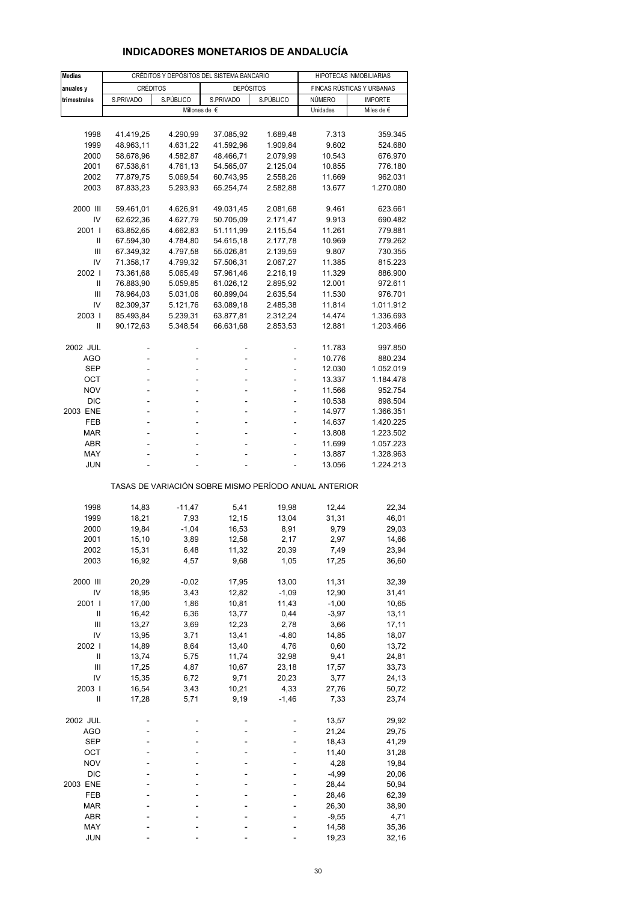## **INDICADORES MONETARIOS DE ANDALUCÍA**

| <b>Medias</b>  |                                                       | CRÉDITOS Y DEPÓSITOS DEL SISTEMA BANCARIO | HIPOTECAS INMOBILIARIAS |                      |                           |                    |  |  |  |  |
|----------------|-------------------------------------------------------|-------------------------------------------|-------------------------|----------------------|---------------------------|--------------------|--|--|--|--|
| anuales y      | <b>CRÉDITOS</b>                                       |                                           | <b>DEPÓSITOS</b>        |                      | FINCAS RÚSTICAS Y URBANAS |                    |  |  |  |  |
| trimestrales   | S.PRIVADO<br>S.PÚBLICO                                |                                           | S.PRIVADO               | S.PÚBLICO            | NÚMERO                    | <b>IMPORTE</b>     |  |  |  |  |
|                |                                                       |                                           | Millones de €           |                      | Unidades                  | Miles de €         |  |  |  |  |
|                |                                                       |                                           |                         |                      |                           |                    |  |  |  |  |
| 1998           | 41.419,25                                             | 4.290,99                                  | 37.085,92               | 1.689,48             | 7.313                     | 359.345            |  |  |  |  |
| 1999           | 48.963,11                                             | 4.631,22                                  | 41.592,96               | 1.909,84             | 9.602                     | 524.680            |  |  |  |  |
| 2000           | 58.678,96                                             | 4.582,87                                  | 48.466,71               | 2.079,99             | 10.543                    | 676.970            |  |  |  |  |
| 2001           | 67.538,61                                             | 4.761,13                                  | 54.565,07               | 2.125,04             | 10.855                    | 776.180            |  |  |  |  |
| 2002           | 77.879,75                                             | 5.069,54                                  | 60.743,95               | 2.558,26             | 11.669                    | 962.031            |  |  |  |  |
| 2003           | 87.833,23                                             | 5.293,93                                  | 65.254,74               | 2.582,88             | 13.677                    | 1.270.080          |  |  |  |  |
|                |                                                       |                                           |                         |                      |                           |                    |  |  |  |  |
| 2000 III       | 59.461,01                                             | 4.626,91                                  | 49.031,45               | 2.081,68             | 9.461                     | 623.661            |  |  |  |  |
| IV             | 62.622,36                                             | 4.627,79                                  | 50.705,09               | 2.171,47             | 9.913                     | 690.482            |  |  |  |  |
| 2001 l         | 63.852,65                                             | 4.662,83                                  | 51.111,99               | 2.115,54             | 11.261                    | 779.881            |  |  |  |  |
| Ш              | 67.594,30                                             | 4.784,80                                  | 54.615,18               | 2.177,78             | 10.969                    | 779.262            |  |  |  |  |
| Ш              | 67.349,32                                             | 4.797,58                                  | 55.026,81               | 2.139,59             | 9.807                     | 730.355            |  |  |  |  |
| IV             | 71.358,17                                             | 4.799,32                                  | 57.506,31               | 2.067,27             | 11.385                    | 815.223            |  |  |  |  |
| 2002  <br>Ш    | 73.361,68<br>76.883,90                                | 5.065,49                                  | 57.961,46               | 2.216,19             | 11.329<br>12.001          | 886.900<br>972.611 |  |  |  |  |
| Ш              | 78.964,03                                             | 5.059,85<br>5.031,06                      | 61.026,12<br>60.899,04  | 2.895,92<br>2.635,54 | 11.530                    | 976.701            |  |  |  |  |
| IV             | 82.309,37                                             | 5.121,76                                  | 63.089,18               | 2.485,38             | 11.814                    | 1.011.912          |  |  |  |  |
| 2003           | 85.493,84                                             | 5.239,31                                  | 63.877,81               | 2.312,24             | 14.474                    | 1.336.693          |  |  |  |  |
| Ш              | 90.172,63                                             | 5.348,54                                  | 66.631,68               | 2.853,53             | 12.881                    | 1.203.466          |  |  |  |  |
|                |                                                       |                                           |                         |                      |                           |                    |  |  |  |  |
| 2002 JUL       |                                                       |                                           |                         |                      | 11.783                    | 997.850            |  |  |  |  |
| AGO            |                                                       | L,                                        |                         |                      | 10.776                    | 880.234            |  |  |  |  |
| SEP            |                                                       |                                           |                         |                      | 12.030                    | 1.052.019          |  |  |  |  |
| OCT            | ÷.                                                    | ä,                                        | $\overline{a}$          | ٠                    | 13.337                    | 1.184.478          |  |  |  |  |
| <b>NOV</b>     |                                                       | L,                                        |                         | ä,                   | 11.566                    | 952.754            |  |  |  |  |
| <b>DIC</b>     |                                                       |                                           |                         |                      | 10.538                    | 898.504            |  |  |  |  |
| 2003 ENE       | ÷.                                                    | ä,                                        | $\overline{a}$          | ٠                    | 14.977                    | 1.366.351          |  |  |  |  |
| FEB            |                                                       | L,                                        |                         | L,                   | 14.637                    | 1.420.225          |  |  |  |  |
| <b>MAR</b>     |                                                       |                                           |                         |                      | 13.808                    | 1.223.502          |  |  |  |  |
| ABR            |                                                       | ÷.                                        | ÷.                      | ÷,                   | 11.699                    | 1.057.223          |  |  |  |  |
| MAY            |                                                       |                                           |                         |                      | 13.887                    | 1.328.963          |  |  |  |  |
| <b>JUN</b>     |                                                       |                                           |                         |                      | 13.056                    | 1.224.213          |  |  |  |  |
|                | TASAS DE VARIACIÓN SOBRE MISMO PERÍODO ANUAL ANTERIOR |                                           |                         |                      |                           |                    |  |  |  |  |
|                |                                                       | $-11,47$                                  |                         |                      |                           |                    |  |  |  |  |
| 1998           | 14,83<br>18,21                                        | 7,93                                      | 5,41<br>12,15           | 19,98<br>13,04       | 12,44                     | 22,34<br>46,01     |  |  |  |  |
| 1999<br>2000   | 19,84                                                 | $-1,04$                                   | 16,53                   | 8,91                 | 31,31<br>9,79             | 29,03              |  |  |  |  |
| 2001           | 15,10                                                 | 3,89                                      | 12,58                   | 2,17                 | 2,97                      | 14,66              |  |  |  |  |
| 2002           | 15,31                                                 | 6,48                                      | 11,32                   | 20,39                | 7,49                      | 23,94              |  |  |  |  |
| 2003           | 16,92                                                 | 4,57                                      | 9,68                    | 1,05                 | 17,25                     | 36,60              |  |  |  |  |
|                |                                                       |                                           |                         |                      |                           |                    |  |  |  |  |
| 2000 III       | 20,29                                                 | $-0,02$                                   | 17,95                   | 13,00                | 11,31                     | 32,39              |  |  |  |  |
| IV             | 18,95                                                 | 3,43                                      | 12,82                   | $-1,09$              | 12,90                     | 31,41              |  |  |  |  |
| 2001 l         | 17,00                                                 | 1,86                                      | 10,81                   | 11,43                | $-1,00$                   | 10,65              |  |  |  |  |
| Ш              | 16,42                                                 | 6,36                                      | 13,77                   | 0,44                 | $-3,97$                   | 13,11              |  |  |  |  |
| Ш              | 13,27                                                 | 3,69                                      | 12,23                   | 2,78                 | 3,66                      | 17,11              |  |  |  |  |
| IV             | 13,95                                                 | 3,71                                      | 13,41                   | $-4,80$              | 14,85                     | 18,07              |  |  |  |  |
| 2002           | 14,89                                                 | 8,64                                      | 13,40                   | 4,76                 | 0,60                      | 13,72              |  |  |  |  |
| $\sf II$       | 13,74                                                 | 5,75                                      | 11,74                   | 32,98                | 9,41                      | 24,81              |  |  |  |  |
| $\mathsf{III}$ | 17,25                                                 | 4,87                                      | 10,67                   | 23,18                | 17,57                     | 33,73              |  |  |  |  |
| IV             | 15,35                                                 | 6,72                                      | 9,71                    | 20,23                | 3,77                      | 24,13              |  |  |  |  |
| 2003           | 16,54                                                 | 3,43                                      | 10,21                   | 4,33                 | 27,76                     | 50,72              |  |  |  |  |
| Ш              | 17,28                                                 | 5,71                                      | 9,19                    | $-1,46$              | 7,33                      | 23,74              |  |  |  |  |
| 2002 JUL       |                                                       |                                           |                         |                      | 13,57                     | 29,92              |  |  |  |  |
| <b>AGO</b>     |                                                       |                                           |                         |                      | 21,24                     | 29,75              |  |  |  |  |
| <b>SEP</b>     |                                                       |                                           |                         |                      | 18,43                     | 41,29              |  |  |  |  |
| ост            |                                                       |                                           |                         |                      | 11,40                     | 31,28              |  |  |  |  |
| <b>NOV</b>     |                                                       |                                           |                         |                      | 4,28                      | 19,84              |  |  |  |  |
| <b>DIC</b>     |                                                       |                                           |                         |                      | $-4,99$                   | 20,06              |  |  |  |  |
| 2003 ENE       |                                                       |                                           |                         |                      | 28,44                     | 50,94              |  |  |  |  |
| FEB            |                                                       |                                           |                         |                      | 28,46                     | 62,39              |  |  |  |  |
| <b>MAR</b>     |                                                       |                                           |                         |                      | 26,30                     | 38,90              |  |  |  |  |
| ABR            |                                                       |                                           |                         |                      | $-9,55$                   | 4,71               |  |  |  |  |
| MAY            |                                                       |                                           |                         |                      | 14,58                     | 35,36              |  |  |  |  |
| <b>JUN</b>     |                                                       |                                           |                         |                      | 19,23                     | 32,16              |  |  |  |  |